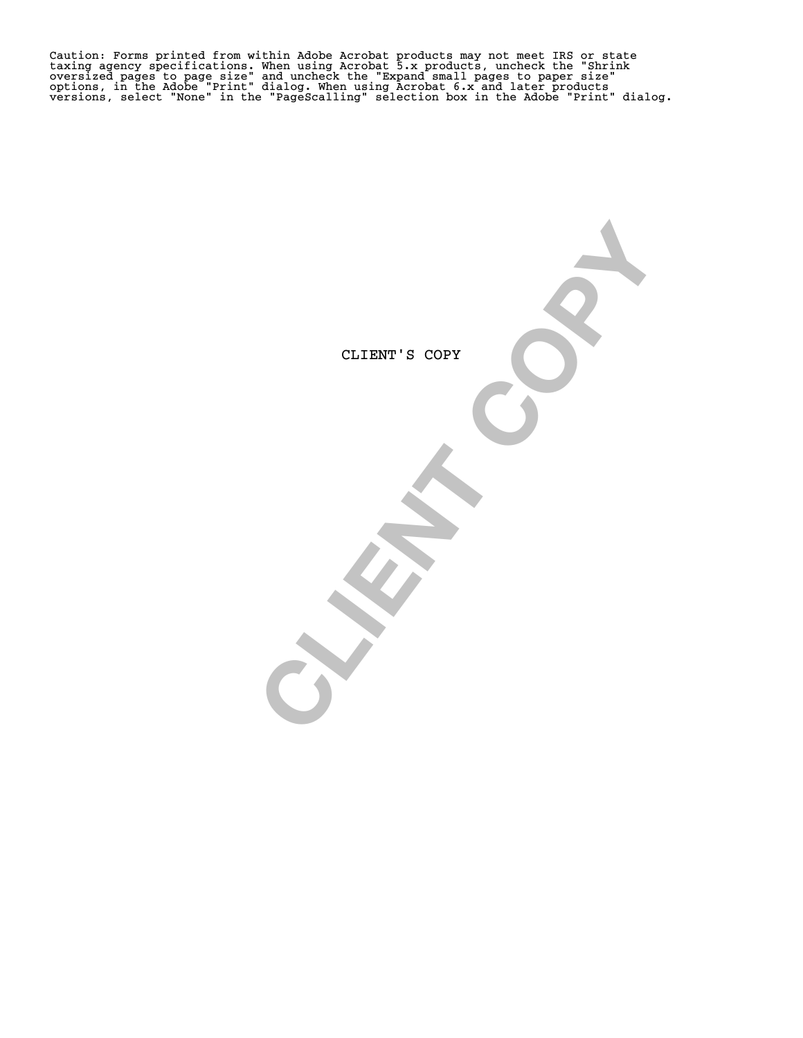Caution: Forms printed from within Adobe Acrobat products may not meet IRS or state<br>taxing agency specifications. When using Acrobat 5.x products, uncheck the "Shrink<br>oversized pages to page size" and uncheck the "Expand s

CLIENT'S COPY

CLIENT'S COPY OF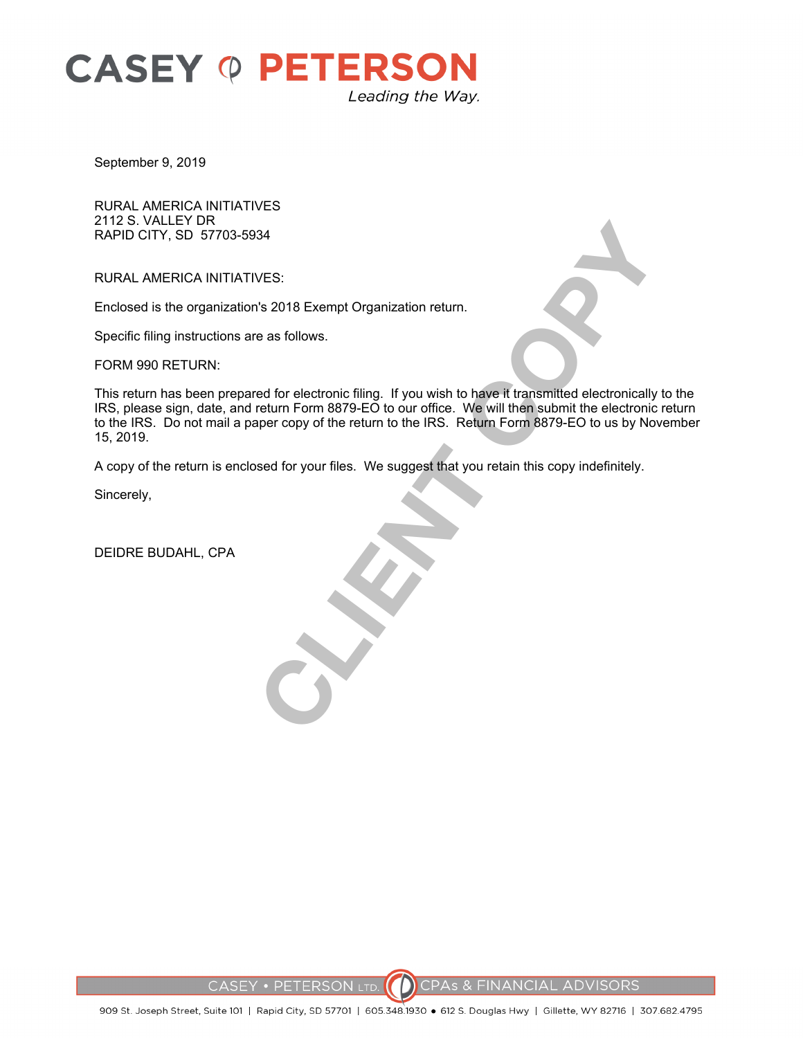

September 9, 2019

RURAL AMERICA INITIATIVES 2112 S. VALLEY DR RAPID CITY, SD 57703-5934

RURAL AMERICA INITIATIVES:

Enclosed is the organization's 2018 Exempt Organization return.

Specific filing instructions are as follows.

FORM 990 RETURN:

VES:<br>The as follows.<br>The as follows.<br>The as follows.<br>The association of the property of the return of the UKS. Return Form 8879-E0 bo our office. We will then submit the electronically<br>pret copy of the return to the IRS. R This return has been prepared for electronic filing. If you wish to have it transmitted electronically to the IRS, please sign, date, and return Form 8879-EO to our office. We will then submit the electronic return to the IRS. Do not mail a paper copy of the return to the IRS. Return Form 8879-EO to us by November 15, 2019.

A copy of the return is enclosed for your files. We suggest that you retain this copy indefinitely.

Sincerely,

DEIDRE BUDAHL, CPA

**CPAS & FINANCIAL ADVISORS CASEY • PETERSON LTD.**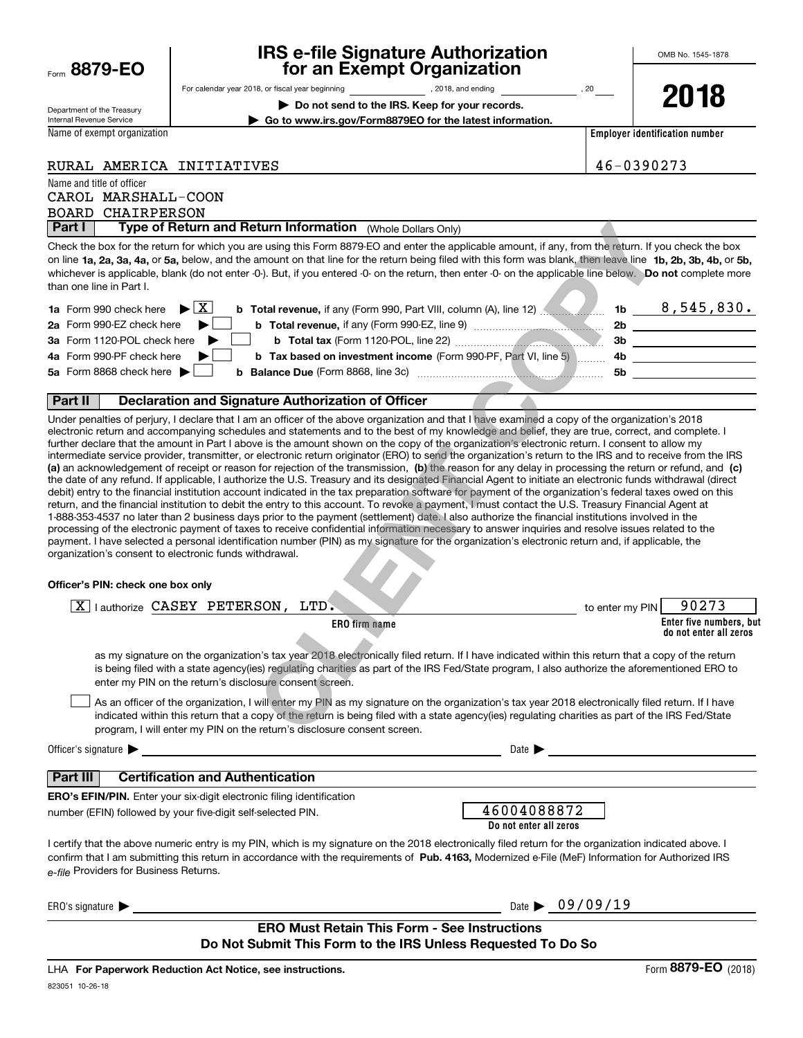| Form 8879-EO |  |
|--------------|--|
|              |  |

## **IRS e-file Signature Authorization for an Exempt Organization**

**| Do not send to the IRS. Keep for your records.**

For calendar year 2018, or fiscal year beginning and the state of the state of 2018, and ending calendary permu

Department of the Treasury Internal Revenue Service

Name of exempt organization

**2018**

**| Go to www.irs.gov/Form8879EO for the latest information.**

**Employer identification number**

|  | RURAL AMERICA INITIATIVES |
|--|---------------------------|
|  |                           |

Name and title of officer CAROL MARSHALL-COON RURAL AMERICA INITIATIVES 46-0390273

**Part I** | Type of Return and Return Information (Whole Dollars Only) BOARD CHAIRPERSON

on line **1a, 2a, 3a, 4a,** or **5a,** below, and the amount on that line for the return being filed with this form was blank, then leave line  $\,$  1b, 2b, 3b, 4b, or 5b, 3b, 4b, or 5b,  $\,$ whichever is applicable, blank (do not enter -0-). But, if you entered -0- on the return, then enter -0- on the applicable line below. Do not complete more Check the box for the return for which you are using this Form 8879-EO and enter the applicable amount, if any, from the return. If you check the box than one line in Part I.

| <b>1a</b> Form 990 check here $\triangleright$ $\boxed{X}$<br>b Total revenue, if any (Form 990, Part VIII, column (A), line 12) | 1 <sub>b</sub> | $8,545,830$ . |
|----------------------------------------------------------------------------------------------------------------------------------|----------------|---------------|
| 2a Form 990-EZ check here<br><b>b</b> Total revenue, if any (Form 990-EZ, line 9) <i>managerage</i>                              | 2b             |               |
| 3a Form 1120-POL check here<br><b>b</b> Total tax (Form 1120-POL, line 22) <b>manually and the State of Total</b>                | Зb             |               |
| 4a Form 990-PF check here<br><b>b</b> Tax based on investment income (Form 990-PF, Part VI, line 5)                              | 4b.            |               |
| 5a Form 8868 check here $\blacktriangleright$<br><b>b</b> Balance Due (Form 8868, line 3c)                                       | .5b            |               |
|                                                                                                                                  |                |               |

#### **Part II Declaration and Signature Authorization of Officer**

(a) an acknowledgement of receipt or reason for rejection of the transmission, (b) the reason for any delay in processing the return or refund, and (c) Under penalties of perjury, I declare that I am an officer of the above organization and that I have examined a copy of the organization's 2018 electronic return and accompanying schedules and statements and to the best of my knowledge and belief, they are true, correct, and complete. I further declare that the amount in Part I above is the amount shown on the copy of the organization's electronic return. I consent to allow my intermediate service provider, transmitter, or electronic return originator (ERO) to send the organization's return to the IRS and to receive from the IRS the date of any refund. If applicable, I authorize the U.S. Treasury and its designated Financial Agent to initiate an electronic funds withdrawal (direct debit) entry to the financial institution account indicated in the tax preparation software for payment of the organization's federal taxes owed on this return, and the financial institution to debit the entry to this account. To revoke a payment, I must contact the U.S. Treasury Financial Agent at 1-888-353-4537 no later than 2 business days prior to the payment (settlement) date. I also authorize the financial institutions involved in the processing of the electronic payment of taxes to receive confidential information necessary to answer inquiries and resolve issues related to the payment. I have selected a personal identification number (PIN) as my signature for the organization's electronic return and, if applicable, the organization's consent to electronic funds withdrawal. **Example instrances and entire the applicable annount, if any, from the return if y<br>any ins Form 8879EO and enter the applicable amount, if any, from the return. If y<br>any insort on that line for the return being field with** 

#### **Officer's PIN: check one box only**

| I authorize CASEY PETERSON,<br>LTD.<br>X                                                                                                                                                                                                                                                                                                                                         | to enter my PIN                | 90273                                             |
|----------------------------------------------------------------------------------------------------------------------------------------------------------------------------------------------------------------------------------------------------------------------------------------------------------------------------------------------------------------------------------|--------------------------------|---------------------------------------------------|
| ERO firm name                                                                                                                                                                                                                                                                                                                                                                    |                                | Enter five numbers, but<br>do not enter all zeros |
| as my signature on the organization's tax year 2018 electronically filed return. If I have indicated within this return that a copy of the return<br>is being filed with a state agency(ies) regulating charities as part of the IRS Fed/State program, I also authorize the aforementioned ERO to<br>enter my PIN on the return's disclosure consent screen.                    |                                |                                                   |
| As an officer of the organization, I will enter my PIN as my signature on the organization's tax year 2018 electronically filed return. If I have<br>indicated within this return that a copy of the return is being filed with a state agency(ies) regulating charities as part of the IRS Fed/State<br>program, I will enter my PIN on the return's disclosure consent screen. |                                |                                                   |
| Officer's signature $\blacktriangleright$<br>Date $\blacktriangleright$                                                                                                                                                                                                                                                                                                          |                                |                                                   |
| <b>Certification and Authentication</b><br>Part III                                                                                                                                                                                                                                                                                                                              |                                |                                                   |
| <b>ERO's EFIN/PIN.</b> Enter your six-digit electronic filing identification<br>46004088872<br>number (EFIN) followed by your five-digit self-selected PIN.<br>Do not enter all zeros                                                                                                                                                                                            |                                |                                                   |
| I certify that the above numeric entry is my PIN, which is my signature on the 2018 electronically filed return for the organization indicated above. I<br>confirm that I am submitting this return in accordance with the requirements of Pub. 4163, Modernized e-File (MeF) Information for Authorized IRS<br>e-file Providers for Business Returns.                           |                                |                                                   |
| ERO's signature $\blacktriangleright$                                                                                                                                                                                                                                                                                                                                            | Date $\triangleright$ 09/09/19 |                                                   |
| <b>ERO Must Retain This Form - See Instructions</b><br>Do Not Submit This Form to the IRS Unless Requested To Do So                                                                                                                                                                                                                                                              |                                |                                                   |

LHA For Paperwork Reduction Act Notice, see instructions.

Form (2018) **8879-EO**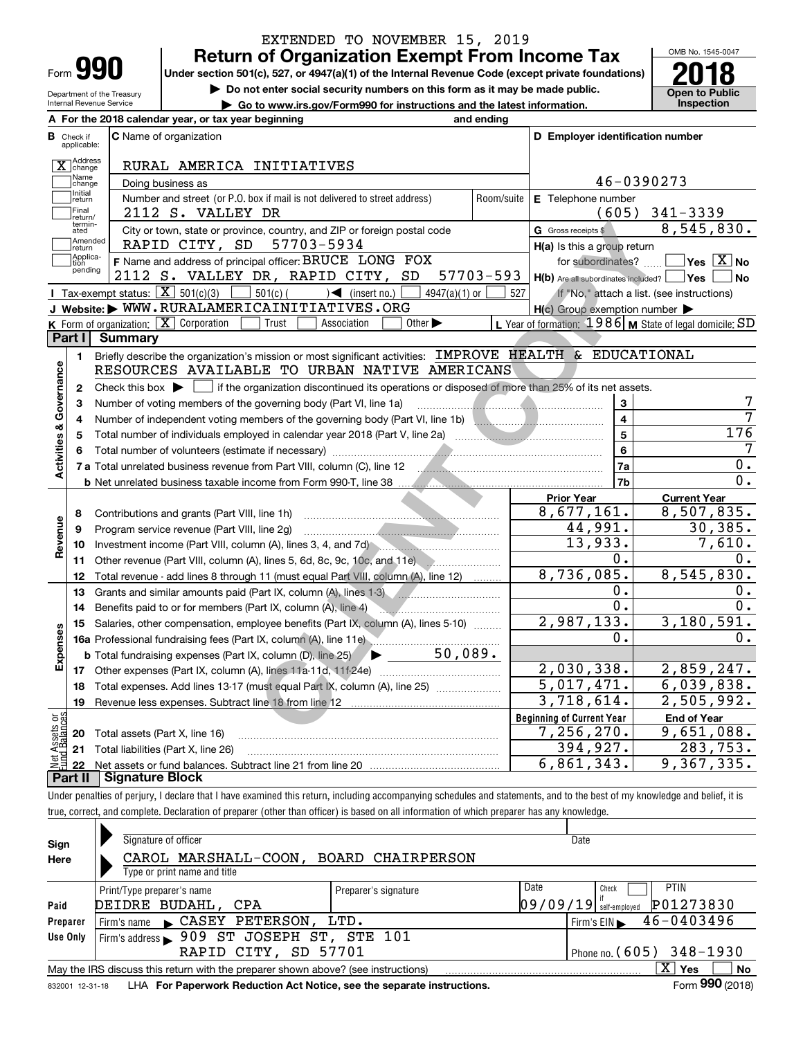| Form |  |
|------|--|

## **Return of Organization Exempt From Income Tax** EXTENDED TO NOVEMBER 15, 2019

Under section 501(c), 527, or 4947(a)(1) of the Internal Revenue Code (except private foundations) **2018** 

Department of the Treasury Internal Revenue Service

**| Do not enter social security numbers on this form as it may be made public.**

**| Go to www.irs.gov/Form990 for instructions and the latest information. Inspection**

OMB No. 1545-0047 **Open to Public** 

|                              | A For the 2018 calendar year, or tax year beginning                                                                                                 | and ending |                                                     |                                                           |
|------------------------------|-----------------------------------------------------------------------------------------------------------------------------------------------------|------------|-----------------------------------------------------|-----------------------------------------------------------|
| В<br>Check if<br>applicable: | <b>C</b> Name of organization                                                                                                                       |            | D Employer identification number                    |                                                           |
| X Address                    | RURAL AMERICA INITIATIVES                                                                                                                           |            |                                                     |                                                           |
| Name<br>change               | Doing business as                                                                                                                                   |            |                                                     | 46-0390273                                                |
| Initial<br>return            | Number and street (or P.O. box if mail is not delivered to street address)                                                                          | Room/suite | E Telephone number                                  |                                                           |
| <b>Final</b><br>return/      | 2112 S. VALLEY DR                                                                                                                                   |            |                                                     | $(605)$ 341-3339                                          |
| termin-<br>ated              | City or town, state or province, country, and ZIP or foreign postal code                                                                            |            | G Gross receipts \$                                 | 8,545,830.                                                |
| Amended<br>return            | RAPID CITY, SD<br>57703-5934                                                                                                                        |            | H(a) Is this a group return                         |                                                           |
| Applica-<br>tion             | F Name and address of principal officer: BRUCE LONG FOX                                                                                             |            | for subordinates?                                   | $\overline{\mathsf{Yes} \mathrel{\overline{X}}$ No        |
| pending                      | 2112 S. VALLEY DR, RAPID CITY, SD                                                                                                                   | 57703-593  | H(b) Are all subordinates included?   Yes           | No                                                        |
|                              | Tax-exempt status: $\boxed{\mathbf{X}}$ 501(c)(3)<br>$501(c)$ (<br>$\sqrt{\frac{1}{1}}$ (insert no.)<br>$4947(a)(1)$ or                             | 527        |                                                     | If "No," attach a list. (see instructions)                |
|                              | J Website: WWW.RURALAMERICAINITIATIVES.ORG                                                                                                          |            | $H(c)$ Group exemption number $\blacktriangleright$ |                                                           |
|                              | K Form of organization: $\boxed{\mathbf{X}}$ Corporation<br>Trust<br>Association<br>Other $\blacktriangleright$                                     |            |                                                     | L Year of formation: 1986   M State of legal domicile: SD |
| Part I                       | <b>Summary</b>                                                                                                                                      |            |                                                     |                                                           |
| 1.                           | Briefly describe the organization's mission or most significant activities: IMPROVE HEALTH & EDUCATIONAL                                            |            |                                                     |                                                           |
|                              | RESOURCES AVAILABLE TO URBAN NATIVE AMERICANS                                                                                                       |            |                                                     |                                                           |
| $\mathbf{2}$                 | Check this box $\blacktriangleright$ $\blacksquare$ if the organization discontinued its operations or disposed of more than 25% of its net assets. |            |                                                     |                                                           |
| Activities & Governance<br>3 | Number of voting members of the governing body (Part VI, line 1a)                                                                                   |            | 3                                                   | 7                                                         |
| 4                            | Number of independent voting members of the governing body (Part VI, line 1b)                                                                       |            | $\overline{\mathbf{4}}$                             | 7                                                         |
| 5                            |                                                                                                                                                     |            | 5                                                   | 176                                                       |
|                              |                                                                                                                                                     | 6          | 7                                                   |                                                           |
|                              | 7 a Total unrelated business revenue from Part VIII, column (C), line 12                                                                            |            | 7a                                                  | $\overline{0}$ .                                          |
|                              |                                                                                                                                                     |            | 7b                                                  | 0.                                                        |
|                              |                                                                                                                                                     |            | <b>Prior Year</b>                                   | <b>Current Year</b>                                       |
| 8                            | Contributions and grants (Part VIII, line 1h)                                                                                                       |            | 8,677,161.                                          | 8,507,835.                                                |
| Revenue<br>9                 | Program service revenue (Part VIII, line 2g)                                                                                                        |            | 44,991.                                             | 30, 385.                                                  |
| 10                           |                                                                                                                                                     |            | 13,933.                                             | 7,610.                                                    |
| 11                           | Other revenue (Part VIII, column (A), lines 5, 6d, 8c, 9c, 10c, and 11e)                                                                            |            | 0.                                                  | 0.                                                        |
| 12                           | Total revenue - add lines 8 through 11 (must equal Part VIII, column (A), line 12)                                                                  |            | 8,736,085.                                          | 8,545,830.                                                |
| 13                           | Grants and similar amounts paid (Part IX, column (A), lines 1-3)                                                                                    |            | 0.                                                  | 0.                                                        |
| 14                           | Benefits paid to or for members (Part IX, column (A), line 4)                                                                                       |            | 0.                                                  | 0.                                                        |
| 15                           | Salaries, other compensation, employee benefits (Part IX, column (A), lines 5-10)                                                                   |            | 2,987,133.                                          | 3,180,591.                                                |
|                              | 16a Professional fundraising fees (Part IX, column (A), line 11e)                                                                                   |            | 0.                                                  | 0.                                                        |
| Expenses                     | 50,089.<br><b>b</b> Total fundraising expenses (Part IX, column (D), line 25)<br>$\blacktriangleright$ and $\blacktriangleright$                    |            |                                                     |                                                           |
|                              |                                                                                                                                                     |            | 2,030,338.                                          | 2,859,247.                                                |
|                              | 18 Total expenses. Add lines 13-17 (must equal Part IX, column (A), line 25)                                                                        |            | $\overline{5,017,471}$ .                            | 6,039,838.                                                |
| 19                           |                                                                                                                                                     |            | 3,718,614.                                          | 2,505,992.                                                |
|                              |                                                                                                                                                     |            | <b>Beginning of Current Year</b>                    | <b>End of Year</b>                                        |
|                              |                                                                                                                                                     |            | 7,256,270.                                          | $\overline{9,651,088}$ .                                  |
|                              | <b>20</b> Total assets (Part X, line 16)                                                                                                            |            |                                                     |                                                           |
| ត្តម្<br>sets                | 21 Total liabilities (Part X, line 26)                                                                                                              |            | 394,927.<br>6,861,343.                              | 283,753.<br>9,367,335.                                    |
|                              |                                                                                                                                                     |            |                                                     |                                                           |

Under penalties of perjury, I declare that I have examined this return, including accompanying schedules and statements, and to the best of my knowledge and belief, it is true, correct, and complete. Declaration of preparer (other than officer) is based on all information of which preparer has any knowledge.

| Sign     | Signature of officer                                                                                                  |                      |      | Date                                           |  |  |  |  |
|----------|-----------------------------------------------------------------------------------------------------------------------|----------------------|------|------------------------------------------------|--|--|--|--|
| Here     | CAROL MARSHALL-COON,                                                                                                  | BOARD CHAIRPERSON    |      |                                                |  |  |  |  |
|          | Type or print name and title                                                                                          |                      |      |                                                |  |  |  |  |
|          | Print/Type preparer's name                                                                                            | Preparer's signature | Date | <b>PTIN</b><br>Check                           |  |  |  |  |
| Paid     | DEIDRE BUDAHL, CPA                                                                                                    |                      |      | P01273830<br>$09/09/19$ self-employed          |  |  |  |  |
| Preparer | Firm's name CASEY PETERSON,                                                                                           | LTD.                 |      | 46-0403496<br>$Firm's EIN \blacktriangleright$ |  |  |  |  |
| Use Only | Firm's address > 909 ST JOSEPH ST, STE 101                                                                            |                      |      |                                                |  |  |  |  |
|          | RAPID CITY, SD 57701                                                                                                  |                      |      | Phone no. $(605)$ 348-1930                     |  |  |  |  |
|          | $\mathbf{X}$<br><b>No</b><br>May the IRS discuss this return with the preparer shown above? (see instructions)<br>Yes |                      |      |                                                |  |  |  |  |
|          | Form 990 (2018)<br>LHA For Paperwork Reduction Act Notice, see the separate instructions.<br>832001 12-31-18          |                      |      |                                                |  |  |  |  |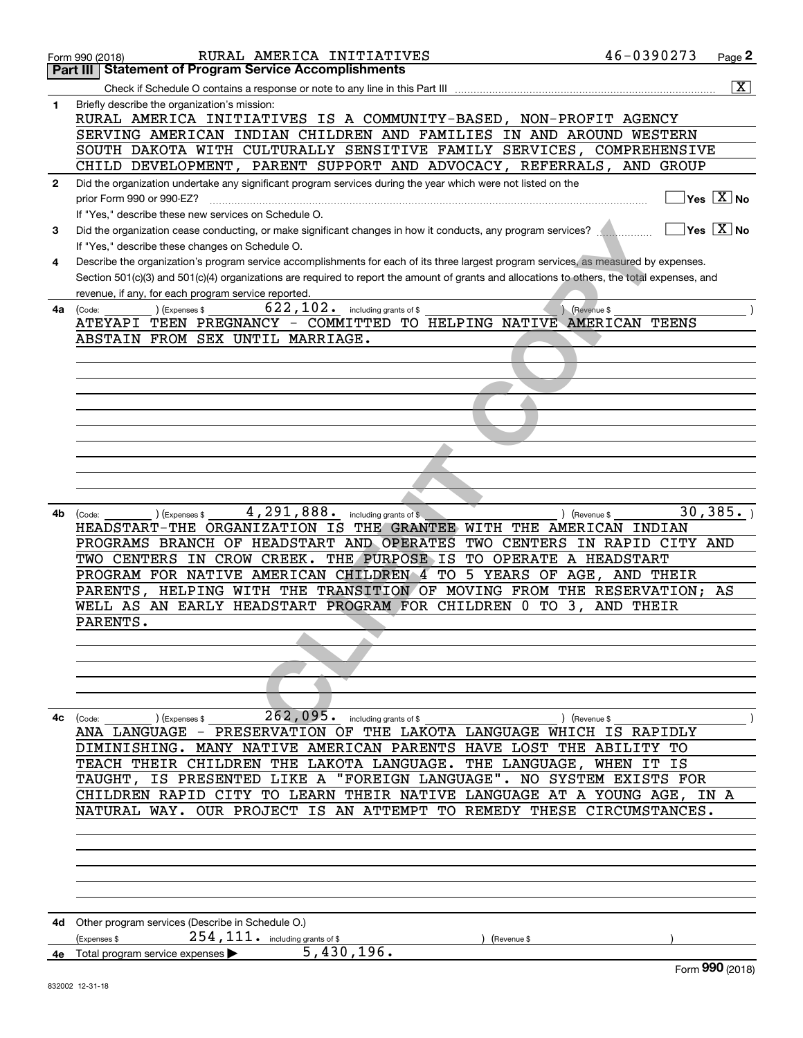|              | RURAL AMERICA INITIATIVES<br>Form 990 (2018)                                                                                                 | 46-0390273 | Page $2$                               |
|--------------|----------------------------------------------------------------------------------------------------------------------------------------------|------------|----------------------------------------|
|              | <b>Statement of Program Service Accomplishments</b><br>Part III                                                                              |            |                                        |
|              |                                                                                                                                              |            | $\overline{\mathbf{X}}$                |
| 1            | Briefly describe the organization's mission:                                                                                                 |            |                                        |
|              | RURAL AMERICA INITIATIVES IS A COMMUNITY-BASED, NON-PROFIT AGENCY                                                                            |            |                                        |
|              | SERVING AMERICAN INDIAN CHILDREN AND FAMILIES IN AND AROUND WESTERN                                                                          |            |                                        |
|              | SOUTH DAKOTA WITH CULTURALLY SENSITIVE FAMILY SERVICES, COMPREHENSIVE                                                                        |            |                                        |
|              | CHILD DEVELOPMENT, PARENT SUPPORT AND ADVOCACY, REFERRALS, AND GROUP                                                                         |            |                                        |
|              |                                                                                                                                              |            |                                        |
| $\mathbf{2}$ | Did the organization undertake any significant program services during the year which were not listed on the                                 |            | $\sqrt{\ }$ Yes $\sqrt{\ \text{X}}$ No |
|              |                                                                                                                                              |            |                                        |
|              | If "Yes," describe these new services on Schedule O.                                                                                         |            |                                        |
| 3            | Did the organization cease conducting, or make significant changes in how it conducts, any program services?                                 |            | $\sqrt{}$ Yes $\sqrt{}$ X $\sqrt{}$ No |
|              | If "Yes," describe these changes on Schedule O.                                                                                              |            |                                        |
| 4            | Describe the organization's program service accomplishments for each of its three largest program services, as measured by expenses.         |            |                                        |
|              | Section 501(c)(3) and 501(c)(4) organizations are required to report the amount of grants and allocations to others, the total expenses, and |            |                                        |
|              | revenue, if any, for each program service reported.                                                                                          |            |                                        |
| 4a           | $\overline{622,102}$ including grants of \$<br>(Expenses \$<br>(Code:<br>(Revenue \$                                                         |            |                                        |
|              | ATEYAPI TEEN PREGNANCY - COMMITTED TO HELPING NATIVE AMERICAN TEENS                                                                          |            |                                        |
|              | ABSTAIN FROM SEX UNTIL MARRIAGE.                                                                                                             |            |                                        |
|              |                                                                                                                                              |            |                                        |
|              |                                                                                                                                              |            |                                        |
|              |                                                                                                                                              |            |                                        |
|              |                                                                                                                                              |            |                                        |
|              |                                                                                                                                              |            |                                        |
|              |                                                                                                                                              |            |                                        |
|              |                                                                                                                                              |            |                                        |
|              |                                                                                                                                              |            |                                        |
|              |                                                                                                                                              |            |                                        |
|              |                                                                                                                                              |            |                                        |
| 4b           | $4,291,888$ including grants of \$<br>) (Expenses \$<br>) (Revenue \$<br>(Code:                                                              |            | 30, 385.                               |
|              | HEADSTART-THE ORGANIZATION IS THE GRANTEE WITH THE AMERICAN INDIAN                                                                           |            |                                        |
|              | PROGRAMS BRANCH OF HEADSTART AND OPERATES TWO CENTERS IN RAPID CITY AND                                                                      |            |                                        |
|              | TWO CENTERS IN CROW CREEK. THE PURPOSE IS TO OPERATE A HEADSTART                                                                             |            |                                        |
|              | PROGRAM FOR NATIVE AMERICAN CHILDREN 4 TO 5 YEARS OF AGE, AND THEIR                                                                          |            |                                        |
|              | PARENTS, HELPING WITH THE TRANSITION OF MOVING FROM THE RESERVATION; AS                                                                      |            |                                        |
|              | WELL AS AN EARLY HEADSTART PROGRAM FOR CHILDREN 0 TO 3, AND THEIR                                                                            |            |                                        |
|              | PARENTS.                                                                                                                                     |            |                                        |
|              |                                                                                                                                              |            |                                        |
|              |                                                                                                                                              |            |                                        |
|              |                                                                                                                                              |            |                                        |
|              |                                                                                                                                              |            |                                        |
|              |                                                                                                                                              |            |                                        |
| 4с           | $262,095$ . including grants of \$<br>) (Expenses \$<br>) (Revenue \$<br>(Code:                                                              |            |                                        |
|              | ANA LANGUAGE - PRESERVATION OF THE LAKOTA LANGUAGE WHICH IS RAPIDLY                                                                          |            |                                        |
|              | DIMINISHING. MANY NATIVE AMERICAN PARENTS HAVE LOST THE ABILITY TO                                                                           |            |                                        |
|              | TEACH THEIR CHILDREN THE LAKOTA LANGUAGE. THE LANGUAGE, WHEN                                                                                 | IT IS      |                                        |
|              | "FOREIGN LANGUAGE". NO SYSTEM EXISTS FOR<br>TAUGHT, IS PRESENTED LIKE A                                                                      |            |                                        |
|              | CHILDREN RAPID CITY TO LEARN THEIR NATIVE LANGUAGE AT A YOUNG AGE, IN A                                                                      |            |                                        |
|              | NATURAL WAY. OUR PROJECT IS AN ATTEMPT TO REMEDY THESE CIRCUMSTANCES.                                                                        |            |                                        |
|              |                                                                                                                                              |            |                                        |
|              |                                                                                                                                              |            |                                        |
|              |                                                                                                                                              |            |                                        |
|              |                                                                                                                                              |            |                                        |
|              |                                                                                                                                              |            |                                        |
|              |                                                                                                                                              |            |                                        |
|              |                                                                                                                                              |            |                                        |
| 4d -         | Other program services (Describe in Schedule O.)                                                                                             |            |                                        |
|              | 254, 111. including grants of \$<br>Expenses \$<br>(Revenue \$                                                                               |            |                                        |
| 4е           | 5,430,196.<br>Total program service expenses                                                                                                 |            |                                        |
|              |                                                                                                                                              |            | Form 990 (2018)                        |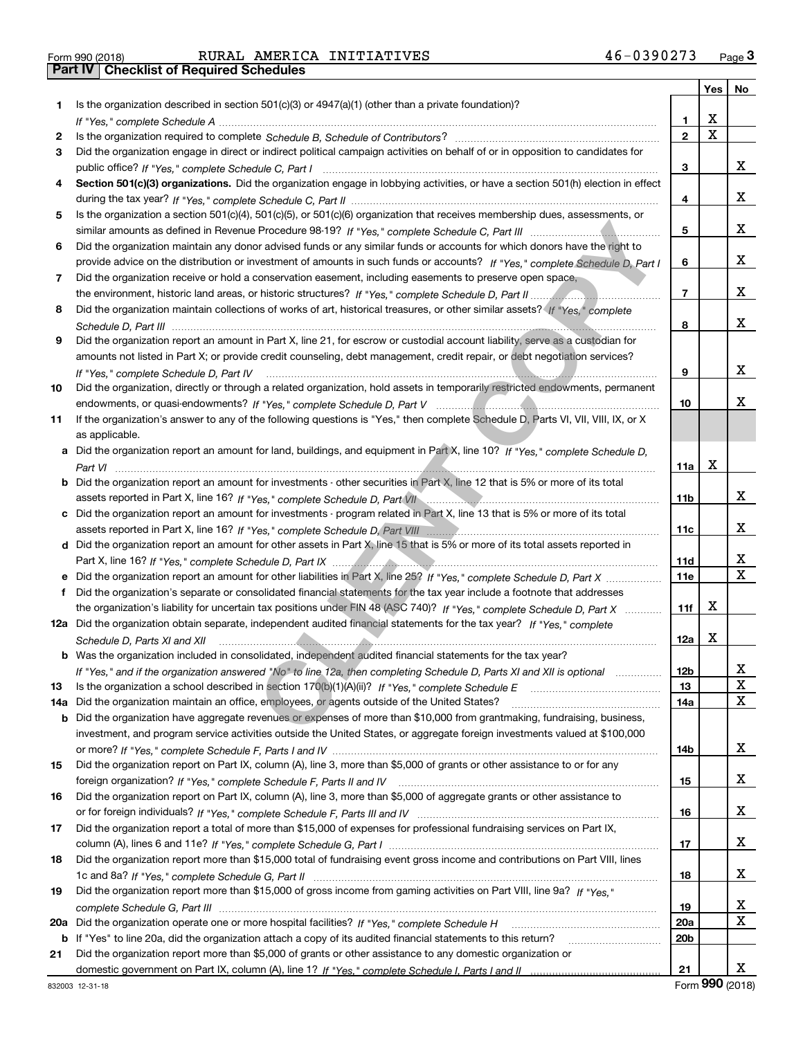| Form 990 (2018) |  |  |
|-----------------|--|--|

|     |                                                                                                                                    |                 | Yes         | No |
|-----|------------------------------------------------------------------------------------------------------------------------------------|-----------------|-------------|----|
| 1.  | Is the organization described in section $501(c)(3)$ or $4947(a)(1)$ (other than a private foundation)?                            |                 |             |    |
|     |                                                                                                                                    | 1               | x           |    |
| 2   |                                                                                                                                    | $\mathbf{2}$    | $\mathbf X$ |    |
| 3   | Did the organization engage in direct or indirect political campaign activities on behalf of or in opposition to candidates for    |                 |             |    |
|     |                                                                                                                                    | 3               |             | x  |
| 4   | Section 501(c)(3) organizations. Did the organization engage in lobbying activities, or have a section 501(h) election in effect   |                 |             |    |
|     |                                                                                                                                    | 4               |             | х  |
| 5   | Is the organization a section 501(c)(4), 501(c)(5), or 501(c)(6) organization that receives membership dues, assessments, or       |                 |             |    |
|     |                                                                                                                                    | 5               |             | х  |
| 6   | Did the organization maintain any donor advised funds or any similar funds or accounts for which donors have the right to          |                 |             |    |
|     | provide advice on the distribution or investment of amounts in such funds or accounts? If "Yes," complete Schedule D. Part I       | 6               |             | х  |
| 7   | Did the organization receive or hold a conservation easement, including easements to preserve open space,                          |                 |             |    |
|     |                                                                                                                                    | 7               |             | х  |
| 8   | Did the organization maintain collections of works of art, historical treasures, or other similar assets? (If "Yes," complete      |                 |             |    |
|     |                                                                                                                                    | 8               |             | x  |
| 9   | Did the organization report an amount in Part X, line 21, for escrow or custodial account liability, serve as a custodian for      |                 |             |    |
|     | amounts not listed in Part X; or provide credit counseling, debt management, credit repair, or debt negotiation services?          |                 |             |    |
|     |                                                                                                                                    | 9               |             | х  |
|     | If "Yes." complete Schedule D. Part IV                                                                                             |                 |             |    |
| 10  | Did the organization, directly or through a related organization, hold assets in temporarily restricted endowments, permanent      |                 |             | x  |
|     |                                                                                                                                    | 10              |             |    |
| 11  | If the organization's answer to any of the following questions is "Yes," then complete Schedule D, Parts VI, VII, VIII, IX, or X   |                 |             |    |
|     | as applicable.                                                                                                                     |                 |             |    |
| a   | Did the organization report an amount for land, buildings, and equipment in Part X, line 10? $H$ "Yes," complete Schedule D,       |                 |             |    |
|     |                                                                                                                                    | 11a             | х           |    |
| b   | Did the organization report an amount for investments - other securities in Part X, line 12 that is 5% or more of its total        |                 |             |    |
|     |                                                                                                                                    | 11 <sub>b</sub> |             | x  |
|     | c Did the organization report an amount for investments - program related in Part X, line 13 that is 5% or more of its total       |                 |             |    |
|     |                                                                                                                                    | 11c             |             | х  |
|     | d Did the organization report an amount for other assets in Part X, line 15 that is 5% or more of its total assets reported in     |                 |             |    |
|     |                                                                                                                                    | 11d             |             | х  |
|     | Did the organization report an amount for other liabilities in Part X, line 25? If "Yes," complete Schedule D, Part X              | 11e             |             | X  |
| f   | Did the organization's separate or consolidated financial statements for the tax year include a footnote that addresses            |                 |             |    |
|     | the organization's liability for uncertain tax positions under FIN 48 (ASC 740)? If "Yes," complete Schedule D, Part X             | 11f             | х           |    |
|     | 12a Did the organization obtain separate, independent audited financial statements for the tax year? If "Yes," complete            |                 |             |    |
|     | Schedule D, Parts XI and XII                                                                                                       | 12a             | X           |    |
|     | <b>b</b> Was the organization included in consolidated, independent audited financial statements for the tax year?                 |                 |             |    |
|     | If "Yes," and if the organization answered "No" to line 12a, then completing Schedule D, Parts XI and XII is optional metalliminal | 12 <sub>b</sub> |             | х  |
| 13  | Is the organization a school described in section $170(b)(1)(A)(ii)?$ If "Yes," complete Schedule E                                | 13              |             | X  |
| 14a | Did the organization maintain an office, employees, or agents outside of the United States?                                        | 14a             |             | х  |
| b   | Did the organization have aggregate revenues or expenses of more than \$10,000 from grantmaking, fundraising, business,            |                 |             |    |
|     | investment, and program service activities outside the United States, or aggregate foreign investments valued at \$100,000         |                 |             |    |
|     |                                                                                                                                    | 14b             |             | x  |
| 15  | Did the organization report on Part IX, column (A), line 3, more than \$5,000 of grants or other assistance to or for any          |                 |             |    |
|     |                                                                                                                                    | 15              |             | x  |
| 16  | Did the organization report on Part IX, column (A), line 3, more than \$5,000 of aggregate grants or other assistance to           |                 |             |    |
|     |                                                                                                                                    | 16              |             | x  |
| 17  | Did the organization report a total of more than \$15,000 of expenses for professional fundraising services on Part IX,            |                 |             |    |
|     |                                                                                                                                    | 17              |             | x  |
| 18  | Did the organization report more than \$15,000 total of fundraising event gross income and contributions on Part VIII, lines       |                 |             |    |
|     |                                                                                                                                    | 18              |             | x  |
| 19  | Did the organization report more than \$15,000 of gross income from gaming activities on Part VIII, line 9a? If "Yes."             |                 |             |    |
|     |                                                                                                                                    | 19              |             | X  |
| 20a |                                                                                                                                    | 20a             |             | x  |
| b   | If "Yes" to line 20a, did the organization attach a copy of its audited financial statements to this return?                       | 20 <sub>b</sub> |             |    |
| 21  | Did the organization report more than \$5,000 of grants or other assistance to any domestic organization or                        |                 |             |    |
|     |                                                                                                                                    | 21              |             | x  |
|     |                                                                                                                                    |                 |             |    |

Form (2018) **990**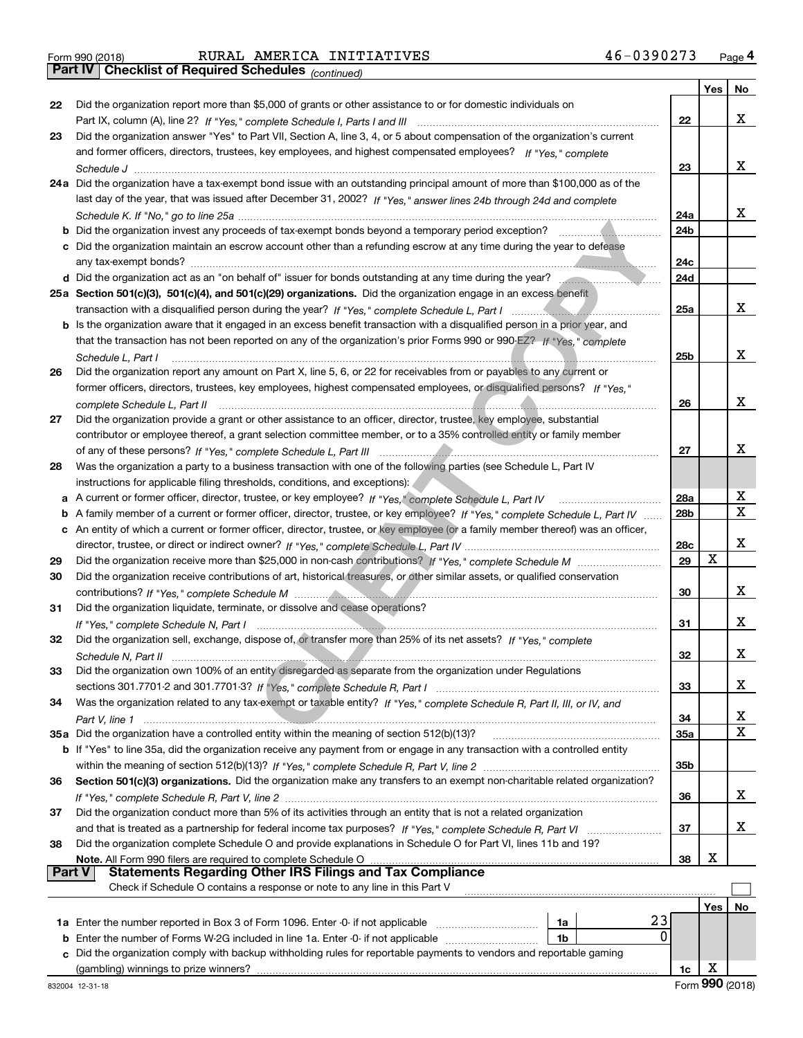|  | Form 990 (2018) |  |
|--|-----------------|--|
|  |                 |  |

# Form 990 (2018) RURAL AMERICA INITIATIVES 4 6-0 3 9 0 2 7 3 <sub>Page</sub> 4<br>**Part IV | Checklist of Required Schedules** <sub>(continued)</sub>

*(continued)*

|        |                                                                                                                                     |                 | Yes | No          |
|--------|-------------------------------------------------------------------------------------------------------------------------------------|-----------------|-----|-------------|
| 22     | Did the organization report more than \$5,000 of grants or other assistance to or for domestic individuals on                       |                 |     |             |
|        |                                                                                                                                     | 22              |     | х           |
| 23     | Did the organization answer "Yes" to Part VII, Section A, line 3, 4, or 5 about compensation of the organization's current          |                 |     |             |
|        | and former officers, directors, trustees, key employees, and highest compensated employees? If "Yes," complete                      |                 |     |             |
|        |                                                                                                                                     | 23              |     | x           |
|        | 24a Did the organization have a tax-exempt bond issue with an outstanding principal amount of more than \$100,000 as of the         |                 |     |             |
|        | last day of the year, that was issued after December 31, 2002? If "Yes," answer lines 24b through 24d and complete                  |                 |     |             |
|        |                                                                                                                                     | 24a             |     | x           |
|        | <b>b</b> Did the organization invest any proceeds of tax-exempt bonds beyond a temporary period exception?                          | 24 <sub>b</sub> |     |             |
|        | c Did the organization maintain an escrow account other than a refunding escrow at any time during the year to defease              |                 |     |             |
|        | any tax-exempt bonds?                                                                                                               | 24c             |     |             |
|        | d Did the organization act as an "on behalf of" issuer for bonds outstanding at any time during the year?                           | 24d             |     |             |
|        | 25a Section 501(c)(3), 501(c)(4), and 501(c)(29) organizations. Did the organization engage in an excess benefit                    |                 |     |             |
|        |                                                                                                                                     | 25a             |     | x           |
|        | <b>b</b> Is the organization aware that it engaged in an excess benefit transaction with a disqualified person in a prior year, and |                 |     |             |
|        | that the transaction has not been reported on any of the organization's prior Forms 990 or 990-EZ? If "Yes." complete               |                 |     |             |
|        | Schedule L, Part I                                                                                                                  | 25b             |     | х           |
| 26     | Did the organization report any amount on Part X, line 5, 6, or 22 for receivables from or payables to any current or               |                 |     |             |
|        | former officers, directors, trustees, key employees, highest compensated employees, or disqualified persons? If "Yes."              |                 |     |             |
|        | complete Schedule L. Part II                                                                                                        | 26              |     | x           |
| 27     | Did the organization provide a grant or other assistance to an officer, director, trustee, key employee, substantial                |                 |     |             |
|        | contributor or employee thereof, a grant selection committee member, or to a 35% controlled entity or family member                 |                 |     |             |
|        |                                                                                                                                     | 27              |     | x           |
| 28     | Was the organization a party to a business transaction with one of the following parties (see Schedule L, Part IV                   |                 |     |             |
|        | instructions for applicable filing thresholds, conditions, and exceptions):                                                         |                 |     |             |
| a      | A current or former officer, director, trustee, or key employee? If "Yes," complete Schedule L, Part IV                             | 28a             |     | X           |
| b      | A family member of a current or former officer, director, trustee, or key employee? If "Yes," complete Schedule L, Part IV          | 28b             |     | $\mathbf x$ |
| c      | An entity of which a current or former officer, director, trustee, or key employee (or a family member thereof) was an officer,     |                 |     |             |
|        |                                                                                                                                     | 28c             |     | x           |
| 29     |                                                                                                                                     | 29              | X   |             |
| 30     | Did the organization receive contributions of art, historical treasures, or other similar assets, or qualified conservation         |                 |     |             |
|        |                                                                                                                                     | 30              |     | x           |
| 31     | Did the organization liquidate, terminate, or dissolve and cease operations?                                                        |                 |     |             |
|        |                                                                                                                                     | 31              |     | x           |
| 32     | Did the organization sell, exchange, dispose of, or transfer more than 25% of its net assets? If "Yes," complete                    |                 |     |             |
|        |                                                                                                                                     | 32              |     | X.          |
| 33     | Did the organization own 100% of an entity disregarded as separate from the organization under Regulations                          |                 |     |             |
|        |                                                                                                                                     | 33              |     | x           |
| 34     | Was the organization related to any tax-exempt or taxable entity? If "Yes," complete Schedule R, Part II, III, or IV, and           |                 |     |             |
|        |                                                                                                                                     | 34              |     | x           |
|        | 35a Did the organization have a controlled entity within the meaning of section 512(b)(13)?                                         | <b>35a</b>      |     | X           |
|        | b If "Yes" to line 35a, did the organization receive any payment from or engage in any transaction with a controlled entity         |                 |     |             |
|        |                                                                                                                                     | 35b             |     |             |
| 36     | Section 501(c)(3) organizations. Did the organization make any transfers to an exempt non-charitable related organization?          |                 |     |             |
|        |                                                                                                                                     | 36              |     | X.          |
| 37     | Did the organization conduct more than 5% of its activities through an entity that is not a related organization                    |                 |     |             |
|        |                                                                                                                                     | 37              |     | x           |
| 38     | Did the organization complete Schedule O and provide explanations in Schedule O for Part VI, lines 11b and 19?                      |                 |     |             |
|        | Note. All Form 990 filers are required to complete Schedule O                                                                       | 38              | х   |             |
| Part V | <b>Statements Regarding Other IRS Filings and Tax Compliance</b>                                                                    |                 |     |             |
|        | Check if Schedule O contains a response or note to any line in this Part V                                                          |                 |     |             |
|        |                                                                                                                                     |                 | Yes | No          |
|        | 23<br>1a                                                                                                                            |                 |     |             |
| b      | 0<br>Enter the number of Forms W-2G included in line 1a. Enter -0- if not applicable<br>1b                                          |                 |     |             |
|        | Did the organization comply with backup withholding rules for reportable payments to vendors and reportable gaming                  |                 |     |             |
|        |                                                                                                                                     | 1c              | X   |             |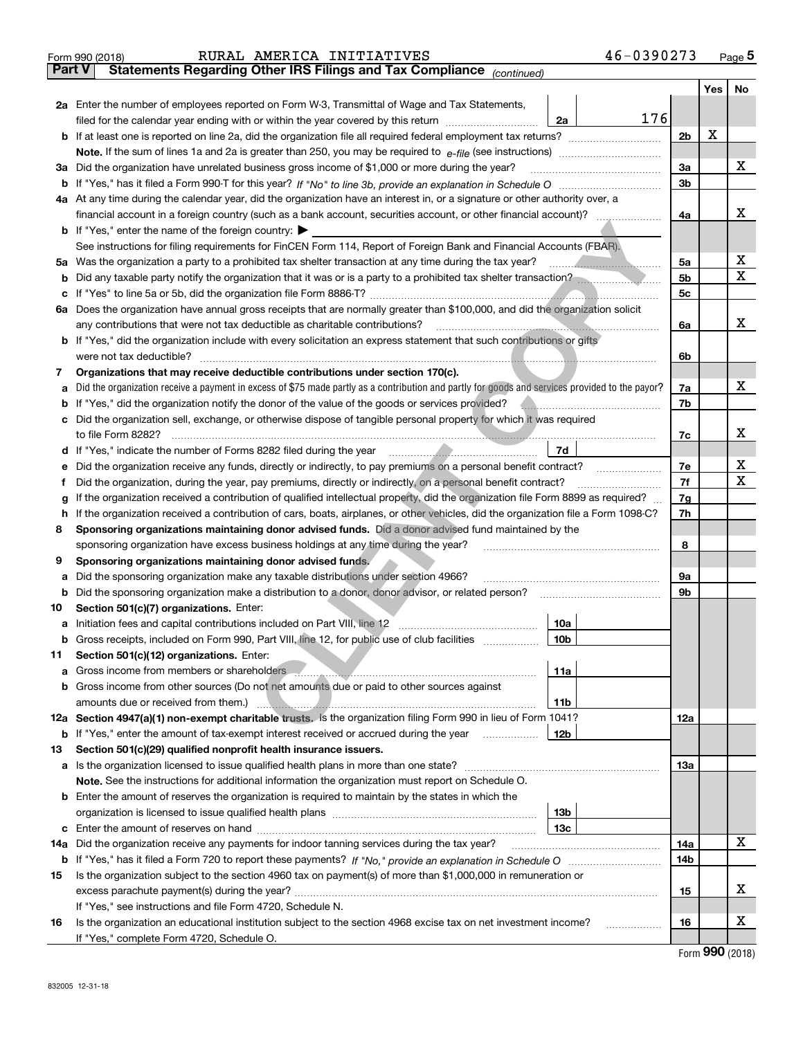| <b>Part V</b><br>Yes<br>No<br>2a Enter the number of employees reported on Form W-3, Transmittal of Wage and Tax Statements,<br>176<br>filed for the calendar year ending with or within the year covered by this return [11] [11] the calendar year ending with or within the year covered by this return<br>2a<br>X<br>2 <sub>b</sub><br>х<br>3a Did the organization have unrelated business gross income of \$1,000 or more during the year?<br>За<br>3 <sub>b</sub><br>4a At any time during the calendar year, did the organization have an interest in, or a signature or other authority over, a<br>х<br>financial account in a foreign country (such as a bank account, securities account, or other financial account)?<br>4a<br><b>b</b> If "Yes," enter the name of the foreign country: $\blacktriangleright$<br>See instructions for filing requirements for FinCEN Form 114, Report of Foreign Bank and Financial Accounts (FBAR).<br>х<br>5a Was the organization a party to a prohibited tax shelter transaction at any time during the tax year?<br>5а<br>$\mathbf X$<br>5 <sub>b</sub><br><b>b</b> Did any taxable party notify the organization that it was or is a party to a prohibited tax shelter transaction?<br>5 <sub>c</sub><br>с<br>6a Does the organization have annual gross receipts that are normally greater than \$100,000, and did the organization solicit<br>x<br>any contributions that were not tax deductible as charitable contributions?<br>6a<br>b If "Yes," did the organization include with every solicitation an express statement that such contributions or gifts<br>were not tax deductible?<br>6b<br>Organizations that may receive deductible contributions under section 170(c).<br>7<br>х<br>Did the organization receive a payment in excess of \$75 made partly as a contribution and partly for goods and services provided to the payor?<br>7a<br>а<br>7b<br>If "Yes," did the organization notify the donor of the value of the goods or services provided?<br>b<br>Did the organization sell, exchange, or otherwise dispose of tangible personal property for which it was required<br>с<br>х<br>7c<br>7d<br>d If "Yes," indicate the number of Forms 8282 filed during the year manufactured in the second of the way and the water of Forms 8282 filed during the year manufactured in the second of the water of the water of the water<br>х<br>7e<br>Did the organization receive any funds, directly or indirectly, to pay premiums on a personal benefit contract?<br>е<br>$\mathbf X$<br>7f<br>Did the organization, during the year, pay premiums, directly or indirectly, on a personal benefit contract?<br>Ť<br>If the organization received a contribution of qualified intellectual property, did the organization file Form 8899 as required?<br>7g<br>g<br>If the organization received a contribution of cars, boats, airplanes, or other vehicles, did the organization file a Form 1098-C?<br>7h<br>h<br>Sponsoring organizations maintaining donor advised funds. Did a donor advised fund maintained by the<br>8<br>8<br>sponsoring organization have excess business holdings at any time during the year?<br>Sponsoring organizations maintaining donor advised funds.<br>9<br>Did the sponsoring organization make any taxable distributions under section 4966?<br>9а<br>а<br>9b<br>Did the sponsoring organization make a distribution to a donor, donor advisor, or related person?<br>b<br>Section 501(c)(7) organizations. Enter:<br>10<br>10a<br><b>b</b> Gross receipts, included on Form 990, Part VIII, line 12, for public use of club facilities <i>manumum</i><br>10b<br>Section 501(c)(12) organizations. Enter:<br>11<br>11a<br>Gross income from members or shareholders <b>comes and continuum contract of the contract of the contract of the contract of the contract of the contract of the contract of the contract of the contract of the contract of the</b><br>a<br><b>b</b> Gross income from other sources (Do not net amounts due or paid to other sources against<br>amounts due or received from them.)<br>11b<br>12a Section 4947(a)(1) non-exempt charitable trusts. Is the organization filing Form 990 in lieu of Form 1041?<br>12a<br><b>b</b> If "Yes," enter the amount of tax-exempt interest received or accrued during the year<br>12b<br>Section 501(c)(29) qualified nonprofit health insurance issuers.<br>13<br>13а<br>Note. See the instructions for additional information the organization must report on Schedule O.<br><b>b</b> Enter the amount of reserves the organization is required to maintain by the states in which the<br>13 <sub>b</sub><br>13с<br>с<br>X<br>14a Did the organization receive any payments for indoor tanning services during the tax year?<br>14a<br>14b<br>Is the organization subject to the section 4960 tax on payment(s) of more than \$1,000,000 in remuneration or<br>15<br>х<br>15<br>If "Yes," see instructions and file Form 4720, Schedule N.<br>х<br>Is the organization an educational institution subject to the section 4968 excise tax on net investment income?<br>16<br>16<br>.<br>If "Yes," complete Form 4720, Schedule O. | 46-0390273<br>RURAL AMERICA INITIATIVES<br>Form 990 (2018)            |  | Page $5$ |
|----------------------------------------------------------------------------------------------------------------------------------------------------------------------------------------------------------------------------------------------------------------------------------------------------------------------------------------------------------------------------------------------------------------------------------------------------------------------------------------------------------------------------------------------------------------------------------------------------------------------------------------------------------------------------------------------------------------------------------------------------------------------------------------------------------------------------------------------------------------------------------------------------------------------------------------------------------------------------------------------------------------------------------------------------------------------------------------------------------------------------------------------------------------------------------------------------------------------------------------------------------------------------------------------------------------------------------------------------------------------------------------------------------------------------------------------------------------------------------------------------------------------------------------------------------------------------------------------------------------------------------------------------------------------------------------------------------------------------------------------------------------------------------------------------------------------------------------------------------------------------------------------------------------------------------------------------------------------------------------------------------------------------------------------------------------------------------------------------------------------------------------------------------------------------------------------------------------------------------------------------------------------------------------------------------------------------------------------------------------------------------------------------------------------------------------------------------------------------------------------------------------------------------------------------------------------------------------------------------------------------------------------------------------------------------------------------------------------------------------------------------------------------------------------------------------------------------------------------------------------------------------------------------------------------------------------------------------------------------------------------------------------------------------------------------------------------------------------------------------------------------------------------------------------------------------------------------------------------------------------------------------------------------------------------------------------------------------------------------------------------------------------------------------------------------------------------------------------------------------------------------------------------------------------------------------------------------------------------------------------------------------------------------------------------------------------------------------------------------------------------------------------------------------------------------------------------------------------------------------------------------------------------------------------------------------------------------------------------------------------------------------------------------------------------------------------------------------------------------------------------------------------------------------------------------------------------------------------------------------------------------------------------------------------------------------------------------------------------------------------------------------------------------------------------------------------------------------------------------------------------------------------------------------------------------------------------------------------------------------------------------------------------------------------------------------------------------------------------------------------------------------------------------------------------------------------------------------------------------------------------------------------------------------------------------------------------------------------------------------------------------------------------------------------------------------------------------------------------------------------------------------------------------------------------------------------------------------|-----------------------------------------------------------------------|--|----------|
|                                                                                                                                                                                                                                                                                                                                                                                                                                                                                                                                                                                                                                                                                                                                                                                                                                                                                                                                                                                                                                                                                                                                                                                                                                                                                                                                                                                                                                                                                                                                                                                                                                                                                                                                                                                                                                                                                                                                                                                                                                                                                                                                                                                                                                                                                                                                                                                                                                                                                                                                                                                                                                                                                                                                                                                                                                                                                                                                                                                                                                                                                                                                                                                                                                                                                                                                                                                                                                                                                                                                                                                                                                                                                                                                                                                                                                                                                                                                                                                                                                                                                                                                                                                                                                                                                                                                                                                                                                                                                                                                                                                                                                                                                                                                                                                                                                                                                                                                                                                                                                                                                                                                                                                                                | Statements Regarding Other IRS Filings and Tax Compliance (continued) |  |          |
|                                                                                                                                                                                                                                                                                                                                                                                                                                                                                                                                                                                                                                                                                                                                                                                                                                                                                                                                                                                                                                                                                                                                                                                                                                                                                                                                                                                                                                                                                                                                                                                                                                                                                                                                                                                                                                                                                                                                                                                                                                                                                                                                                                                                                                                                                                                                                                                                                                                                                                                                                                                                                                                                                                                                                                                                                                                                                                                                                                                                                                                                                                                                                                                                                                                                                                                                                                                                                                                                                                                                                                                                                                                                                                                                                                                                                                                                                                                                                                                                                                                                                                                                                                                                                                                                                                                                                                                                                                                                                                                                                                                                                                                                                                                                                                                                                                                                                                                                                                                                                                                                                                                                                                                                                |                                                                       |  |          |
|                                                                                                                                                                                                                                                                                                                                                                                                                                                                                                                                                                                                                                                                                                                                                                                                                                                                                                                                                                                                                                                                                                                                                                                                                                                                                                                                                                                                                                                                                                                                                                                                                                                                                                                                                                                                                                                                                                                                                                                                                                                                                                                                                                                                                                                                                                                                                                                                                                                                                                                                                                                                                                                                                                                                                                                                                                                                                                                                                                                                                                                                                                                                                                                                                                                                                                                                                                                                                                                                                                                                                                                                                                                                                                                                                                                                                                                                                                                                                                                                                                                                                                                                                                                                                                                                                                                                                                                                                                                                                                                                                                                                                                                                                                                                                                                                                                                                                                                                                                                                                                                                                                                                                                                                                |                                                                       |  |          |
|                                                                                                                                                                                                                                                                                                                                                                                                                                                                                                                                                                                                                                                                                                                                                                                                                                                                                                                                                                                                                                                                                                                                                                                                                                                                                                                                                                                                                                                                                                                                                                                                                                                                                                                                                                                                                                                                                                                                                                                                                                                                                                                                                                                                                                                                                                                                                                                                                                                                                                                                                                                                                                                                                                                                                                                                                                                                                                                                                                                                                                                                                                                                                                                                                                                                                                                                                                                                                                                                                                                                                                                                                                                                                                                                                                                                                                                                                                                                                                                                                                                                                                                                                                                                                                                                                                                                                                                                                                                                                                                                                                                                                                                                                                                                                                                                                                                                                                                                                                                                                                                                                                                                                                                                                |                                                                       |  |          |
|                                                                                                                                                                                                                                                                                                                                                                                                                                                                                                                                                                                                                                                                                                                                                                                                                                                                                                                                                                                                                                                                                                                                                                                                                                                                                                                                                                                                                                                                                                                                                                                                                                                                                                                                                                                                                                                                                                                                                                                                                                                                                                                                                                                                                                                                                                                                                                                                                                                                                                                                                                                                                                                                                                                                                                                                                                                                                                                                                                                                                                                                                                                                                                                                                                                                                                                                                                                                                                                                                                                                                                                                                                                                                                                                                                                                                                                                                                                                                                                                                                                                                                                                                                                                                                                                                                                                                                                                                                                                                                                                                                                                                                                                                                                                                                                                                                                                                                                                                                                                                                                                                                                                                                                                                |                                                                       |  |          |
|                                                                                                                                                                                                                                                                                                                                                                                                                                                                                                                                                                                                                                                                                                                                                                                                                                                                                                                                                                                                                                                                                                                                                                                                                                                                                                                                                                                                                                                                                                                                                                                                                                                                                                                                                                                                                                                                                                                                                                                                                                                                                                                                                                                                                                                                                                                                                                                                                                                                                                                                                                                                                                                                                                                                                                                                                                                                                                                                                                                                                                                                                                                                                                                                                                                                                                                                                                                                                                                                                                                                                                                                                                                                                                                                                                                                                                                                                                                                                                                                                                                                                                                                                                                                                                                                                                                                                                                                                                                                                                                                                                                                                                                                                                                                                                                                                                                                                                                                                                                                                                                                                                                                                                                                                |                                                                       |  |          |
|                                                                                                                                                                                                                                                                                                                                                                                                                                                                                                                                                                                                                                                                                                                                                                                                                                                                                                                                                                                                                                                                                                                                                                                                                                                                                                                                                                                                                                                                                                                                                                                                                                                                                                                                                                                                                                                                                                                                                                                                                                                                                                                                                                                                                                                                                                                                                                                                                                                                                                                                                                                                                                                                                                                                                                                                                                                                                                                                                                                                                                                                                                                                                                                                                                                                                                                                                                                                                                                                                                                                                                                                                                                                                                                                                                                                                                                                                                                                                                                                                                                                                                                                                                                                                                                                                                                                                                                                                                                                                                                                                                                                                                                                                                                                                                                                                                                                                                                                                                                                                                                                                                                                                                                                                |                                                                       |  |          |
|                                                                                                                                                                                                                                                                                                                                                                                                                                                                                                                                                                                                                                                                                                                                                                                                                                                                                                                                                                                                                                                                                                                                                                                                                                                                                                                                                                                                                                                                                                                                                                                                                                                                                                                                                                                                                                                                                                                                                                                                                                                                                                                                                                                                                                                                                                                                                                                                                                                                                                                                                                                                                                                                                                                                                                                                                                                                                                                                                                                                                                                                                                                                                                                                                                                                                                                                                                                                                                                                                                                                                                                                                                                                                                                                                                                                                                                                                                                                                                                                                                                                                                                                                                                                                                                                                                                                                                                                                                                                                                                                                                                                                                                                                                                                                                                                                                                                                                                                                                                                                                                                                                                                                                                                                |                                                                       |  |          |
|                                                                                                                                                                                                                                                                                                                                                                                                                                                                                                                                                                                                                                                                                                                                                                                                                                                                                                                                                                                                                                                                                                                                                                                                                                                                                                                                                                                                                                                                                                                                                                                                                                                                                                                                                                                                                                                                                                                                                                                                                                                                                                                                                                                                                                                                                                                                                                                                                                                                                                                                                                                                                                                                                                                                                                                                                                                                                                                                                                                                                                                                                                                                                                                                                                                                                                                                                                                                                                                                                                                                                                                                                                                                                                                                                                                                                                                                                                                                                                                                                                                                                                                                                                                                                                                                                                                                                                                                                                                                                                                                                                                                                                                                                                                                                                                                                                                                                                                                                                                                                                                                                                                                                                                                                |                                                                       |  |          |
|                                                                                                                                                                                                                                                                                                                                                                                                                                                                                                                                                                                                                                                                                                                                                                                                                                                                                                                                                                                                                                                                                                                                                                                                                                                                                                                                                                                                                                                                                                                                                                                                                                                                                                                                                                                                                                                                                                                                                                                                                                                                                                                                                                                                                                                                                                                                                                                                                                                                                                                                                                                                                                                                                                                                                                                                                                                                                                                                                                                                                                                                                                                                                                                                                                                                                                                                                                                                                                                                                                                                                                                                                                                                                                                                                                                                                                                                                                                                                                                                                                                                                                                                                                                                                                                                                                                                                                                                                                                                                                                                                                                                                                                                                                                                                                                                                                                                                                                                                                                                                                                                                                                                                                                                                |                                                                       |  |          |
|                                                                                                                                                                                                                                                                                                                                                                                                                                                                                                                                                                                                                                                                                                                                                                                                                                                                                                                                                                                                                                                                                                                                                                                                                                                                                                                                                                                                                                                                                                                                                                                                                                                                                                                                                                                                                                                                                                                                                                                                                                                                                                                                                                                                                                                                                                                                                                                                                                                                                                                                                                                                                                                                                                                                                                                                                                                                                                                                                                                                                                                                                                                                                                                                                                                                                                                                                                                                                                                                                                                                                                                                                                                                                                                                                                                                                                                                                                                                                                                                                                                                                                                                                                                                                                                                                                                                                                                                                                                                                                                                                                                                                                                                                                                                                                                                                                                                                                                                                                                                                                                                                                                                                                                                                |                                                                       |  |          |
|                                                                                                                                                                                                                                                                                                                                                                                                                                                                                                                                                                                                                                                                                                                                                                                                                                                                                                                                                                                                                                                                                                                                                                                                                                                                                                                                                                                                                                                                                                                                                                                                                                                                                                                                                                                                                                                                                                                                                                                                                                                                                                                                                                                                                                                                                                                                                                                                                                                                                                                                                                                                                                                                                                                                                                                                                                                                                                                                                                                                                                                                                                                                                                                                                                                                                                                                                                                                                                                                                                                                                                                                                                                                                                                                                                                                                                                                                                                                                                                                                                                                                                                                                                                                                                                                                                                                                                                                                                                                                                                                                                                                                                                                                                                                                                                                                                                                                                                                                                                                                                                                                                                                                                                                                |                                                                       |  |          |
|                                                                                                                                                                                                                                                                                                                                                                                                                                                                                                                                                                                                                                                                                                                                                                                                                                                                                                                                                                                                                                                                                                                                                                                                                                                                                                                                                                                                                                                                                                                                                                                                                                                                                                                                                                                                                                                                                                                                                                                                                                                                                                                                                                                                                                                                                                                                                                                                                                                                                                                                                                                                                                                                                                                                                                                                                                                                                                                                                                                                                                                                                                                                                                                                                                                                                                                                                                                                                                                                                                                                                                                                                                                                                                                                                                                                                                                                                                                                                                                                                                                                                                                                                                                                                                                                                                                                                                                                                                                                                                                                                                                                                                                                                                                                                                                                                                                                                                                                                                                                                                                                                                                                                                                                                |                                                                       |  |          |
|                                                                                                                                                                                                                                                                                                                                                                                                                                                                                                                                                                                                                                                                                                                                                                                                                                                                                                                                                                                                                                                                                                                                                                                                                                                                                                                                                                                                                                                                                                                                                                                                                                                                                                                                                                                                                                                                                                                                                                                                                                                                                                                                                                                                                                                                                                                                                                                                                                                                                                                                                                                                                                                                                                                                                                                                                                                                                                                                                                                                                                                                                                                                                                                                                                                                                                                                                                                                                                                                                                                                                                                                                                                                                                                                                                                                                                                                                                                                                                                                                                                                                                                                                                                                                                                                                                                                                                                                                                                                                                                                                                                                                                                                                                                                                                                                                                                                                                                                                                                                                                                                                                                                                                                                                |                                                                       |  |          |
|                                                                                                                                                                                                                                                                                                                                                                                                                                                                                                                                                                                                                                                                                                                                                                                                                                                                                                                                                                                                                                                                                                                                                                                                                                                                                                                                                                                                                                                                                                                                                                                                                                                                                                                                                                                                                                                                                                                                                                                                                                                                                                                                                                                                                                                                                                                                                                                                                                                                                                                                                                                                                                                                                                                                                                                                                                                                                                                                                                                                                                                                                                                                                                                                                                                                                                                                                                                                                                                                                                                                                                                                                                                                                                                                                                                                                                                                                                                                                                                                                                                                                                                                                                                                                                                                                                                                                                                                                                                                                                                                                                                                                                                                                                                                                                                                                                                                                                                                                                                                                                                                                                                                                                                                                |                                                                       |  |          |
|                                                                                                                                                                                                                                                                                                                                                                                                                                                                                                                                                                                                                                                                                                                                                                                                                                                                                                                                                                                                                                                                                                                                                                                                                                                                                                                                                                                                                                                                                                                                                                                                                                                                                                                                                                                                                                                                                                                                                                                                                                                                                                                                                                                                                                                                                                                                                                                                                                                                                                                                                                                                                                                                                                                                                                                                                                                                                                                                                                                                                                                                                                                                                                                                                                                                                                                                                                                                                                                                                                                                                                                                                                                                                                                                                                                                                                                                                                                                                                                                                                                                                                                                                                                                                                                                                                                                                                                                                                                                                                                                                                                                                                                                                                                                                                                                                                                                                                                                                                                                                                                                                                                                                                                                                |                                                                       |  |          |
|                                                                                                                                                                                                                                                                                                                                                                                                                                                                                                                                                                                                                                                                                                                                                                                                                                                                                                                                                                                                                                                                                                                                                                                                                                                                                                                                                                                                                                                                                                                                                                                                                                                                                                                                                                                                                                                                                                                                                                                                                                                                                                                                                                                                                                                                                                                                                                                                                                                                                                                                                                                                                                                                                                                                                                                                                                                                                                                                                                                                                                                                                                                                                                                                                                                                                                                                                                                                                                                                                                                                                                                                                                                                                                                                                                                                                                                                                                                                                                                                                                                                                                                                                                                                                                                                                                                                                                                                                                                                                                                                                                                                                                                                                                                                                                                                                                                                                                                                                                                                                                                                                                                                                                                                                |                                                                       |  |          |
|                                                                                                                                                                                                                                                                                                                                                                                                                                                                                                                                                                                                                                                                                                                                                                                                                                                                                                                                                                                                                                                                                                                                                                                                                                                                                                                                                                                                                                                                                                                                                                                                                                                                                                                                                                                                                                                                                                                                                                                                                                                                                                                                                                                                                                                                                                                                                                                                                                                                                                                                                                                                                                                                                                                                                                                                                                                                                                                                                                                                                                                                                                                                                                                                                                                                                                                                                                                                                                                                                                                                                                                                                                                                                                                                                                                                                                                                                                                                                                                                                                                                                                                                                                                                                                                                                                                                                                                                                                                                                                                                                                                                                                                                                                                                                                                                                                                                                                                                                                                                                                                                                                                                                                                                                |                                                                       |  |          |
|                                                                                                                                                                                                                                                                                                                                                                                                                                                                                                                                                                                                                                                                                                                                                                                                                                                                                                                                                                                                                                                                                                                                                                                                                                                                                                                                                                                                                                                                                                                                                                                                                                                                                                                                                                                                                                                                                                                                                                                                                                                                                                                                                                                                                                                                                                                                                                                                                                                                                                                                                                                                                                                                                                                                                                                                                                                                                                                                                                                                                                                                                                                                                                                                                                                                                                                                                                                                                                                                                                                                                                                                                                                                                                                                                                                                                                                                                                                                                                                                                                                                                                                                                                                                                                                                                                                                                                                                                                                                                                                                                                                                                                                                                                                                                                                                                                                                                                                                                                                                                                                                                                                                                                                                                |                                                                       |  |          |
|                                                                                                                                                                                                                                                                                                                                                                                                                                                                                                                                                                                                                                                                                                                                                                                                                                                                                                                                                                                                                                                                                                                                                                                                                                                                                                                                                                                                                                                                                                                                                                                                                                                                                                                                                                                                                                                                                                                                                                                                                                                                                                                                                                                                                                                                                                                                                                                                                                                                                                                                                                                                                                                                                                                                                                                                                                                                                                                                                                                                                                                                                                                                                                                                                                                                                                                                                                                                                                                                                                                                                                                                                                                                                                                                                                                                                                                                                                                                                                                                                                                                                                                                                                                                                                                                                                                                                                                                                                                                                                                                                                                                                                                                                                                                                                                                                                                                                                                                                                                                                                                                                                                                                                                                                |                                                                       |  |          |
|                                                                                                                                                                                                                                                                                                                                                                                                                                                                                                                                                                                                                                                                                                                                                                                                                                                                                                                                                                                                                                                                                                                                                                                                                                                                                                                                                                                                                                                                                                                                                                                                                                                                                                                                                                                                                                                                                                                                                                                                                                                                                                                                                                                                                                                                                                                                                                                                                                                                                                                                                                                                                                                                                                                                                                                                                                                                                                                                                                                                                                                                                                                                                                                                                                                                                                                                                                                                                                                                                                                                                                                                                                                                                                                                                                                                                                                                                                                                                                                                                                                                                                                                                                                                                                                                                                                                                                                                                                                                                                                                                                                                                                                                                                                                                                                                                                                                                                                                                                                                                                                                                                                                                                                                                |                                                                       |  |          |
|                                                                                                                                                                                                                                                                                                                                                                                                                                                                                                                                                                                                                                                                                                                                                                                                                                                                                                                                                                                                                                                                                                                                                                                                                                                                                                                                                                                                                                                                                                                                                                                                                                                                                                                                                                                                                                                                                                                                                                                                                                                                                                                                                                                                                                                                                                                                                                                                                                                                                                                                                                                                                                                                                                                                                                                                                                                                                                                                                                                                                                                                                                                                                                                                                                                                                                                                                                                                                                                                                                                                                                                                                                                                                                                                                                                                                                                                                                                                                                                                                                                                                                                                                                                                                                                                                                                                                                                                                                                                                                                                                                                                                                                                                                                                                                                                                                                                                                                                                                                                                                                                                                                                                                                                                |                                                                       |  |          |
|                                                                                                                                                                                                                                                                                                                                                                                                                                                                                                                                                                                                                                                                                                                                                                                                                                                                                                                                                                                                                                                                                                                                                                                                                                                                                                                                                                                                                                                                                                                                                                                                                                                                                                                                                                                                                                                                                                                                                                                                                                                                                                                                                                                                                                                                                                                                                                                                                                                                                                                                                                                                                                                                                                                                                                                                                                                                                                                                                                                                                                                                                                                                                                                                                                                                                                                                                                                                                                                                                                                                                                                                                                                                                                                                                                                                                                                                                                                                                                                                                                                                                                                                                                                                                                                                                                                                                                                                                                                                                                                                                                                                                                                                                                                                                                                                                                                                                                                                                                                                                                                                                                                                                                                                                |                                                                       |  |          |
|                                                                                                                                                                                                                                                                                                                                                                                                                                                                                                                                                                                                                                                                                                                                                                                                                                                                                                                                                                                                                                                                                                                                                                                                                                                                                                                                                                                                                                                                                                                                                                                                                                                                                                                                                                                                                                                                                                                                                                                                                                                                                                                                                                                                                                                                                                                                                                                                                                                                                                                                                                                                                                                                                                                                                                                                                                                                                                                                                                                                                                                                                                                                                                                                                                                                                                                                                                                                                                                                                                                                                                                                                                                                                                                                                                                                                                                                                                                                                                                                                                                                                                                                                                                                                                                                                                                                                                                                                                                                                                                                                                                                                                                                                                                                                                                                                                                                                                                                                                                                                                                                                                                                                                                                                |                                                                       |  |          |
|                                                                                                                                                                                                                                                                                                                                                                                                                                                                                                                                                                                                                                                                                                                                                                                                                                                                                                                                                                                                                                                                                                                                                                                                                                                                                                                                                                                                                                                                                                                                                                                                                                                                                                                                                                                                                                                                                                                                                                                                                                                                                                                                                                                                                                                                                                                                                                                                                                                                                                                                                                                                                                                                                                                                                                                                                                                                                                                                                                                                                                                                                                                                                                                                                                                                                                                                                                                                                                                                                                                                                                                                                                                                                                                                                                                                                                                                                                                                                                                                                                                                                                                                                                                                                                                                                                                                                                                                                                                                                                                                                                                                                                                                                                                                                                                                                                                                                                                                                                                                                                                                                                                                                                                                                |                                                                       |  |          |
|                                                                                                                                                                                                                                                                                                                                                                                                                                                                                                                                                                                                                                                                                                                                                                                                                                                                                                                                                                                                                                                                                                                                                                                                                                                                                                                                                                                                                                                                                                                                                                                                                                                                                                                                                                                                                                                                                                                                                                                                                                                                                                                                                                                                                                                                                                                                                                                                                                                                                                                                                                                                                                                                                                                                                                                                                                                                                                                                                                                                                                                                                                                                                                                                                                                                                                                                                                                                                                                                                                                                                                                                                                                                                                                                                                                                                                                                                                                                                                                                                                                                                                                                                                                                                                                                                                                                                                                                                                                                                                                                                                                                                                                                                                                                                                                                                                                                                                                                                                                                                                                                                                                                                                                                                |                                                                       |  |          |
|                                                                                                                                                                                                                                                                                                                                                                                                                                                                                                                                                                                                                                                                                                                                                                                                                                                                                                                                                                                                                                                                                                                                                                                                                                                                                                                                                                                                                                                                                                                                                                                                                                                                                                                                                                                                                                                                                                                                                                                                                                                                                                                                                                                                                                                                                                                                                                                                                                                                                                                                                                                                                                                                                                                                                                                                                                                                                                                                                                                                                                                                                                                                                                                                                                                                                                                                                                                                                                                                                                                                                                                                                                                                                                                                                                                                                                                                                                                                                                                                                                                                                                                                                                                                                                                                                                                                                                                                                                                                                                                                                                                                                                                                                                                                                                                                                                                                                                                                                                                                                                                                                                                                                                                                                |                                                                       |  |          |
|                                                                                                                                                                                                                                                                                                                                                                                                                                                                                                                                                                                                                                                                                                                                                                                                                                                                                                                                                                                                                                                                                                                                                                                                                                                                                                                                                                                                                                                                                                                                                                                                                                                                                                                                                                                                                                                                                                                                                                                                                                                                                                                                                                                                                                                                                                                                                                                                                                                                                                                                                                                                                                                                                                                                                                                                                                                                                                                                                                                                                                                                                                                                                                                                                                                                                                                                                                                                                                                                                                                                                                                                                                                                                                                                                                                                                                                                                                                                                                                                                                                                                                                                                                                                                                                                                                                                                                                                                                                                                                                                                                                                                                                                                                                                                                                                                                                                                                                                                                                                                                                                                                                                                                                                                |                                                                       |  |          |
|                                                                                                                                                                                                                                                                                                                                                                                                                                                                                                                                                                                                                                                                                                                                                                                                                                                                                                                                                                                                                                                                                                                                                                                                                                                                                                                                                                                                                                                                                                                                                                                                                                                                                                                                                                                                                                                                                                                                                                                                                                                                                                                                                                                                                                                                                                                                                                                                                                                                                                                                                                                                                                                                                                                                                                                                                                                                                                                                                                                                                                                                                                                                                                                                                                                                                                                                                                                                                                                                                                                                                                                                                                                                                                                                                                                                                                                                                                                                                                                                                                                                                                                                                                                                                                                                                                                                                                                                                                                                                                                                                                                                                                                                                                                                                                                                                                                                                                                                                                                                                                                                                                                                                                                                                |                                                                       |  |          |
|                                                                                                                                                                                                                                                                                                                                                                                                                                                                                                                                                                                                                                                                                                                                                                                                                                                                                                                                                                                                                                                                                                                                                                                                                                                                                                                                                                                                                                                                                                                                                                                                                                                                                                                                                                                                                                                                                                                                                                                                                                                                                                                                                                                                                                                                                                                                                                                                                                                                                                                                                                                                                                                                                                                                                                                                                                                                                                                                                                                                                                                                                                                                                                                                                                                                                                                                                                                                                                                                                                                                                                                                                                                                                                                                                                                                                                                                                                                                                                                                                                                                                                                                                                                                                                                                                                                                                                                                                                                                                                                                                                                                                                                                                                                                                                                                                                                                                                                                                                                                                                                                                                                                                                                                                |                                                                       |  |          |
|                                                                                                                                                                                                                                                                                                                                                                                                                                                                                                                                                                                                                                                                                                                                                                                                                                                                                                                                                                                                                                                                                                                                                                                                                                                                                                                                                                                                                                                                                                                                                                                                                                                                                                                                                                                                                                                                                                                                                                                                                                                                                                                                                                                                                                                                                                                                                                                                                                                                                                                                                                                                                                                                                                                                                                                                                                                                                                                                                                                                                                                                                                                                                                                                                                                                                                                                                                                                                                                                                                                                                                                                                                                                                                                                                                                                                                                                                                                                                                                                                                                                                                                                                                                                                                                                                                                                                                                                                                                                                                                                                                                                                                                                                                                                                                                                                                                                                                                                                                                                                                                                                                                                                                                                                |                                                                       |  |          |
|                                                                                                                                                                                                                                                                                                                                                                                                                                                                                                                                                                                                                                                                                                                                                                                                                                                                                                                                                                                                                                                                                                                                                                                                                                                                                                                                                                                                                                                                                                                                                                                                                                                                                                                                                                                                                                                                                                                                                                                                                                                                                                                                                                                                                                                                                                                                                                                                                                                                                                                                                                                                                                                                                                                                                                                                                                                                                                                                                                                                                                                                                                                                                                                                                                                                                                                                                                                                                                                                                                                                                                                                                                                                                                                                                                                                                                                                                                                                                                                                                                                                                                                                                                                                                                                                                                                                                                                                                                                                                                                                                                                                                                                                                                                                                                                                                                                                                                                                                                                                                                                                                                                                                                                                                |                                                                       |  |          |
|                                                                                                                                                                                                                                                                                                                                                                                                                                                                                                                                                                                                                                                                                                                                                                                                                                                                                                                                                                                                                                                                                                                                                                                                                                                                                                                                                                                                                                                                                                                                                                                                                                                                                                                                                                                                                                                                                                                                                                                                                                                                                                                                                                                                                                                                                                                                                                                                                                                                                                                                                                                                                                                                                                                                                                                                                                                                                                                                                                                                                                                                                                                                                                                                                                                                                                                                                                                                                                                                                                                                                                                                                                                                                                                                                                                                                                                                                                                                                                                                                                                                                                                                                                                                                                                                                                                                                                                                                                                                                                                                                                                                                                                                                                                                                                                                                                                                                                                                                                                                                                                                                                                                                                                                                |                                                                       |  |          |
|                                                                                                                                                                                                                                                                                                                                                                                                                                                                                                                                                                                                                                                                                                                                                                                                                                                                                                                                                                                                                                                                                                                                                                                                                                                                                                                                                                                                                                                                                                                                                                                                                                                                                                                                                                                                                                                                                                                                                                                                                                                                                                                                                                                                                                                                                                                                                                                                                                                                                                                                                                                                                                                                                                                                                                                                                                                                                                                                                                                                                                                                                                                                                                                                                                                                                                                                                                                                                                                                                                                                                                                                                                                                                                                                                                                                                                                                                                                                                                                                                                                                                                                                                                                                                                                                                                                                                                                                                                                                                                                                                                                                                                                                                                                                                                                                                                                                                                                                                                                                                                                                                                                                                                                                                |                                                                       |  |          |
|                                                                                                                                                                                                                                                                                                                                                                                                                                                                                                                                                                                                                                                                                                                                                                                                                                                                                                                                                                                                                                                                                                                                                                                                                                                                                                                                                                                                                                                                                                                                                                                                                                                                                                                                                                                                                                                                                                                                                                                                                                                                                                                                                                                                                                                                                                                                                                                                                                                                                                                                                                                                                                                                                                                                                                                                                                                                                                                                                                                                                                                                                                                                                                                                                                                                                                                                                                                                                                                                                                                                                                                                                                                                                                                                                                                                                                                                                                                                                                                                                                                                                                                                                                                                                                                                                                                                                                                                                                                                                                                                                                                                                                                                                                                                                                                                                                                                                                                                                                                                                                                                                                                                                                                                                |                                                                       |  |          |
|                                                                                                                                                                                                                                                                                                                                                                                                                                                                                                                                                                                                                                                                                                                                                                                                                                                                                                                                                                                                                                                                                                                                                                                                                                                                                                                                                                                                                                                                                                                                                                                                                                                                                                                                                                                                                                                                                                                                                                                                                                                                                                                                                                                                                                                                                                                                                                                                                                                                                                                                                                                                                                                                                                                                                                                                                                                                                                                                                                                                                                                                                                                                                                                                                                                                                                                                                                                                                                                                                                                                                                                                                                                                                                                                                                                                                                                                                                                                                                                                                                                                                                                                                                                                                                                                                                                                                                                                                                                                                                                                                                                                                                                                                                                                                                                                                                                                                                                                                                                                                                                                                                                                                                                                                |                                                                       |  |          |
|                                                                                                                                                                                                                                                                                                                                                                                                                                                                                                                                                                                                                                                                                                                                                                                                                                                                                                                                                                                                                                                                                                                                                                                                                                                                                                                                                                                                                                                                                                                                                                                                                                                                                                                                                                                                                                                                                                                                                                                                                                                                                                                                                                                                                                                                                                                                                                                                                                                                                                                                                                                                                                                                                                                                                                                                                                                                                                                                                                                                                                                                                                                                                                                                                                                                                                                                                                                                                                                                                                                                                                                                                                                                                                                                                                                                                                                                                                                                                                                                                                                                                                                                                                                                                                                                                                                                                                                                                                                                                                                                                                                                                                                                                                                                                                                                                                                                                                                                                                                                                                                                                                                                                                                                                |                                                                       |  |          |
|                                                                                                                                                                                                                                                                                                                                                                                                                                                                                                                                                                                                                                                                                                                                                                                                                                                                                                                                                                                                                                                                                                                                                                                                                                                                                                                                                                                                                                                                                                                                                                                                                                                                                                                                                                                                                                                                                                                                                                                                                                                                                                                                                                                                                                                                                                                                                                                                                                                                                                                                                                                                                                                                                                                                                                                                                                                                                                                                                                                                                                                                                                                                                                                                                                                                                                                                                                                                                                                                                                                                                                                                                                                                                                                                                                                                                                                                                                                                                                                                                                                                                                                                                                                                                                                                                                                                                                                                                                                                                                                                                                                                                                                                                                                                                                                                                                                                                                                                                                                                                                                                                                                                                                                                                |                                                                       |  |          |
|                                                                                                                                                                                                                                                                                                                                                                                                                                                                                                                                                                                                                                                                                                                                                                                                                                                                                                                                                                                                                                                                                                                                                                                                                                                                                                                                                                                                                                                                                                                                                                                                                                                                                                                                                                                                                                                                                                                                                                                                                                                                                                                                                                                                                                                                                                                                                                                                                                                                                                                                                                                                                                                                                                                                                                                                                                                                                                                                                                                                                                                                                                                                                                                                                                                                                                                                                                                                                                                                                                                                                                                                                                                                                                                                                                                                                                                                                                                                                                                                                                                                                                                                                                                                                                                                                                                                                                                                                                                                                                                                                                                                                                                                                                                                                                                                                                                                                                                                                                                                                                                                                                                                                                                                                |                                                                       |  |          |
|                                                                                                                                                                                                                                                                                                                                                                                                                                                                                                                                                                                                                                                                                                                                                                                                                                                                                                                                                                                                                                                                                                                                                                                                                                                                                                                                                                                                                                                                                                                                                                                                                                                                                                                                                                                                                                                                                                                                                                                                                                                                                                                                                                                                                                                                                                                                                                                                                                                                                                                                                                                                                                                                                                                                                                                                                                                                                                                                                                                                                                                                                                                                                                                                                                                                                                                                                                                                                                                                                                                                                                                                                                                                                                                                                                                                                                                                                                                                                                                                                                                                                                                                                                                                                                                                                                                                                                                                                                                                                                                                                                                                                                                                                                                                                                                                                                                                                                                                                                                                                                                                                                                                                                                                                |                                                                       |  |          |
|                                                                                                                                                                                                                                                                                                                                                                                                                                                                                                                                                                                                                                                                                                                                                                                                                                                                                                                                                                                                                                                                                                                                                                                                                                                                                                                                                                                                                                                                                                                                                                                                                                                                                                                                                                                                                                                                                                                                                                                                                                                                                                                                                                                                                                                                                                                                                                                                                                                                                                                                                                                                                                                                                                                                                                                                                                                                                                                                                                                                                                                                                                                                                                                                                                                                                                                                                                                                                                                                                                                                                                                                                                                                                                                                                                                                                                                                                                                                                                                                                                                                                                                                                                                                                                                                                                                                                                                                                                                                                                                                                                                                                                                                                                                                                                                                                                                                                                                                                                                                                                                                                                                                                                                                                |                                                                       |  |          |
|                                                                                                                                                                                                                                                                                                                                                                                                                                                                                                                                                                                                                                                                                                                                                                                                                                                                                                                                                                                                                                                                                                                                                                                                                                                                                                                                                                                                                                                                                                                                                                                                                                                                                                                                                                                                                                                                                                                                                                                                                                                                                                                                                                                                                                                                                                                                                                                                                                                                                                                                                                                                                                                                                                                                                                                                                                                                                                                                                                                                                                                                                                                                                                                                                                                                                                                                                                                                                                                                                                                                                                                                                                                                                                                                                                                                                                                                                                                                                                                                                                                                                                                                                                                                                                                                                                                                                                                                                                                                                                                                                                                                                                                                                                                                                                                                                                                                                                                                                                                                                                                                                                                                                                                                                |                                                                       |  |          |
|                                                                                                                                                                                                                                                                                                                                                                                                                                                                                                                                                                                                                                                                                                                                                                                                                                                                                                                                                                                                                                                                                                                                                                                                                                                                                                                                                                                                                                                                                                                                                                                                                                                                                                                                                                                                                                                                                                                                                                                                                                                                                                                                                                                                                                                                                                                                                                                                                                                                                                                                                                                                                                                                                                                                                                                                                                                                                                                                                                                                                                                                                                                                                                                                                                                                                                                                                                                                                                                                                                                                                                                                                                                                                                                                                                                                                                                                                                                                                                                                                                                                                                                                                                                                                                                                                                                                                                                                                                                                                                                                                                                                                                                                                                                                                                                                                                                                                                                                                                                                                                                                                                                                                                                                                |                                                                       |  |          |
|                                                                                                                                                                                                                                                                                                                                                                                                                                                                                                                                                                                                                                                                                                                                                                                                                                                                                                                                                                                                                                                                                                                                                                                                                                                                                                                                                                                                                                                                                                                                                                                                                                                                                                                                                                                                                                                                                                                                                                                                                                                                                                                                                                                                                                                                                                                                                                                                                                                                                                                                                                                                                                                                                                                                                                                                                                                                                                                                                                                                                                                                                                                                                                                                                                                                                                                                                                                                                                                                                                                                                                                                                                                                                                                                                                                                                                                                                                                                                                                                                                                                                                                                                                                                                                                                                                                                                                                                                                                                                                                                                                                                                                                                                                                                                                                                                                                                                                                                                                                                                                                                                                                                                                                                                |                                                                       |  |          |
|                                                                                                                                                                                                                                                                                                                                                                                                                                                                                                                                                                                                                                                                                                                                                                                                                                                                                                                                                                                                                                                                                                                                                                                                                                                                                                                                                                                                                                                                                                                                                                                                                                                                                                                                                                                                                                                                                                                                                                                                                                                                                                                                                                                                                                                                                                                                                                                                                                                                                                                                                                                                                                                                                                                                                                                                                                                                                                                                                                                                                                                                                                                                                                                                                                                                                                                                                                                                                                                                                                                                                                                                                                                                                                                                                                                                                                                                                                                                                                                                                                                                                                                                                                                                                                                                                                                                                                                                                                                                                                                                                                                                                                                                                                                                                                                                                                                                                                                                                                                                                                                                                                                                                                                                                |                                                                       |  |          |
|                                                                                                                                                                                                                                                                                                                                                                                                                                                                                                                                                                                                                                                                                                                                                                                                                                                                                                                                                                                                                                                                                                                                                                                                                                                                                                                                                                                                                                                                                                                                                                                                                                                                                                                                                                                                                                                                                                                                                                                                                                                                                                                                                                                                                                                                                                                                                                                                                                                                                                                                                                                                                                                                                                                                                                                                                                                                                                                                                                                                                                                                                                                                                                                                                                                                                                                                                                                                                                                                                                                                                                                                                                                                                                                                                                                                                                                                                                                                                                                                                                                                                                                                                                                                                                                                                                                                                                                                                                                                                                                                                                                                                                                                                                                                                                                                                                                                                                                                                                                                                                                                                                                                                                                                                |                                                                       |  |          |
|                                                                                                                                                                                                                                                                                                                                                                                                                                                                                                                                                                                                                                                                                                                                                                                                                                                                                                                                                                                                                                                                                                                                                                                                                                                                                                                                                                                                                                                                                                                                                                                                                                                                                                                                                                                                                                                                                                                                                                                                                                                                                                                                                                                                                                                                                                                                                                                                                                                                                                                                                                                                                                                                                                                                                                                                                                                                                                                                                                                                                                                                                                                                                                                                                                                                                                                                                                                                                                                                                                                                                                                                                                                                                                                                                                                                                                                                                                                                                                                                                                                                                                                                                                                                                                                                                                                                                                                                                                                                                                                                                                                                                                                                                                                                                                                                                                                                                                                                                                                                                                                                                                                                                                                                                |                                                                       |  |          |
|                                                                                                                                                                                                                                                                                                                                                                                                                                                                                                                                                                                                                                                                                                                                                                                                                                                                                                                                                                                                                                                                                                                                                                                                                                                                                                                                                                                                                                                                                                                                                                                                                                                                                                                                                                                                                                                                                                                                                                                                                                                                                                                                                                                                                                                                                                                                                                                                                                                                                                                                                                                                                                                                                                                                                                                                                                                                                                                                                                                                                                                                                                                                                                                                                                                                                                                                                                                                                                                                                                                                                                                                                                                                                                                                                                                                                                                                                                                                                                                                                                                                                                                                                                                                                                                                                                                                                                                                                                                                                                                                                                                                                                                                                                                                                                                                                                                                                                                                                                                                                                                                                                                                                                                                                |                                                                       |  |          |
|                                                                                                                                                                                                                                                                                                                                                                                                                                                                                                                                                                                                                                                                                                                                                                                                                                                                                                                                                                                                                                                                                                                                                                                                                                                                                                                                                                                                                                                                                                                                                                                                                                                                                                                                                                                                                                                                                                                                                                                                                                                                                                                                                                                                                                                                                                                                                                                                                                                                                                                                                                                                                                                                                                                                                                                                                                                                                                                                                                                                                                                                                                                                                                                                                                                                                                                                                                                                                                                                                                                                                                                                                                                                                                                                                                                                                                                                                                                                                                                                                                                                                                                                                                                                                                                                                                                                                                                                                                                                                                                                                                                                                                                                                                                                                                                                                                                                                                                                                                                                                                                                                                                                                                                                                |                                                                       |  |          |
|                                                                                                                                                                                                                                                                                                                                                                                                                                                                                                                                                                                                                                                                                                                                                                                                                                                                                                                                                                                                                                                                                                                                                                                                                                                                                                                                                                                                                                                                                                                                                                                                                                                                                                                                                                                                                                                                                                                                                                                                                                                                                                                                                                                                                                                                                                                                                                                                                                                                                                                                                                                                                                                                                                                                                                                                                                                                                                                                                                                                                                                                                                                                                                                                                                                                                                                                                                                                                                                                                                                                                                                                                                                                                                                                                                                                                                                                                                                                                                                                                                                                                                                                                                                                                                                                                                                                                                                                                                                                                                                                                                                                                                                                                                                                                                                                                                                                                                                                                                                                                                                                                                                                                                                                                |                                                                       |  |          |
|                                                                                                                                                                                                                                                                                                                                                                                                                                                                                                                                                                                                                                                                                                                                                                                                                                                                                                                                                                                                                                                                                                                                                                                                                                                                                                                                                                                                                                                                                                                                                                                                                                                                                                                                                                                                                                                                                                                                                                                                                                                                                                                                                                                                                                                                                                                                                                                                                                                                                                                                                                                                                                                                                                                                                                                                                                                                                                                                                                                                                                                                                                                                                                                                                                                                                                                                                                                                                                                                                                                                                                                                                                                                                                                                                                                                                                                                                                                                                                                                                                                                                                                                                                                                                                                                                                                                                                                                                                                                                                                                                                                                                                                                                                                                                                                                                                                                                                                                                                                                                                                                                                                                                                                                                |                                                                       |  |          |
|                                                                                                                                                                                                                                                                                                                                                                                                                                                                                                                                                                                                                                                                                                                                                                                                                                                                                                                                                                                                                                                                                                                                                                                                                                                                                                                                                                                                                                                                                                                                                                                                                                                                                                                                                                                                                                                                                                                                                                                                                                                                                                                                                                                                                                                                                                                                                                                                                                                                                                                                                                                                                                                                                                                                                                                                                                                                                                                                                                                                                                                                                                                                                                                                                                                                                                                                                                                                                                                                                                                                                                                                                                                                                                                                                                                                                                                                                                                                                                                                                                                                                                                                                                                                                                                                                                                                                                                                                                                                                                                                                                                                                                                                                                                                                                                                                                                                                                                                                                                                                                                                                                                                                                                                                |                                                                       |  |          |
|                                                                                                                                                                                                                                                                                                                                                                                                                                                                                                                                                                                                                                                                                                                                                                                                                                                                                                                                                                                                                                                                                                                                                                                                                                                                                                                                                                                                                                                                                                                                                                                                                                                                                                                                                                                                                                                                                                                                                                                                                                                                                                                                                                                                                                                                                                                                                                                                                                                                                                                                                                                                                                                                                                                                                                                                                                                                                                                                                                                                                                                                                                                                                                                                                                                                                                                                                                                                                                                                                                                                                                                                                                                                                                                                                                                                                                                                                                                                                                                                                                                                                                                                                                                                                                                                                                                                                                                                                                                                                                                                                                                                                                                                                                                                                                                                                                                                                                                                                                                                                                                                                                                                                                                                                |                                                                       |  |          |
|                                                                                                                                                                                                                                                                                                                                                                                                                                                                                                                                                                                                                                                                                                                                                                                                                                                                                                                                                                                                                                                                                                                                                                                                                                                                                                                                                                                                                                                                                                                                                                                                                                                                                                                                                                                                                                                                                                                                                                                                                                                                                                                                                                                                                                                                                                                                                                                                                                                                                                                                                                                                                                                                                                                                                                                                                                                                                                                                                                                                                                                                                                                                                                                                                                                                                                                                                                                                                                                                                                                                                                                                                                                                                                                                                                                                                                                                                                                                                                                                                                                                                                                                                                                                                                                                                                                                                                                                                                                                                                                                                                                                                                                                                                                                                                                                                                                                                                                                                                                                                                                                                                                                                                                                                |                                                                       |  |          |
|                                                                                                                                                                                                                                                                                                                                                                                                                                                                                                                                                                                                                                                                                                                                                                                                                                                                                                                                                                                                                                                                                                                                                                                                                                                                                                                                                                                                                                                                                                                                                                                                                                                                                                                                                                                                                                                                                                                                                                                                                                                                                                                                                                                                                                                                                                                                                                                                                                                                                                                                                                                                                                                                                                                                                                                                                                                                                                                                                                                                                                                                                                                                                                                                                                                                                                                                                                                                                                                                                                                                                                                                                                                                                                                                                                                                                                                                                                                                                                                                                                                                                                                                                                                                                                                                                                                                                                                                                                                                                                                                                                                                                                                                                                                                                                                                                                                                                                                                                                                                                                                                                                                                                                                                                |                                                                       |  |          |
|                                                                                                                                                                                                                                                                                                                                                                                                                                                                                                                                                                                                                                                                                                                                                                                                                                                                                                                                                                                                                                                                                                                                                                                                                                                                                                                                                                                                                                                                                                                                                                                                                                                                                                                                                                                                                                                                                                                                                                                                                                                                                                                                                                                                                                                                                                                                                                                                                                                                                                                                                                                                                                                                                                                                                                                                                                                                                                                                                                                                                                                                                                                                                                                                                                                                                                                                                                                                                                                                                                                                                                                                                                                                                                                                                                                                                                                                                                                                                                                                                                                                                                                                                                                                                                                                                                                                                                                                                                                                                                                                                                                                                                                                                                                                                                                                                                                                                                                                                                                                                                                                                                                                                                                                                |                                                                       |  |          |

|  |  | Form 990 (2018) |
|--|--|-----------------|
|--|--|-----------------|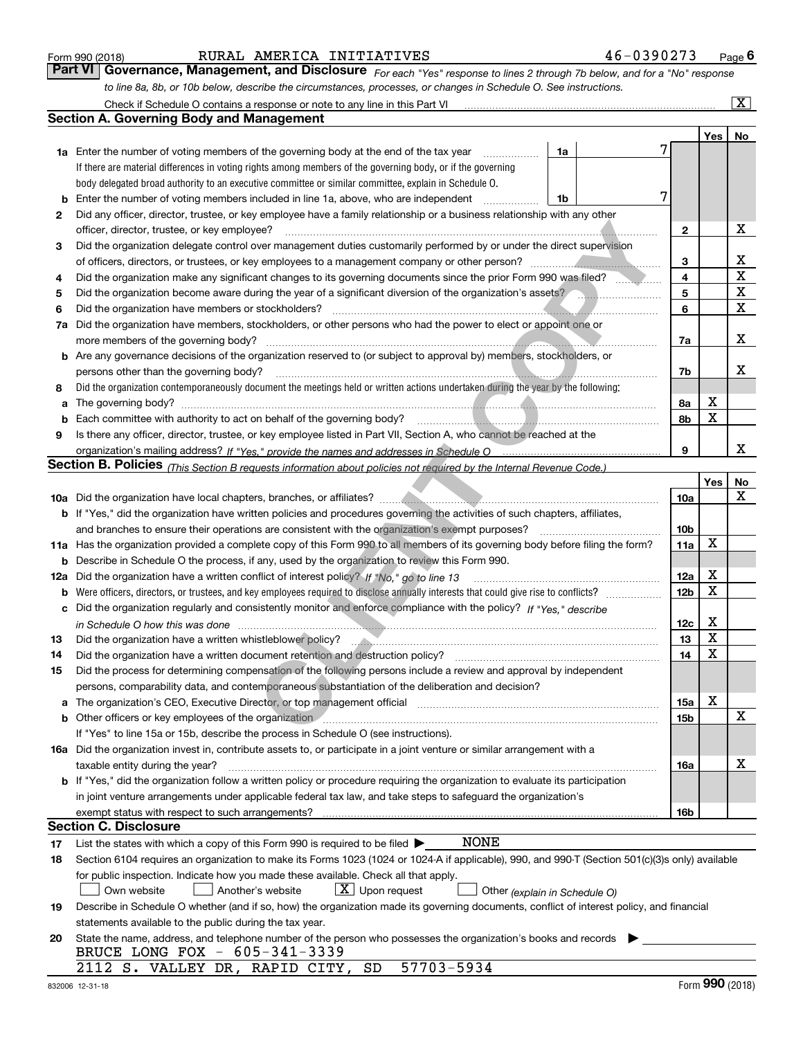|  | Form 990 (2018) |
|--|-----------------|
|  |                 |

## RURAL AMERICA INITIATIVES 46-0390273

*For each "Yes" response to lines 2 through 7b below, and for a "No" response to line 8a, 8b, or 10b below, describe the circumstances, processes, or changes in Schedule O. See instructions.* Form 990 (2018) **Command RURAL AMERICA INITIATIVES** 46-0390273 Page 6<br>**Part VI** | Governance, Management, and Disclosure *For each "Yes" response to lines 2 through 7b below, and for a "No" response* 

|     | Check if Schedule O contains a response or note to any line in this Part VI                                                                                                                                                    |                 |     | X           |
|-----|--------------------------------------------------------------------------------------------------------------------------------------------------------------------------------------------------------------------------------|-----------------|-----|-------------|
|     | Section A. Governing Body and Management                                                                                                                                                                                       |                 |     |             |
|     |                                                                                                                                                                                                                                |                 | Yes | No          |
|     | 1a Enter the number of voting members of the governing body at the end of the tax year<br>1a                                                                                                                                   |                 |     |             |
|     | If there are material differences in voting rights among members of the governing body, or if the governing                                                                                                                    |                 |     |             |
|     | body delegated broad authority to an executive committee or similar committee, explain in Schedule O.                                                                                                                          |                 |     |             |
| b   | Enter the number of voting members included in line 1a, above, who are independent<br>1b                                                                                                                                       |                 |     |             |
| 2   | Did any officer, director, trustee, or key employee have a family relationship or a business relationship with any other                                                                                                       |                 |     |             |
|     | officer, director, trustee, or key employee?                                                                                                                                                                                   | $\mathbf{2}$    |     | х           |
| 3   | Did the organization delegate control over management duties customarily performed by or under the direct supervision                                                                                                          |                 |     |             |
|     |                                                                                                                                                                                                                                | 3               |     | х           |
| 4   | Did the organization make any significant changes to its governing documents since the prior Form 990 was filed?                                                                                                               | 4               |     | $\mathbf X$ |
| 5   | Did the organization become aware during the year of a significant diversion of the organization's assets?                                                                                                                     | 5               |     | $\mathbf X$ |
| 6   | Did the organization have members or stockholders?                                                                                                                                                                             | 6               |     | х           |
| 7a  | Did the organization have members, stockholders, or other persons who had the power to elect or appoint one or                                                                                                                 |                 |     |             |
|     | more members of the governing body?                                                                                                                                                                                            | 7a              |     | х           |
|     | <b>b</b> Are any governance decisions of the organization reserved to (or subject to approval by) members, stockholders, or                                                                                                    |                 |     |             |
|     | persons other than the governing body?                                                                                                                                                                                         | 7b              |     | х           |
| 8   | Did the organization contemporaneously document the meetings held or written actions undertaken during the year by the following:                                                                                              |                 |     |             |
| a   | The governing body?                                                                                                                                                                                                            | 8a              | х   |             |
| b   |                                                                                                                                                                                                                                | 8b              | X   |             |
| 9   | Is there any officer, director, trustee, or key employee listed in Part VII, Section A, who cannot be reached at the                                                                                                           |                 |     |             |
|     |                                                                                                                                                                                                                                | 9               |     | x           |
|     | <b>Section B. Policies</b> (This Section B requests information about policies not required by the Internal Revenue Code.)                                                                                                     |                 |     |             |
|     |                                                                                                                                                                                                                                |                 | Yes | No          |
|     |                                                                                                                                                                                                                                | 10a             |     | x           |
|     | <b>b</b> If "Yes," did the organization have written policies and procedures governing the activities of such chapters, affiliates,                                                                                            |                 |     |             |
|     | and branches to ensure their operations are consistent with the organization's exempt purposes?                                                                                                                                | 10 <sub>b</sub> |     |             |
|     | 11a Has the organization provided a complete copy of this Form 990 to all members of its governing body before filing the form?                                                                                                | 11a             | X   |             |
| b   | Describe in Schedule O the process, if any, used by the organization to review this Form 990.                                                                                                                                  |                 |     |             |
| 12a | Did the organization have a written conflict of interest policy? If "No," go to line 13                                                                                                                                        | 12a             | X   |             |
| b   |                                                                                                                                                                                                                                | 12 <sub>b</sub> | X   |             |
| с   | Did the organization regularly and consistently monitor and enforce compliance with the policy? If "Yes." describe                                                                                                             |                 |     |             |
|     |                                                                                                                                                                                                                                | 12c             | х   |             |
| 13  |                                                                                                                                                                                                                                | 13              | X   |             |
| 14  | Did the organization have a written document retention and destruction policy?                                                                                                                                                 | 14              | X   |             |
| 15  | Did the process for determining compensation of the following persons include a review and approval by independent                                                                                                             |                 |     |             |
|     | persons, comparability data, and contemporaneous substantiation of the deliberation and decision?                                                                                                                              |                 |     |             |
| a   | The organization's CEO, Executive Director, or top management official manufactured content content of the organization's CEO, Executive Director, or top management official                                                  | 15a             | X   |             |
|     | b Other officers or key employees of the organization manufactured content to the organization of the organization manufactured content of the organization manufactured content of the organization manufactured content of t | 15b             |     | х           |
|     | If "Yes" to line 15a or 15b, describe the process in Schedule O (see instructions).                                                                                                                                            |                 |     |             |
|     | 16a Did the organization invest in, contribute assets to, or participate in a joint venture or similar arrangement with a                                                                                                      |                 |     | х           |
|     | taxable entity during the year?<br><b>b</b> If "Yes," did the organization follow a written policy or procedure requiring the organization to evaluate its participation                                                       | 16a             |     |             |
|     |                                                                                                                                                                                                                                |                 |     |             |
|     | in joint venture arrangements under applicable federal tax law, and take steps to safeguard the organization's                                                                                                                 | 16b             |     |             |
|     | exempt status with respect to such arrangements?<br><b>Section C. Disclosure</b>                                                                                                                                               |                 |     |             |
| 17  | <b>NONE</b><br>List the states with which a copy of this Form 990 is required to be filed $\blacktriangleright$                                                                                                                |                 |     |             |
| 18  | Section 6104 requires an organization to make its Forms 1023 (1024 or 1024-A if applicable), 990, and 990-T (Section 501(c)(3)s only) available                                                                                |                 |     |             |
|     | for public inspection. Indicate how you made these available. Check all that apply.                                                                                                                                            |                 |     |             |
|     | $\lfloor x \rfloor$ Upon request<br>Another's website<br>Own website<br>Other (explain in Schedule O)                                                                                                                          |                 |     |             |
| 19  | Describe in Schedule O whether (and if so, how) the organization made its governing documents, conflict of interest policy, and financial                                                                                      |                 |     |             |
|     | statements available to the public during the tax year.                                                                                                                                                                        |                 |     |             |
| 20  | State the name, address, and telephone number of the person who possesses the organization's books and records                                                                                                                 |                 |     |             |
|     | BRUCE LONG FOX - 605-341-3339                                                                                                                                                                                                  |                 |     |             |
|     | 57703-5934<br>2112 S. VALLEY DR, RAPID CITY, SD                                                                                                                                                                                |                 |     |             |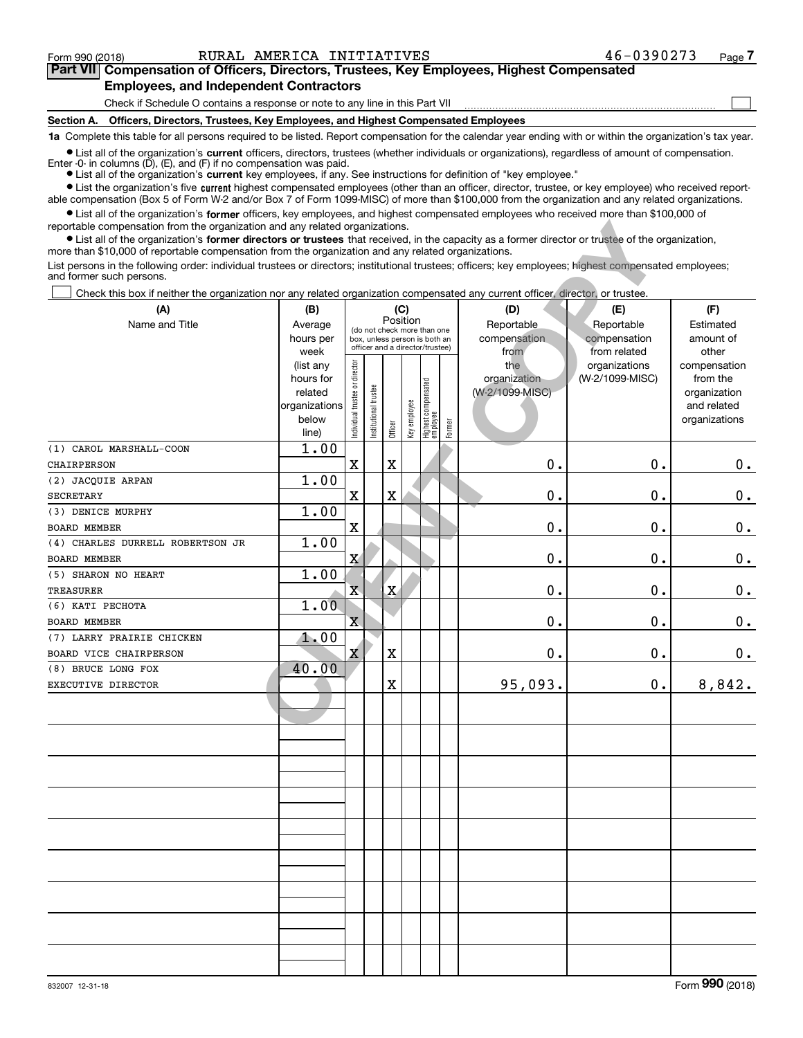$\mathcal{L}^{\text{max}}$ 

## **7Part VII Compensation of Officers, Directors, Trustees, Key Employees, Highest Compensated Employees, and Independent Contractors**

Check if Schedule O contains a response or note to any line in this Part VII

**Section A. Officers, Directors, Trustees, Key Employees, and Highest Compensated Employees**

**1a**  Complete this table for all persons required to be listed. Report compensation for the calendar year ending with or within the organization's tax year.

**•** List all of the organization's current officers, directors, trustees (whether individuals or organizations), regardless of amount of compensation. Enter -0- in columns  $(D)$ ,  $(E)$ , and  $(F)$  if no compensation was paid.

● List all of the organization's **current** key employees, if any. See instructions for definition of "key employee."

**•** List the organization's five current highest compensated employees (other than an officer, director, trustee, or key employee) who received reportable compensation (Box 5 of Form W-2 and/or Box 7 of Form 1099-MISC) of more than \$100,000 from the organization and any related organizations.

 $\bullet$  List all of the organization's **former** officers, key employees, and highest compensated employees who received more than \$100,000 of reportable compensation from the organization and any related organizations.

| reportable compensation from the organization and any related organizations.<br>• List all of the organization's former directors or trustees that received, in the capacity as a former director or trustee of the organization,<br>more than \$10,000 of reportable compensation from the organization and any related organizations. |                      |                                |                       |                                         |              |                                 |        |                                 |                                  |                          |
|-----------------------------------------------------------------------------------------------------------------------------------------------------------------------------------------------------------------------------------------------------------------------------------------------------------------------------------------|----------------------|--------------------------------|-----------------------|-----------------------------------------|--------------|---------------------------------|--------|---------------------------------|----------------------------------|--------------------------|
| List persons in the following order: individual trustees or directors; institutional trustees; officers; key employees; highest compensated employees;<br>and former such persons.                                                                                                                                                      |                      |                                |                       |                                         |              |                                 |        |                                 |                                  |                          |
| Check this box if neither the organization nor any related organization compensated any current officer, director, or trustee.                                                                                                                                                                                                          |                      |                                |                       |                                         |              |                                 |        |                                 |                                  |                          |
| (A)                                                                                                                                                                                                                                                                                                                                     | (B)                  |                                |                       |                                         | (C)          |                                 |        | (D)                             | (E)                              | (F)                      |
| Name and Title                                                                                                                                                                                                                                                                                                                          | Average              |                                |                       | Position<br>(do not check more than one |              |                                 |        | Reportable                      | Reportable                       | Estimated                |
|                                                                                                                                                                                                                                                                                                                                         | hours per            |                                |                       | box, unless person is both an           |              |                                 |        | compensation                    | compensation                     | amount of                |
|                                                                                                                                                                                                                                                                                                                                         | week                 |                                |                       | officer and a director/trustee)         |              |                                 |        | from                            | from related                     | other                    |
|                                                                                                                                                                                                                                                                                                                                         | (list any            | Individual trustee or director |                       |                                         |              |                                 |        | the                             | organizations<br>(W-2/1099-MISC) | compensation             |
|                                                                                                                                                                                                                                                                                                                                         | hours for<br>related |                                |                       |                                         |              | Highest compensated<br>employee |        | organization<br>(W-2/1099-MISC) |                                  | from the<br>organization |
|                                                                                                                                                                                                                                                                                                                                         | organizations        |                                | Institutional trustee |                                         |              |                                 |        |                                 |                                  | and related              |
|                                                                                                                                                                                                                                                                                                                                         | below                |                                |                       |                                         | Key employee |                                 |        |                                 |                                  | organizations            |
|                                                                                                                                                                                                                                                                                                                                         | line)                |                                |                       | Officer                                 |              |                                 | Former |                                 |                                  |                          |
| (1) CAROL MARSHALL-COON                                                                                                                                                                                                                                                                                                                 | 1.00                 |                                |                       |                                         |              |                                 |        |                                 |                                  |                          |
| CHAIRPERSON                                                                                                                                                                                                                                                                                                                             |                      | $\overline{\textbf{X}}$        |                       | $\mathbf X$                             |              |                                 |        | 0.                              | 0.                               | 0.                       |
| (2) JACQUIE ARPAN                                                                                                                                                                                                                                                                                                                       | 1.00                 |                                |                       |                                         |              |                                 |        |                                 |                                  |                          |
| <b>SECRETARY</b>                                                                                                                                                                                                                                                                                                                        |                      | X                              |                       | $\mathbf X$                             |              |                                 |        | 0.                              | 0.                               | $\mathbf 0$ .            |
| (3) DENICE MURPHY                                                                                                                                                                                                                                                                                                                       | 1.00                 |                                |                       |                                         |              |                                 |        |                                 |                                  |                          |
| <b>BOARD MEMBER</b>                                                                                                                                                                                                                                                                                                                     |                      | X                              |                       |                                         |              |                                 |        | $\mathbf 0$ .                   | О.                               | $\mathbf 0$ .            |
| (4) CHARLES DURRELL ROBERTSON JR                                                                                                                                                                                                                                                                                                        | 1.00                 |                                |                       |                                         |              |                                 |        |                                 |                                  |                          |
| <b>BOARD MEMBER</b>                                                                                                                                                                                                                                                                                                                     |                      | X                              |                       |                                         |              |                                 |        | $\mathbf 0$ .                   | 0.                               | $\mathbf 0$ .            |
| (5) SHARON NO HEART                                                                                                                                                                                                                                                                                                                     | 1.00                 |                                |                       |                                         |              |                                 |        |                                 |                                  |                          |
| <b>TREASURER</b>                                                                                                                                                                                                                                                                                                                        |                      | $\overline{\textbf{X}}$        |                       | $\mathbf X$                             |              |                                 |        | $\mathbf 0$ .                   | 0.                               | $\mathbf 0$ .            |
| (6) КАТІ РЕСНОТА                                                                                                                                                                                                                                                                                                                        | 1.00                 |                                |                       |                                         |              |                                 |        |                                 |                                  |                          |
| BOARD MEMBER                                                                                                                                                                                                                                                                                                                            |                      | $\overline{\textbf{X}}$        |                       |                                         |              |                                 |        | 0.                              | О.                               | $\mathbf 0$ .            |
| (7) LARRY PRAIRIE CHICKEN                                                                                                                                                                                                                                                                                                               | 1.00                 |                                |                       |                                         |              |                                 |        |                                 |                                  |                          |
| BOARD VICE CHAIRPERSON                                                                                                                                                                                                                                                                                                                  |                      | X                              |                       | X                                       |              |                                 |        | 0.                              | $\mathbf 0$ .                    | 0.                       |
| (8) BRUCE LONG FOX                                                                                                                                                                                                                                                                                                                      | 40.00                |                                |                       |                                         |              |                                 |        |                                 |                                  |                          |
| EXECUTIVE DIRECTOR                                                                                                                                                                                                                                                                                                                      |                      |                                |                       | X                                       |              |                                 |        | 95,093.                         | 0.                               | 8,842.                   |
|                                                                                                                                                                                                                                                                                                                                         |                      |                                |                       |                                         |              |                                 |        |                                 |                                  |                          |
|                                                                                                                                                                                                                                                                                                                                         |                      |                                |                       |                                         |              |                                 |        |                                 |                                  |                          |
|                                                                                                                                                                                                                                                                                                                                         |                      |                                |                       |                                         |              |                                 |        |                                 |                                  |                          |
|                                                                                                                                                                                                                                                                                                                                         |                      |                                |                       |                                         |              |                                 |        |                                 |                                  |                          |
|                                                                                                                                                                                                                                                                                                                                         |                      |                                |                       |                                         |              |                                 |        |                                 |                                  |                          |
|                                                                                                                                                                                                                                                                                                                                         |                      |                                |                       |                                         |              |                                 |        |                                 |                                  |                          |
|                                                                                                                                                                                                                                                                                                                                         |                      |                                |                       |                                         |              |                                 |        |                                 |                                  |                          |
|                                                                                                                                                                                                                                                                                                                                         |                      |                                |                       |                                         |              |                                 |        |                                 |                                  |                          |
|                                                                                                                                                                                                                                                                                                                                         |                      |                                |                       |                                         |              |                                 |        |                                 |                                  |                          |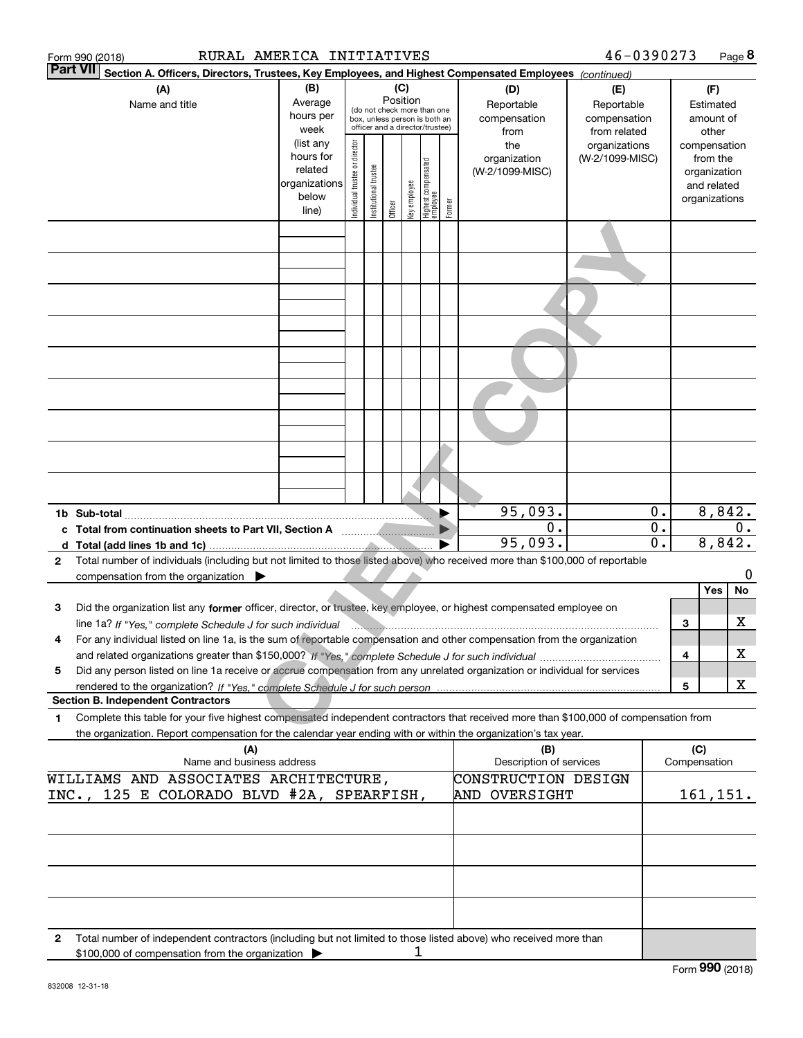| RURAL AMERICA INITIATIVES<br>Form 990 (2018)                                                                                                                                                             |                                                                                      |                                |                       |                 |              |                                 |            |                                | 46-0390273                   |                             |           |                    | Page 8    |
|----------------------------------------------------------------------------------------------------------------------------------------------------------------------------------------------------------|--------------------------------------------------------------------------------------|--------------------------------|-----------------------|-----------------|--------------|---------------------------------|------------|--------------------------------|------------------------------|-----------------------------|-----------|--------------------|-----------|
| <b>Part VII</b><br>Section A. Officers, Directors, Trustees, Key Employees, and Highest Compensated Employees (continued)                                                                                |                                                                                      |                                |                       |                 |              |                                 |            |                                |                              |                             |           |                    |           |
| (A)                                                                                                                                                                                                      | (B)                                                                                  |                                |                       | (C)<br>Position |              |                                 |            | (D)                            | (E)                          |                             | (F)       |                    |           |
| Name and title                                                                                                                                                                                           | Average<br>(do not check more than one<br>hours per<br>box, unless person is both an |                                |                       |                 |              |                                 | Reportable | Reportable                     |                              |                             | Estimated |                    |           |
|                                                                                                                                                                                                          | week                                                                                 |                                |                       |                 |              | officer and a director/trustee) |            | compensation<br>from           | compensation<br>from related |                             |           | amount of<br>other |           |
|                                                                                                                                                                                                          | (list any                                                                            |                                |                       |                 |              |                                 |            | the                            | organizations                |                             |           | compensation       |           |
|                                                                                                                                                                                                          | hours for                                                                            |                                |                       |                 |              |                                 |            | organization                   | (W-2/1099-MISC)              |                             |           | from the           |           |
|                                                                                                                                                                                                          | related                                                                              |                                |                       |                 |              |                                 |            | (W-2/1099-MISC)                |                              |                             |           | organization       |           |
|                                                                                                                                                                                                          | organizations                                                                        |                                |                       |                 |              |                                 |            |                                |                              |                             |           | and related        |           |
|                                                                                                                                                                                                          | below<br>line)                                                                       | Individual trustee or director | Institutional trustee | Officer         | key employee | Highest compensated<br>employee | Former     |                                |                              |                             |           | organizations      |           |
|                                                                                                                                                                                                          |                                                                                      |                                |                       |                 |              |                                 |            |                                |                              |                             |           |                    |           |
|                                                                                                                                                                                                          |                                                                                      |                                |                       |                 |              |                                 |            |                                |                              |                             |           |                    |           |
|                                                                                                                                                                                                          |                                                                                      |                                |                       |                 |              |                                 |            |                                |                              |                             |           |                    |           |
|                                                                                                                                                                                                          |                                                                                      |                                |                       |                 |              |                                 |            |                                |                              |                             |           |                    |           |
|                                                                                                                                                                                                          |                                                                                      |                                |                       |                 |              |                                 |            |                                |                              |                             |           |                    |           |
|                                                                                                                                                                                                          |                                                                                      |                                |                       |                 |              |                                 |            |                                |                              |                             |           |                    |           |
|                                                                                                                                                                                                          |                                                                                      |                                |                       |                 |              |                                 |            |                                |                              |                             |           |                    |           |
|                                                                                                                                                                                                          |                                                                                      |                                |                       |                 |              |                                 |            |                                |                              |                             |           |                    |           |
|                                                                                                                                                                                                          |                                                                                      |                                |                       |                 |              |                                 |            |                                |                              |                             |           |                    |           |
|                                                                                                                                                                                                          |                                                                                      |                                |                       |                 |              |                                 |            |                                |                              |                             |           |                    |           |
|                                                                                                                                                                                                          |                                                                                      |                                |                       |                 |              |                                 |            |                                |                              |                             |           |                    |           |
|                                                                                                                                                                                                          |                                                                                      |                                |                       |                 |              |                                 |            |                                |                              |                             |           |                    |           |
|                                                                                                                                                                                                          |                                                                                      |                                |                       |                 |              |                                 |            |                                |                              |                             |           |                    |           |
|                                                                                                                                                                                                          |                                                                                      |                                |                       |                 |              |                                 |            |                                |                              |                             |           |                    |           |
|                                                                                                                                                                                                          |                                                                                      |                                |                       |                 |              |                                 |            | 95,093.                        |                              | 0.                          |           |                    | 8,842.    |
|                                                                                                                                                                                                          |                                                                                      |                                |                       |                 |              |                                 |            | 0.                             |                              | $\overline{\mathbf{0}}$ .   |           |                    | $0$ .     |
|                                                                                                                                                                                                          |                                                                                      |                                |                       |                 |              |                                 |            | 95,093.                        |                              | $\overline{\mathfrak{o}}$ . |           | 8,842.             |           |
| Total number of individuals (including but not limited to those listed above) who received more than \$100,000 of reportable<br>$\mathbf{2}$<br>compensation from the organization $\blacktriangleright$ |                                                                                      |                                |                       |                 |              |                                 |            |                                |                              |                             |           |                    | 0         |
|                                                                                                                                                                                                          |                                                                                      |                                |                       |                 |              |                                 |            |                                |                              |                             |           | Yes                | No        |
| Did the organization list any former officer, director, or trustee, key employee, or highest compensated employee on<br>з                                                                                |                                                                                      |                                |                       |                 |              |                                 |            |                                |                              |                             |           |                    |           |
| line 1a? If "Yes," complete Schedule J for such individual manufactured contains and the 1a? If "Yes," complete Schedule J for such individual                                                           |                                                                                      |                                |                       |                 |              |                                 |            |                                |                              |                             | 3         |                    | x         |
| For any individual listed on line 1a, is the sum of reportable compensation and other compensation from the organization<br>4                                                                            |                                                                                      |                                |                       |                 |              |                                 |            |                                |                              |                             |           |                    |           |
|                                                                                                                                                                                                          |                                                                                      |                                |                       |                 |              |                                 |            |                                |                              |                             | 4         |                    | х         |
| Did any person listed on line 1a receive or accrue compensation from any unrelated organization or individual for services<br>5                                                                          |                                                                                      |                                |                       |                 |              |                                 |            |                                |                              |                             |           |                    |           |
|                                                                                                                                                                                                          |                                                                                      |                                |                       |                 |              |                                 |            |                                |                              |                             | 5         |                    | X         |
| <b>Section B. Independent Contractors</b>                                                                                                                                                                |                                                                                      |                                |                       |                 |              |                                 |            |                                |                              |                             |           |                    |           |
| Complete this table for your five highest compensated independent contractors that received more than \$100,000 of compensation from<br>1                                                                |                                                                                      |                                |                       |                 |              |                                 |            |                                |                              |                             |           |                    |           |
| the organization. Report compensation for the calendar year ending with or within the organization's tax year.                                                                                           |                                                                                      |                                |                       |                 |              |                                 |            |                                |                              |                             | (C)       |                    |           |
| (A)<br>Name and business address                                                                                                                                                                         |                                                                                      |                                |                       |                 |              |                                 |            | (B)<br>Description of services |                              |                             |           | Compensation       |           |
| WILLIAMS AND ASSOCIATES ARCHITECTURE,                                                                                                                                                                    |                                                                                      |                                |                       |                 |              |                                 |            | CONSTRUCTION DESIGN            |                              |                             |           |                    |           |
| 125 E COLORADO BLVD #2A, SPEARFISH,<br>INC.,                                                                                                                                                             |                                                                                      |                                |                       |                 |              |                                 |            | AND OVERSIGHT                  |                              |                             |           |                    | 161, 151. |
|                                                                                                                                                                                                          |                                                                                      |                                |                       |                 |              |                                 |            |                                |                              |                             |           |                    |           |
|                                                                                                                                                                                                          |                                                                                      |                                |                       |                 |              |                                 |            |                                |                              |                             |           |                    |           |
|                                                                                                                                                                                                          |                                                                                      |                                |                       |                 |              |                                 |            |                                |                              |                             |           |                    |           |
|                                                                                                                                                                                                          |                                                                                      |                                |                       |                 |              |                                 |            |                                |                              |                             |           |                    |           |
|                                                                                                                                                                                                          |                                                                                      |                                |                       |                 |              |                                 |            |                                |                              |                             |           |                    |           |
| Total number of independent contractors (including but not limited to those listed above) who received more than<br>2                                                                                    |                                                                                      |                                |                       |                 |              |                                 |            |                                |                              |                             |           |                    |           |
| \$100,000 of compensation from the organization                                                                                                                                                          |                                                                                      |                                |                       |                 | 1            |                                 |            |                                |                              |                             |           |                    |           |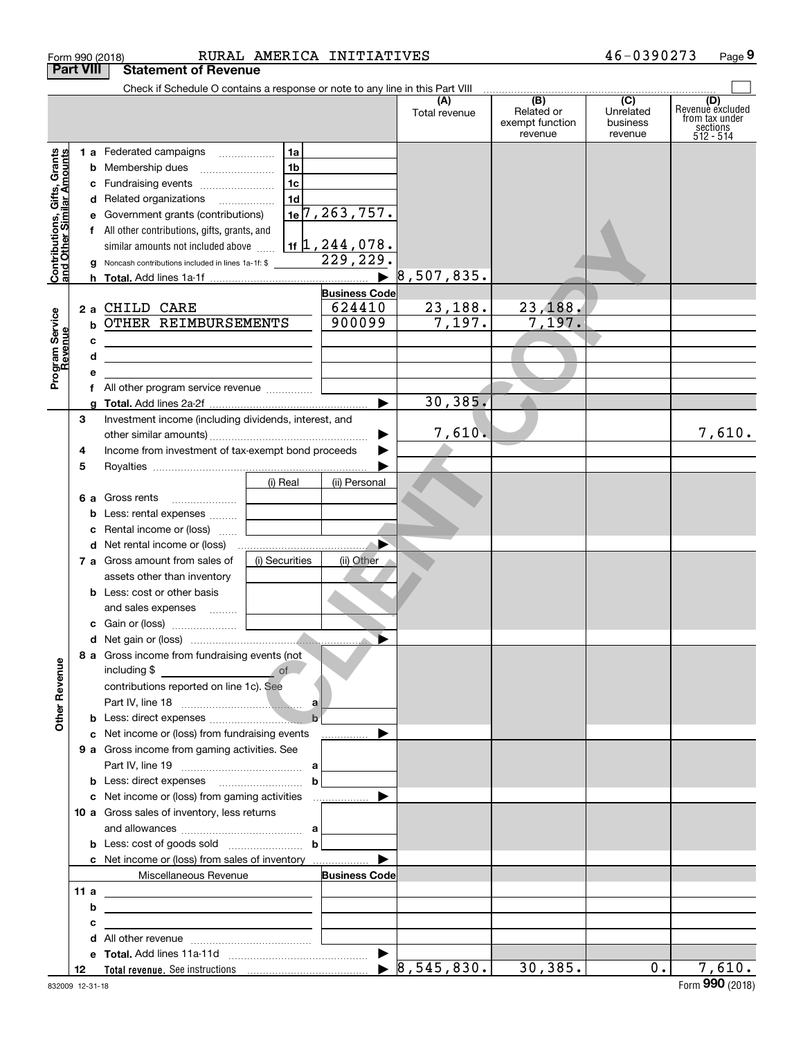|                                                                  | Form 990 (2018)    |                                                                                                                                                                                                                                                                                                                                       |                                                          | RURAL AMERICA INITIATIVES                                                                              |                      |                                                                                                                            | 46-0390273                       | Page 9                                                             |
|------------------------------------------------------------------|--------------------|---------------------------------------------------------------------------------------------------------------------------------------------------------------------------------------------------------------------------------------------------------------------------------------------------------------------------------------|----------------------------------------------------------|--------------------------------------------------------------------------------------------------------|----------------------|----------------------------------------------------------------------------------------------------------------------------|----------------------------------|--------------------------------------------------------------------|
|                                                                  | <b>Part VIII</b>   | <b>Statement of Revenue</b>                                                                                                                                                                                                                                                                                                           |                                                          |                                                                                                        |                      |                                                                                                                            |                                  |                                                                    |
|                                                                  |                    | Check if Schedule O contains a response or note to any line in this Part VIII                                                                                                                                                                                                                                                         |                                                          |                                                                                                        | (A)<br>Total revenue | $\begin{array}{c c c c c} \hline \text{(B)} & \text{(C)} \\\hline \end{array}$<br>Related or<br>exempt function<br>revenue | Unrelated<br>business<br>revenue | (D)<br>Revenue excluded<br>from tax under<br>sections<br>512 - 514 |
| <b>Contributions, Gifts, Grants</b><br>and Other Similar Amounts | c<br>е             | 1 a Federated campaigns<br>Fundraising events<br>d Related organizations<br>Government grants (contributions)<br>f All other contributions, gifts, grants, and<br>similar amounts not included above<br>g Noncash contributions included in lines 1a-1f: \$ 229, 229.                                                                 | 1a<br>1 <sub>b</sub><br>1 <sub>c</sub><br>1 <sub>d</sub> | 1e <sup>7</sup> , 263, 757.<br>$1$ if $1, 244, 078$ .<br>$\blacktriangleright$<br><b>Business Code</b> | 8,507,835.           |                                                                                                                            |                                  |                                                                    |
| Program Service<br>Revenue                                       | с<br>d<br>e<br>f   | 2 a CHILD CARE<br><b>b OTHER REIMBURSEMENTS</b><br><u> 2008 - Andrea State Barbara, amerikan personal di personal dengan personal dengan personal dengan personal de</u><br><u> 1989 - Johann Stein, mars an deutscher Stein und der Stein und der Stein und der Stein und der Stein und der</u><br>All other program service revenue |                                                          | 624410<br>900099                                                                                       | 23,188.<br>7,197.    | 23,188.<br>7,197.                                                                                                          |                                  |                                                                    |
|                                                                  | a<br>3<br>4<br>5   | Investment income (including dividends, interest, and<br>Income from investment of tax-exempt bond proceeds                                                                                                                                                                                                                           |                                                          |                                                                                                        | 30, 385.<br>7,610.   |                                                                                                                            |                                  | 7,610.                                                             |
|                                                                  | 6а<br>b<br>c       | Gross rents<br>Less: rental expenses <i></i><br>Rental income or (loss)<br>7 a Gross amount from sales of                                                                                                                                                                                                                             | (i) Real<br>(i) Securities                               | (ii) Personal<br>A D<br>(ii) Other                                                                     |                      |                                                                                                                            |                                  |                                                                    |
|                                                                  |                    | assets other than inventory<br><b>b</b> Less: cost or other basis<br>and sales expenses<br>8 a Gross income from fundraising events (not                                                                                                                                                                                              |                                                          |                                                                                                        |                      |                                                                                                                            |                                  |                                                                    |
| <b>Other Revenue</b>                                             |                    | including \$<br>$\overline{\phantom{a}}$ of $\overline{\phantom{a}}$<br>contributions reported on line 1c). See<br>c Net income or (loss) from fundraising events<br>9 a Gross income from gaming activities. See                                                                                                                     | $\mathbf b$                                              | .                                                                                                      |                      |                                                                                                                            |                                  |                                                                    |
|                                                                  |                    | c Net income or (loss) from gaming activities<br>10 a Gross sales of inventory, less returns<br>c Net income or (loss) from sales of inventory<br>Miscellaneous Revenue                                                                                                                                                               |                                                          | ▶<br><b>Business Code</b>                                                                              |                      |                                                                                                                            |                                  |                                                                    |
|                                                                  | 11a<br>b<br>c<br>d | <u> 1980 - John Stone, amerikansk politiker (</u><br><u> 1989 - Johann Stein, mars an de Brazilia (b. 1989)</u><br><u> 1989 - Andrea Andrew Maria (b. 1989)</u><br>All other revenue <i>communically contained</i>                                                                                                                    |                                                          |                                                                                                        |                      |                                                                                                                            |                                  |                                                                    |
|                                                                  | 12                 |                                                                                                                                                                                                                                                                                                                                       |                                                          |                                                                                                        |                      | 30,385.                                                                                                                    | $0$ .                            | 7,610.                                                             |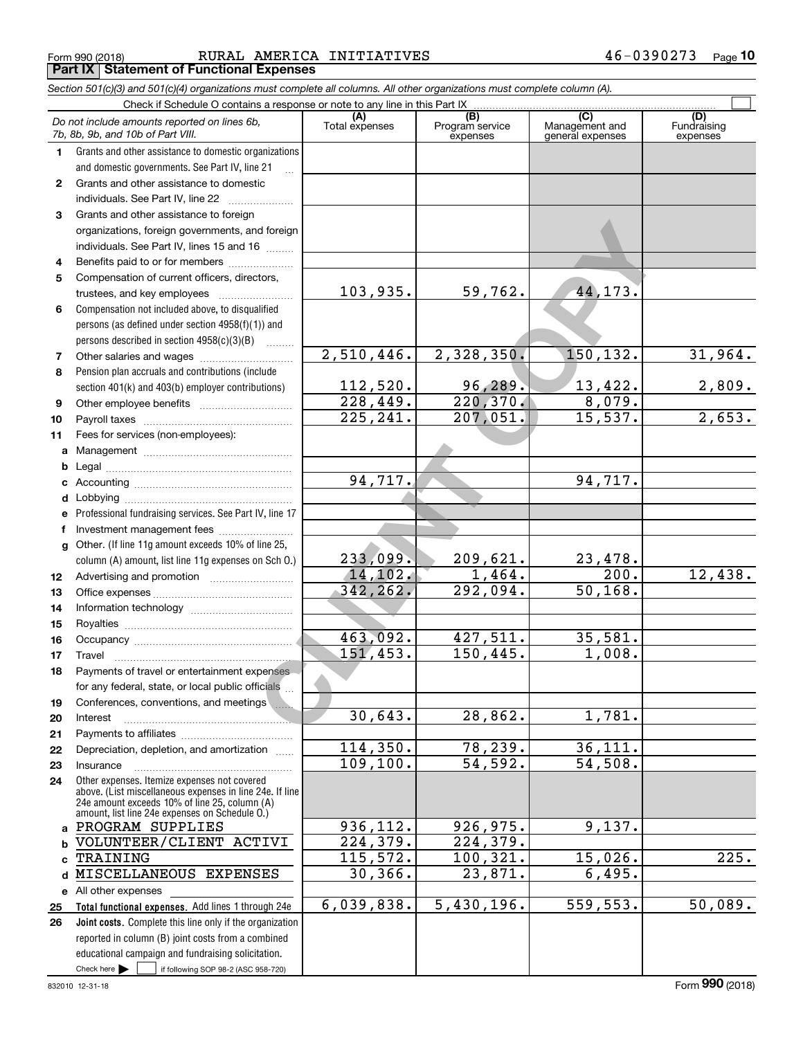Form 990 (2018) Page **Part IX Statement of Functional Expenses** RURAL AMERICA INITIATIVES 46-0390273

*Section 501(c)(3) and 501(c)(4) organizations must complete all columns. All other organizations must complete column (A).*

|    | Do not include amounts reported on lines 6b,<br>7b, 8b, 9b, and 10b of Part VIII. | (A)<br>Total expenses    | $\overline{(B)}$<br>Program service<br>expenses | (C)<br>Management and<br>general expenses | (D)<br>Fundraising<br>expenses |
|----|-----------------------------------------------------------------------------------|--------------------------|-------------------------------------------------|-------------------------------------------|--------------------------------|
| 1  | Grants and other assistance to domestic organizations                             |                          |                                                 |                                           |                                |
|    | and domestic governments. See Part IV, line 21                                    |                          |                                                 |                                           |                                |
| 2  | Grants and other assistance to domestic                                           |                          |                                                 |                                           |                                |
|    | individuals. See Part IV, line 22                                                 |                          |                                                 |                                           |                                |
| 3  | Grants and other assistance to foreign                                            |                          |                                                 |                                           |                                |
|    | organizations, foreign governments, and foreign                                   |                          |                                                 |                                           |                                |
|    | individuals. See Part IV, lines 15 and 16                                         |                          |                                                 |                                           |                                |
| 4  | Benefits paid to or for members                                                   |                          |                                                 |                                           |                                |
| 5  | Compensation of current officers, directors,                                      |                          |                                                 |                                           |                                |
|    | trustees, and key employees                                                       | 103,935.                 | 59,762.                                         | 44, 173.                                  |                                |
| 6  | Compensation not included above, to disqualified                                  |                          |                                                 |                                           |                                |
|    | persons (as defined under section 4958(f)(1)) and                                 |                          |                                                 |                                           |                                |
|    | persons described in section $4958(c)(3)(B)$                                      |                          |                                                 |                                           |                                |
| 7  |                                                                                   | $\overline{2,510,446}$ . | 2,328,350.                                      | 150,132.                                  | 31,964.                        |
| 8  | Pension plan accruals and contributions (include                                  |                          |                                                 |                                           |                                |
|    | section 401(k) and 403(b) employer contributions)                                 | 112,520.                 | 96,289.                                         | 13,422.                                   | 2,809.                         |
| 9  |                                                                                   | 228,449.                 | 220, 370.                                       | 8,079.                                    |                                |
| 10 |                                                                                   | $\overline{225,241}$ .   | 207,051.                                        | 15,537.                                   | 2,653.                         |
| 11 | Fees for services (non-employees):                                                |                          |                                                 |                                           |                                |
| a  |                                                                                   |                          |                                                 |                                           |                                |
| b  |                                                                                   |                          |                                                 |                                           |                                |
| c  |                                                                                   | 94,717.                  |                                                 | 94,717.                                   |                                |
| d  |                                                                                   |                          |                                                 |                                           |                                |
| е  | Professional fundraising services. See Part IV, line 17                           |                          |                                                 |                                           |                                |
| f  | Investment management fees                                                        |                          |                                                 |                                           |                                |
|    | g Other. (If line 11g amount exceeds 10% of line 25,                              |                          |                                                 |                                           |                                |
|    | column (A) amount, list line 11g expenses on Sch O.)                              | 233,099.                 | 209,621.                                        | 23,478.                                   |                                |
| 12 |                                                                                   | 14, 102.                 | 1,464.                                          | $\overline{200}$ .                        | $\overline{12}$ , 438.         |
| 13 |                                                                                   | 342, 262.                | 292,094.                                        | 50, 168.                                  |                                |
| 14 |                                                                                   |                          |                                                 |                                           |                                |
| 15 |                                                                                   |                          |                                                 |                                           |                                |
| 16 |                                                                                   | 463,092.                 | 427,511.                                        | 35,581.                                   |                                |
| 17 | Travel                                                                            | 151,453.                 | 150,445.                                        | 1,008.                                    |                                |
| 18 | Payments of travel or entertainment expenses                                      |                          |                                                 |                                           |                                |
|    | for any federal, state, or local public officials                                 |                          |                                                 |                                           |                                |
| 19 | Conferences, conventions, and meetings                                            | 30,643.                  | 28,862.                                         | 1,781.                                    |                                |
| 20 | Interest                                                                          |                          |                                                 |                                           |                                |
| 21 |                                                                                   | 114,350.                 | 78,239.                                         | 36, 111.                                  |                                |
| 22 | Depreciation, depletion, and amortization                                         | 109, 100.                | $\overline{54,592}$ .                           | 54,508.                                   |                                |
| 23 | Insurance<br>Other expenses. Itemize expenses not covered                         |                          |                                                 |                                           |                                |
| 24 | above. (List miscellaneous expenses in line 24e. If line                          |                          |                                                 |                                           |                                |
|    | 24e amount exceeds 10% of line 25, column (A)                                     |                          |                                                 |                                           |                                |
|    | amount, list line 24e expenses on Schedule O.)<br>a PROGRAM SUPPLIES              | 936,112.                 | 926, 975.                                       | 9,137.                                    |                                |
| b  | VOLUNTEER/CLIENT ACTIVI                                                           | 224,379.                 | 224,379.                                        |                                           |                                |
| c  | TRAINING                                                                          | 115,572.                 | 100,321.                                        | 15,026.                                   | 225.                           |
| d  | MISCELLANEOUS EXPENSES                                                            | 30, 366.                 | 23,871.                                         | 6,495.                                    |                                |
|    | e All other expenses                                                              |                          |                                                 |                                           |                                |
| 25 | Total functional expenses. Add lines 1 through 24e                                | 6,039,838.               | 5,430,196.                                      | 559,553.                                  | 50,089.                        |
| 26 | Joint costs. Complete this line only if the organization                          |                          |                                                 |                                           |                                |
|    | reported in column (B) joint costs from a combined                                |                          |                                                 |                                           |                                |
|    | educational campaign and fundraising solicitation.                                |                          |                                                 |                                           |                                |
|    | Check here $\blacktriangleright$<br>if following SOP 98-2 (ASC 958-720)           |                          |                                                 |                                           |                                |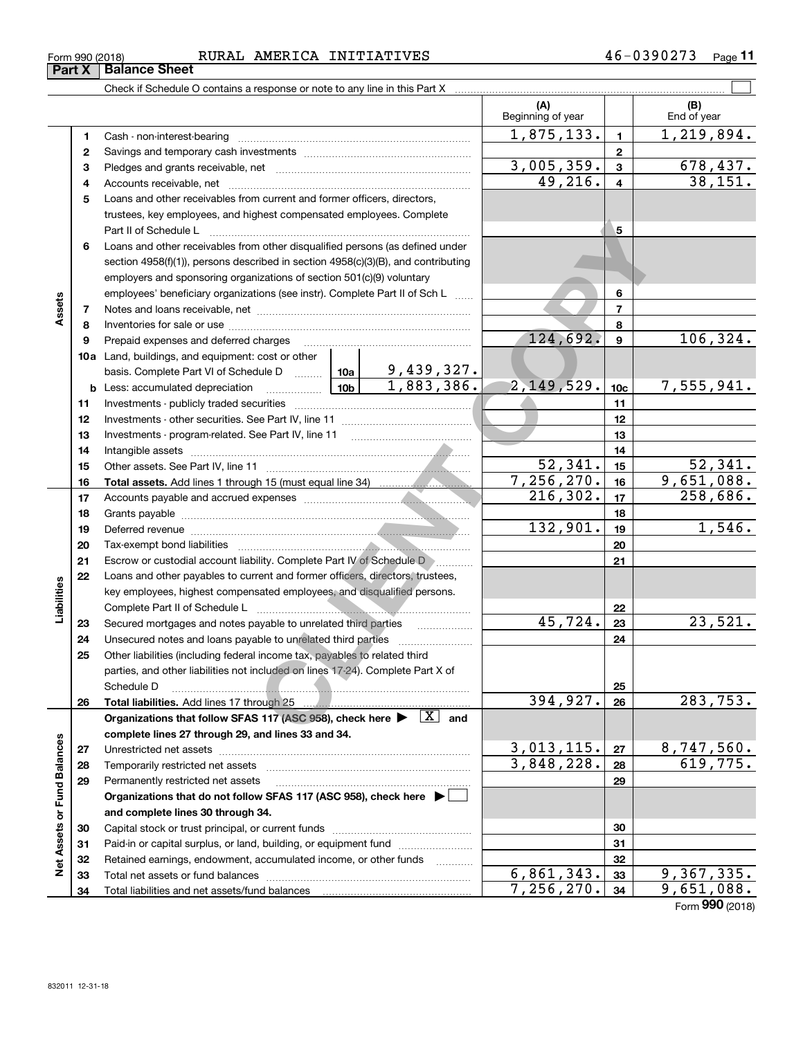| Form 990 (2018) | <b>AMERICA</b><br>RURAL | INITIATIVES | $U \Delta$<br>≂ ພ | Page |
|-----------------|-------------------------|-------------|-------------------|------|
|                 |                         |             |                   |      |

Capital stock or trust principal, or current funds ~~~~~~~~~~~~~~~ Paid-in or capital surplus, or land, building, or equipment fund www.commun.com Retained earnings, endowment, accumulated income, or other funds we have all the Total net assets or fund balances ~~~~~~~~~~~~~~~~~~~~~~

Total liabilities and net assets/fund balances

|                      | Part X | <b>Dalafice Sheet</b>                                                                                                                                                                                        |                          |                          |                    |
|----------------------|--------|--------------------------------------------------------------------------------------------------------------------------------------------------------------------------------------------------------------|--------------------------|--------------------------|--------------------|
|                      |        |                                                                                                                                                                                                              |                          |                          |                    |
|                      |        |                                                                                                                                                                                                              | (A)<br>Beginning of year |                          | (B)<br>End of year |
|                      | 1      | Cash - non-interest-bearing                                                                                                                                                                                  | 1,875,133.               | $\mathbf{1}$             | 1,219,894.         |
|                      | 2      |                                                                                                                                                                                                              |                          | $\mathbf{2}$             |                    |
|                      | з      |                                                                                                                                                                                                              | 3,005,359.               | 3                        | <u>678,437.</u>    |
|                      | 4      |                                                                                                                                                                                                              | 49,216.                  | $\overline{\mathbf{4}}$  | 38,151.            |
|                      | 5      | Loans and other receivables from current and former officers, directors,                                                                                                                                     |                          |                          |                    |
|                      |        | trustees, key employees, and highest compensated employees. Complete                                                                                                                                         |                          |                          |                    |
|                      |        | Part II of Schedule L                                                                                                                                                                                        |                          | 5                        |                    |
|                      | 6      | Loans and other receivables from other disqualified persons (as defined under                                                                                                                                |                          |                          |                    |
|                      |        | section $4958(f)(1)$ , persons described in section $4958(c)(3)(B)$ , and contributing                                                                                                                       |                          |                          |                    |
|                      |        | employers and sponsoring organizations of section 501(c)(9) voluntary                                                                                                                                        |                          |                          |                    |
|                      |        | employees' beneficiary organizations (see instr). Complete Part II of Sch L                                                                                                                                  |                          | 6                        |                    |
| Assets               | 7      |                                                                                                                                                                                                              |                          | $\overline{\phantom{a}}$ |                    |
|                      | 8      |                                                                                                                                                                                                              |                          | 8                        |                    |
|                      | 9      | Prepaid expenses and deferred charges                                                                                                                                                                        | 124,692.                 | $\mathbf{9}$             | 106, 324.          |
|                      |        | 10a Land, buildings, and equipment: cost or other                                                                                                                                                            |                          |                          |                    |
|                      |        | basis. Complete Part VI of Schedule D $\begin{array}{ c c c c c }\n\hline\n1.439,327.168\n\end{array}$<br>Less: accumulated depreciation $\begin{array}{ c c c c }\n\hline\n1.883,386.\n\hline\n\end{array}$ |                          |                          |                    |
|                      |        | $\boxed{10b}$<br><b>b</b> Less: accumulated depreciation                                                                                                                                                     | 2, 149, 529.             | 10 <sub>c</sub>          | 7,555,941.         |
|                      | 11     |                                                                                                                                                                                                              |                          | 11                       |                    |
|                      | 12     |                                                                                                                                                                                                              |                          | 12                       |                    |
|                      | 13     |                                                                                                                                                                                                              |                          | 13                       |                    |
|                      | 14     |                                                                                                                                                                                                              |                          | 14                       |                    |
|                      | 15     |                                                                                                                                                                                                              | 52,341.                  | 15                       | 52, 341.           |
|                      | 16     |                                                                                                                                                                                                              | 7, 256, 270.             | 16                       | 9,651,088.         |
|                      | 17     |                                                                                                                                                                                                              | 216, 302.                | 17                       | 258,686.           |
|                      | 18     |                                                                                                                                                                                                              | 132,901.                 | 18                       | 1,546.             |
|                      | 19     |                                                                                                                                                                                                              |                          | 19                       |                    |
|                      | 20     |                                                                                                                                                                                                              |                          | 20                       |                    |
|                      | 21     | Escrow or custodial account liability. Complete Part IV of Schedule D manus.                                                                                                                                 |                          | 21                       |                    |
| Liabilities          | 22     | Loans and other payables to current and former officers, directors, trustees,<br>key employees, highest compensated employees, and disqualified persons.                                                     |                          |                          |                    |
|                      |        | Complete Part II of Schedule L                                                                                                                                                                               |                          | 22                       |                    |
|                      | 23     | Secured mortgages and notes payable to unrelated third parties                                                                                                                                               | 45,724.                  | 23                       | 23,521.            |
|                      | 24     |                                                                                                                                                                                                              |                          | 24                       |                    |
|                      | 25     | Other liabilities (including federal income tax, payables to related third                                                                                                                                   |                          |                          |                    |
|                      |        | parties, and other liabilities not included on lines 17-24). Complete Part X of                                                                                                                              |                          |                          |                    |
|                      |        | Schedule D                                                                                                                                                                                                   |                          | 25                       |                    |
|                      | 26     | Total liabilities. Add lines 17 through 25                                                                                                                                                                   | 394,927.                 | 26                       | 283,753.           |
|                      |        | Organizations that follow SFAS 117 (ASC 958), check here $\blacktriangleright \begin{array}{c} X \\ \hline \end{array}$ and                                                                                  |                          |                          |                    |
|                      |        | complete lines 27 through 29, and lines 33 and 34.                                                                                                                                                           |                          |                          |                    |
|                      | 27     | Unrestricted net assets                                                                                                                                                                                      | 3,013,115.               | 27                       | <u>8,747,560.</u>  |
| <b>Fund Balances</b> | 28     | Temporarily restricted net assets                                                                                                                                                                            | 3,848,228.               | 28                       | 619,775.           |
|                      | 29     | Permanently restricted net assets                                                                                                                                                                            |                          | 29                       |                    |
|                      |        | Organizations that do not follow SFAS 117 (ASC 958), check here ▶ □                                                                                                                                          |                          |                          |                    |
|                      |        | and complete lines 30 through 34.                                                                                                                                                                            |                          |                          |                    |
|                      | 30     |                                                                                                                                                                                                              |                          | 30                       |                    |
| Net Assets or        | 31     |                                                                                                                                                                                                              |                          | 31                       |                    |
|                      | 32     | Retained earnings, endowment, accumulated income, or other funds<br>.                                                                                                                                        |                          | 32                       |                    |
|                      | 33     | Total net assets or fund halances                                                                                                                                                                            | 6.861.343.               | 33 <sub>1</sub>          | 9.367.335.         |

Form (2018) **990**  $\frac{6,861,343.33}{7,256,270.34}$  9,367,335.

6,861,343. 9,367,335.

**Part X Balance Sheet**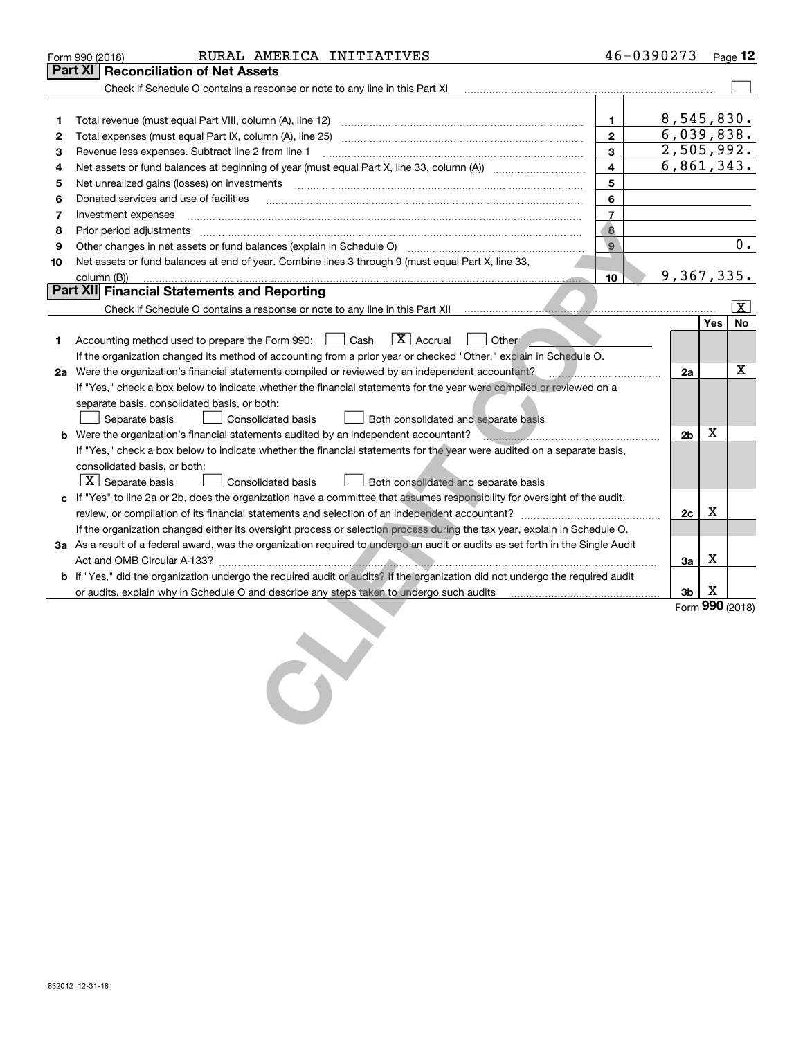|    | RURAL AMERICA INITIATIVES<br>Form 990 (2018)                                                                                                         | 46-0390273              |                          |     | <u>Page 12</u> |
|----|------------------------------------------------------------------------------------------------------------------------------------------------------|-------------------------|--------------------------|-----|----------------|
|    | Part XI<br><b>Reconciliation of Net Assets</b>                                                                                                       |                         |                          |     |                |
|    | Check if Schedule O contains a response or note to any line in this Part XI                                                                          |                         |                          |     |                |
|    |                                                                                                                                                      |                         |                          |     |                |
| 1  |                                                                                                                                                      | $\mathbf{1}$            | 8,545,830.               |     |                |
| 2  |                                                                                                                                                      | $\mathbf{2}$            | 6,039,838.               |     |                |
| з  | Revenue less expenses. Subtract line 2 from line 1                                                                                                   | 3                       | $\overline{2,505,992}$ . |     |                |
| 4  | Net assets or fund balances at beginning of year (must equal Part X, line 33, column (A)) manument                                                   | 4                       | 6,861,343.               |     |                |
| 5  |                                                                                                                                                      | 5                       |                          |     |                |
| 6  | Donated services and use of facilities                                                                                                               | 6                       |                          |     |                |
| 7  | Investment expenses                                                                                                                                  | $\overline{7}$          |                          |     |                |
| 8  | Prior period adjustments                                                                                                                             | $\overline{\mathbf{8}}$ |                          |     |                |
| 9  | Other changes in net assets or fund balances (explain in Schedule O) [11] manufacture changes in net assets or fund balances (explain in Schedule O) | $\mathbf{9}$            |                          |     | $0$ .          |
| 10 | Net assets or fund balances at end of year. Combine lines 3 through 9 (must equal Part X, line 33,                                                   |                         |                          |     |                |
|    | column (B))                                                                                                                                          | 10                      | 9,367,335.               |     |                |
|    | <b>Part XII Financial Statements and Reporting</b>                                                                                                   |                         |                          |     |                |
|    | Check if Schedule O contains a response or note to any line in this Part XII <i>manumano contained a contained contains</i>                          |                         |                          |     | <b>X</b>       |
|    |                                                                                                                                                      |                         |                          | Yes | No             |
| 1. | $\boxed{\mathbf{X}}$ Accrual<br>Accounting method used to prepare the Form 990: <u>[</u> Cash<br>Other                                               |                         |                          |     |                |
|    | If the organization changed its method of accounting from a prior year or checked "Other," explain in Schedule O.                                    |                         |                          |     |                |
|    | 2a Were the organization's financial statements compiled or reviewed by an independent accountant?                                                   |                         | 2a                       |     | x              |
|    | If "Yes," check a box below to indicate whether the financial statements for the year were compiled or reviewed on a                                 |                         |                          |     |                |
|    | separate basis, consolidated basis, or both:                                                                                                         |                         |                          |     |                |
|    | Separate basis<br><b>Consolidated basis</b><br>Both consolidated and separate basis                                                                  |                         |                          |     |                |
|    | <b>b</b> Were the organization's financial statements audited by an independent accountant?                                                          |                         | 2 <sub>b</sub>           | х   |                |
|    | If "Yes," check a box below to indicate whether the financial statements for the year were audited on a separate basis,                              |                         |                          |     |                |
|    | consolidated basis, or both:                                                                                                                         |                         |                          |     |                |
|    | $ \mathbf{X} $ Separate basis<br>Both consolidated and separate basis<br>Consolidated basis                                                          |                         |                          |     |                |
|    | c If "Yes" to line 2a or 2b, does the organization have a committee that assumes responsibility for oversight of the audit,                          |                         |                          |     |                |
|    |                                                                                                                                                      |                         | 2c                       | x   |                |
|    | If the organization changed either its oversight process or selection process during the tax year, explain in Schedule O.                            |                         |                          |     |                |
|    | 3a As a result of a federal award, was the organization required to undergo an audit or audits as set forth in the Single Audit                      |                         |                          |     |                |
|    |                                                                                                                                                      |                         | За                       | х   |                |
|    | <b>b</b> If "Yes," did the organization undergo the required audit or audits? If the organization did not undergo the required audit                 |                         |                          |     |                |
|    | or audits, explain why in Schedule O and describe any steps taken to undergo such audits [11, 11, 11, 11, 11, 1                                      |                         | 3b                       | X   |                |
|    |                                                                                                                                                      |                         | Form 990 (2018)          |     |                |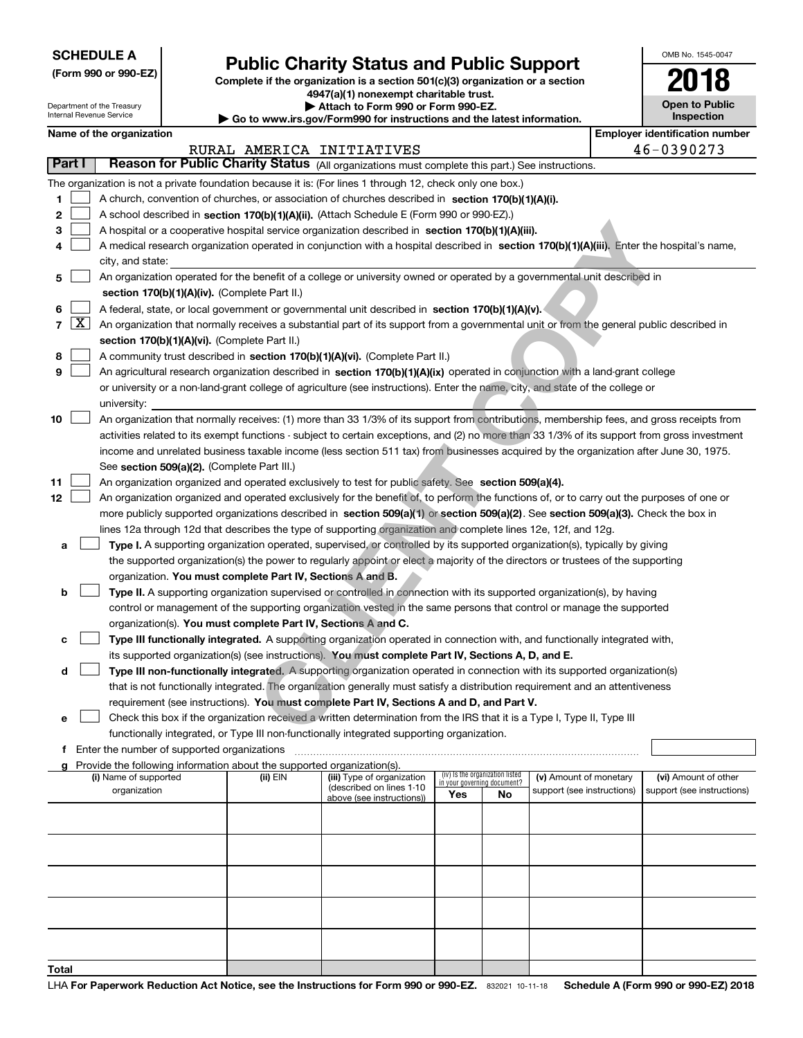Department of the Treasury Internal Revenue Service

| (Form 990 or 990-EZ) |  |  |  |  |
|----------------------|--|--|--|--|
|----------------------|--|--|--|--|

## **Public Charity Status and Public Support**

**Complete if the organization is a section 501(c)(3) organization or a section 4947(a)(1) nonexempt charitable trust.**

| Attach to Form 990 or Form 990-EZ. |  |
|------------------------------------|--|
|------------------------------------|--|

**| Go to www.irs.gov/Form990 for instructions and the latest information.**

| OMB No. 1545-0047                   |
|-------------------------------------|
| 018                                 |
| <b>Open to Public</b><br>Inspection |

|  | Name of the organization |
|--|--------------------------|
|--|--------------------------|

|        | <b>Employer identification number</b><br>Name of the organization |                                                                                                                                                                                       |          |                                                        |                             |                                 |                            |  |                            |  |
|--------|-------------------------------------------------------------------|---------------------------------------------------------------------------------------------------------------------------------------------------------------------------------------|----------|--------------------------------------------------------|-----------------------------|---------------------------------|----------------------------|--|----------------------------|--|
|        |                                                                   |                                                                                                                                                                                       |          | RURAL AMERICA INITIATIVES                              |                             |                                 |                            |  | 46-0390273                 |  |
| Part I |                                                                   | Reason for Public Charity Status (All organizations must complete this part.) See instructions.                                                                                       |          |                                                        |                             |                                 |                            |  |                            |  |
|        |                                                                   | The organization is not a private foundation because it is: (For lines 1 through 12, check only one box.)                                                                             |          |                                                        |                             |                                 |                            |  |                            |  |
| 1      |                                                                   | A church, convention of churches, or association of churches described in section 170(b)(1)(A)(i).                                                                                    |          |                                                        |                             |                                 |                            |  |                            |  |
| 2      |                                                                   | A school described in section 170(b)(1)(A)(ii). (Attach Schedule E (Form 990 or 990-EZ).)                                                                                             |          |                                                        |                             |                                 |                            |  |                            |  |
| 3      |                                                                   | A hospital or a cooperative hospital service organization described in section 170(b)(1)(A)(iii).                                                                                     |          |                                                        |                             |                                 |                            |  |                            |  |
| 4      |                                                                   | A medical research organization operated in conjunction with a hospital described in section 170(b)(1)(A)(iii). Enter the hospital's name,                                            |          |                                                        |                             |                                 |                            |  |                            |  |
|        |                                                                   | city, and state:                                                                                                                                                                      |          |                                                        |                             |                                 |                            |  |                            |  |
| 5      |                                                                   | An organization operated for the benefit of a college or university owned or operated by a governmental unit described in                                                             |          |                                                        |                             |                                 |                            |  |                            |  |
|        |                                                                   | section 170(b)(1)(A)(iv). (Complete Part II.)                                                                                                                                         |          |                                                        |                             |                                 |                            |  |                            |  |
| 6      |                                                                   | A federal, state, or local government or governmental unit described in section 170(b)(1)(A)(v).                                                                                      |          |                                                        |                             |                                 |                            |  |                            |  |
| 7      | $\lfloor x \rfloor$                                               | An organization that normally receives a substantial part of its support from a governmental unit or from the general public described in                                             |          |                                                        |                             |                                 |                            |  |                            |  |
|        |                                                                   | section 170(b)(1)(A)(vi). (Complete Part II.)                                                                                                                                         |          |                                                        |                             |                                 |                            |  |                            |  |
| 8      |                                                                   | A community trust described in section 170(b)(1)(A)(vi). (Complete Part II.)                                                                                                          |          |                                                        |                             |                                 |                            |  |                            |  |
| 9      |                                                                   | An agricultural research organization described in section 170(b)(1)(A)(ix) operated in conjunction with a land-grant college                                                         |          |                                                        |                             |                                 |                            |  |                            |  |
|        |                                                                   | or university or a non-land-grant college of agriculture (see instructions). Enter the name, city, and state of the college or                                                        |          |                                                        |                             |                                 |                            |  |                            |  |
|        |                                                                   | university:                                                                                                                                                                           |          |                                                        |                             |                                 |                            |  |                            |  |
| 10     |                                                                   | An organization that normally receives: (1) more than 33 1/3% of its support from contributions, membership fees, and gross receipts from                                             |          |                                                        |                             |                                 |                            |  |                            |  |
|        |                                                                   | activities related to its exempt functions - subject to certain exceptions, and (2) no more than 33 1/3% of its support from gross investment                                         |          |                                                        |                             |                                 |                            |  |                            |  |
|        |                                                                   | income and unrelated business taxable income (less section 511 tax) from businesses acquired by the organization after June 30, 1975.                                                 |          |                                                        |                             |                                 |                            |  |                            |  |
|        |                                                                   | See section 509(a)(2). (Complete Part III.)                                                                                                                                           |          |                                                        |                             |                                 |                            |  |                            |  |
| 11     |                                                                   | An organization organized and operated exclusively to test for public safety. See section 509(a)(4).                                                                                  |          |                                                        |                             |                                 |                            |  |                            |  |
| 12     |                                                                   | An organization organized and operated exclusively for the benefit of, to perform the functions of, or to carry out the purposes of one or                                            |          |                                                        |                             |                                 |                            |  |                            |  |
|        |                                                                   | more publicly supported organizations described in section 509(a)(1) or section 509(a)(2). See section 509(a)(3). Check the box in                                                    |          |                                                        |                             |                                 |                            |  |                            |  |
|        |                                                                   | lines 12a through 12d that describes the type of supporting organization and complete lines 12e, 12f, and 12g.                                                                        |          |                                                        |                             |                                 |                            |  |                            |  |
| а      |                                                                   | Type I. A supporting organization operated, supervised, or controlled by its supported organization(s), typically by giving                                                           |          |                                                        |                             |                                 |                            |  |                            |  |
|        |                                                                   | the supported organization(s) the power to regularly appoint or elect a majority of the directors or trustees of the supporting                                                       |          |                                                        |                             |                                 |                            |  |                            |  |
|        |                                                                   | organization. You must complete Part IV, Sections A and B.                                                                                                                            |          |                                                        |                             |                                 |                            |  |                            |  |
| b      |                                                                   | Type II. A supporting organization supervised or controlled in connection with its supported organization(s), by having                                                               |          |                                                        |                             |                                 |                            |  |                            |  |
|        |                                                                   | control or management of the supporting organization vested in the same persons that control or manage the supported<br>organization(s). You must complete Part IV, Sections A and C. |          |                                                        |                             |                                 |                            |  |                            |  |
| с      |                                                                   | Type III functionally integrated. A supporting organization operated in connection with, and functionally integrated with,                                                            |          |                                                        |                             |                                 |                            |  |                            |  |
|        |                                                                   | its supported organization(s) (see instructions). You must complete Part IV, Sections A, D, and E.                                                                                    |          |                                                        |                             |                                 |                            |  |                            |  |
| d      |                                                                   | Type III non-functionally integrated. A supporting organization operated in connection with its supported organization(s)                                                             |          |                                                        |                             |                                 |                            |  |                            |  |
|        |                                                                   | that is not functionally integrated. The organization generally must satisfy a distribution requirement and an attentiveness                                                          |          |                                                        |                             |                                 |                            |  |                            |  |
|        |                                                                   | requirement (see instructions). You must complete Part IV, Sections A and D, and Part V.                                                                                              |          |                                                        |                             |                                 |                            |  |                            |  |
| е      |                                                                   | Check this box if the organization received a written determination from the IRS that it is a Type I, Type II, Type III                                                               |          |                                                        |                             |                                 |                            |  |                            |  |
|        |                                                                   | functionally integrated, or Type III non-functionally integrated supporting organization.                                                                                             |          |                                                        |                             |                                 |                            |  |                            |  |
|        |                                                                   | f Enter the number of supported organizations                                                                                                                                         |          |                                                        |                             |                                 |                            |  |                            |  |
| g      |                                                                   | Provide the following information about the supported organization(s).                                                                                                                |          |                                                        |                             |                                 |                            |  |                            |  |
|        |                                                                   | (i) Name of supported                                                                                                                                                                 | (ii) EIN | (iii) Type of organization<br>(described on lines 1-10 | in your governing document? | (iv) Is the organization listed | (v) Amount of monetary     |  | (vi) Amount of other       |  |
|        |                                                                   | organization                                                                                                                                                                          |          | above (see instructions))                              | Yes                         | No                              | support (see instructions) |  | support (see instructions) |  |
|        |                                                                   |                                                                                                                                                                                       |          |                                                        |                             |                                 |                            |  |                            |  |
|        |                                                                   |                                                                                                                                                                                       |          |                                                        |                             |                                 |                            |  |                            |  |
|        |                                                                   |                                                                                                                                                                                       |          |                                                        |                             |                                 |                            |  |                            |  |
|        |                                                                   |                                                                                                                                                                                       |          |                                                        |                             |                                 |                            |  |                            |  |
|        |                                                                   |                                                                                                                                                                                       |          |                                                        |                             |                                 |                            |  |                            |  |
|        |                                                                   |                                                                                                                                                                                       |          |                                                        |                             |                                 |                            |  |                            |  |
|        |                                                                   |                                                                                                                                                                                       |          |                                                        |                             |                                 |                            |  |                            |  |
|        |                                                                   |                                                                                                                                                                                       |          |                                                        |                             |                                 |                            |  |                            |  |
|        |                                                                   |                                                                                                                                                                                       |          |                                                        |                             |                                 |                            |  |                            |  |
| Total  |                                                                   |                                                                                                                                                                                       |          |                                                        |                             |                                 |                            |  |                            |  |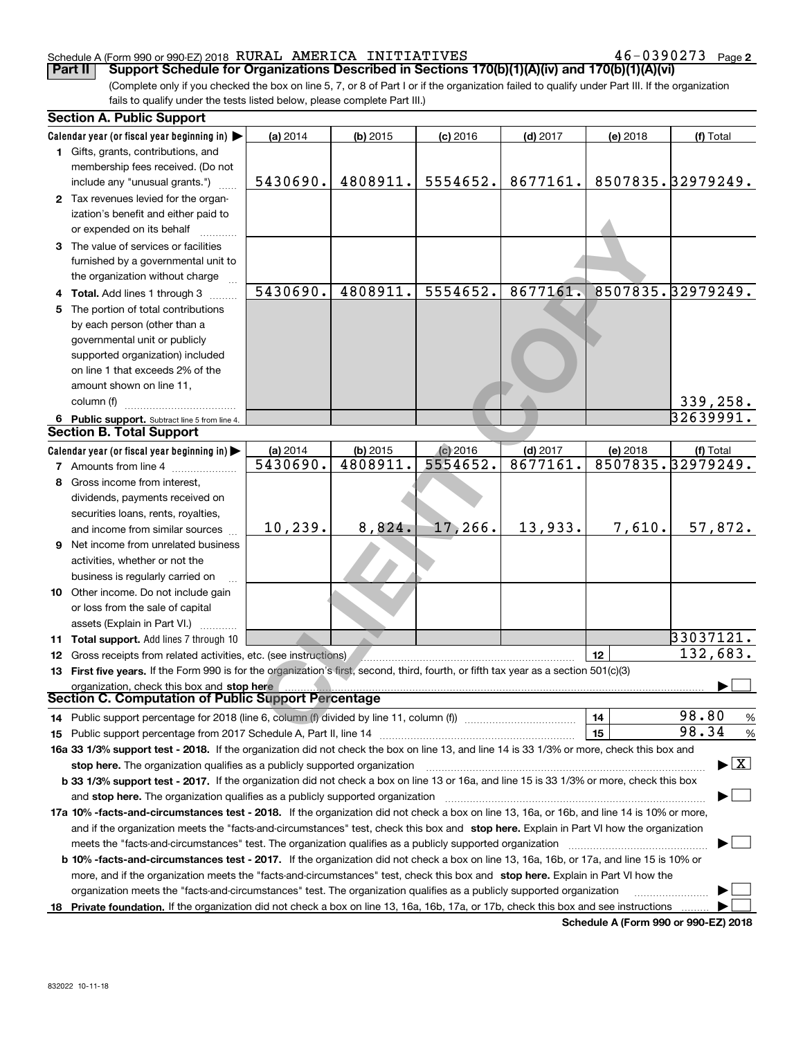#### Schedule A (Form 990 or 990-EZ) 2018 Page RURAL AMERICA INITIATIVES 46-0390273

**2**

(Complete only if you checked the box on line 5, 7, or 8 of Part I or if the organization failed to qualify under Part III. If the organization fails to qualify under the tests listed below, please complete Part III.) **Part II** | Support Schedule for Organizations Described in Sections 170(b)(1)(A)(iv) and 170(b)(1)(A)(vi)

|    | <b>Section A. Public Support</b>                                                                                                               |          |            |            |            |          |                                 |
|----|------------------------------------------------------------------------------------------------------------------------------------------------|----------|------------|------------|------------|----------|---------------------------------|
|    | Calendar year (or fiscal year beginning in)                                                                                                    | (a) 2014 | $(b)$ 2015 | $(c)$ 2016 | $(d)$ 2017 | (e) 2018 | (f) Total                       |
|    | 1 Gifts, grants, contributions, and                                                                                                            |          |            |            |            |          |                                 |
|    | membership fees received. (Do not                                                                                                              |          |            |            |            |          |                                 |
|    | include any "unusual grants.")                                                                                                                 | 5430690. | 4808911.   | 5554652.   | 8677161.   |          | 8507835.32979249.               |
|    | 2 Tax revenues levied for the organ-                                                                                                           |          |            |            |            |          |                                 |
|    | ization's benefit and either paid to                                                                                                           |          |            |            |            |          |                                 |
|    | or expended on its behalf                                                                                                                      |          |            |            |            |          |                                 |
|    | 3 The value of services or facilities                                                                                                          |          |            |            |            |          |                                 |
|    | furnished by a governmental unit to                                                                                                            |          |            |            |            |          |                                 |
|    | the organization without charge                                                                                                                |          |            |            |            |          |                                 |
|    | 4 Total. Add lines 1 through 3                                                                                                                 | 5430690. | 4808911.   | 5554652.   | 8677161.   |          | 8507835.32979249.               |
| 5. | The portion of total contributions                                                                                                             |          |            |            |            |          |                                 |
|    | by each person (other than a                                                                                                                   |          |            |            |            |          |                                 |
|    | governmental unit or publicly                                                                                                                  |          |            |            |            |          |                                 |
|    | supported organization) included                                                                                                               |          |            |            |            |          |                                 |
|    | on line 1 that exceeds 2% of the                                                                                                               |          |            |            |            |          |                                 |
|    |                                                                                                                                                |          |            |            |            |          |                                 |
|    | amount shown on line 11,                                                                                                                       |          |            |            |            |          |                                 |
|    | column (f)                                                                                                                                     |          |            |            |            |          | 339,258.                        |
|    | 6 Public support. Subtract line 5 from line 4.                                                                                                 |          |            |            |            |          | 32639991.                       |
|    | <b>Section B. Total Support</b>                                                                                                                |          |            |            |            |          |                                 |
|    | Calendar year (or fiscal year beginning in)                                                                                                    | (a) 2014 | (b) 2015   | $(c)$ 2016 | $(d)$ 2017 | (e) 2018 | (f) Total                       |
|    | <b>7</b> Amounts from line 4                                                                                                                   | 5430690. | 4808911.   | 5554652.   | 8677161.   |          | 8507835.32979249.               |
|    | 8 Gross income from interest,                                                                                                                  |          |            |            |            |          |                                 |
|    | dividends, payments received on                                                                                                                |          |            |            |            |          |                                 |
|    | securities loans, rents, royalties,                                                                                                            |          |            |            |            |          |                                 |
|    | and income from similar sources                                                                                                                | 10, 239. | 8,824.     | 17,266.    | 13,933.    | 7,610.   | 57,872.                         |
|    | <b>9</b> Net income from unrelated business                                                                                                    |          |            |            |            |          |                                 |
|    | activities, whether or not the                                                                                                                 |          |            |            |            |          |                                 |
|    | business is regularly carried on                                                                                                               |          |            |            |            |          |                                 |
|    | 10 Other income. Do not include gain                                                                                                           |          |            |            |            |          |                                 |
|    | or loss from the sale of capital                                                                                                               |          |            |            |            |          |                                 |
|    | assets (Explain in Part VI.)                                                                                                                   |          |            |            |            |          |                                 |
|    | 11 Total support. Add lines 7 through 10                                                                                                       |          |            |            |            |          | 33037121.                       |
|    | 12 Gross receipts from related activities, etc. (see instructions)                                                                             |          |            |            |            | 12       | 132,683.                        |
|    | 13 First five years. If the Form 990 is for the organization's first, second, third, fourth, or fifth tax year as a section 501(c)(3)          |          |            |            |            |          |                                 |
|    |                                                                                                                                                |          |            |            |            |          |                                 |
|    | organization, check this box and stop here<br><b>Section C. Computation of Public Support Percentage</b>                                       |          |            |            |            |          |                                 |
|    | 14 Public support percentage for 2018 (line 6, column (f) divided by line 11, column (f) <i>manumeronominimi</i> ng                            |          |            |            |            | 14       | 98.80<br>$\frac{9}{6}$          |
|    |                                                                                                                                                |          |            |            |            | 15       | 98.34<br>%                      |
|    | 16a 33 1/3% support test - 2018. If the organization did not check the box on line 13, and line 14 is 33 1/3% or more, check this box and      |          |            |            |            |          |                                 |
|    |                                                                                                                                                |          |            |            |            |          | $\blacktriangleright$ $\vert$ X |
|    | stop here. The organization qualifies as a publicly supported organization                                                                     |          |            |            |            |          |                                 |
|    | b 33 1/3% support test - 2017. If the organization did not check a box on line 13 or 16a, and line 15 is 33 1/3% or more, check this box       |          |            |            |            |          |                                 |
|    | and stop here. The organization qualifies as a publicly supported organization                                                                 |          |            |            |            |          |                                 |
|    | 17a 10% -facts-and-circumstances test - 2018. If the organization did not check a box on line 13, 16a, or 16b, and line 14 is 10% or more,     |          |            |            |            |          |                                 |
|    | and if the organization meets the "facts-and-circumstances" test, check this box and stop here. Explain in Part VI how the organization        |          |            |            |            |          |                                 |
|    | meets the "facts-and-circumstances" test. The organization qualifies as a publicly supported organization                                      |          |            |            |            |          |                                 |
|    | <b>b 10% -facts-and-circumstances test - 2017.</b> If the organization did not check a box on line 13, 16a, 16b, or 17a, and line 15 is 10% or |          |            |            |            |          |                                 |
|    | more, and if the organization meets the "facts-and-circumstances" test, check this box and stop here. Explain in Part VI how the               |          |            |            |            |          |                                 |
|    | organization meets the "facts-and-circumstances" test. The organization qualifies as a publicly supported organization                         |          |            |            |            |          |                                 |
|    | 18 Private foundation. If the organization did not check a box on line 13, 16a, 16b, 17a, or 17b, check this box and see instructions          |          |            |            |            |          |                                 |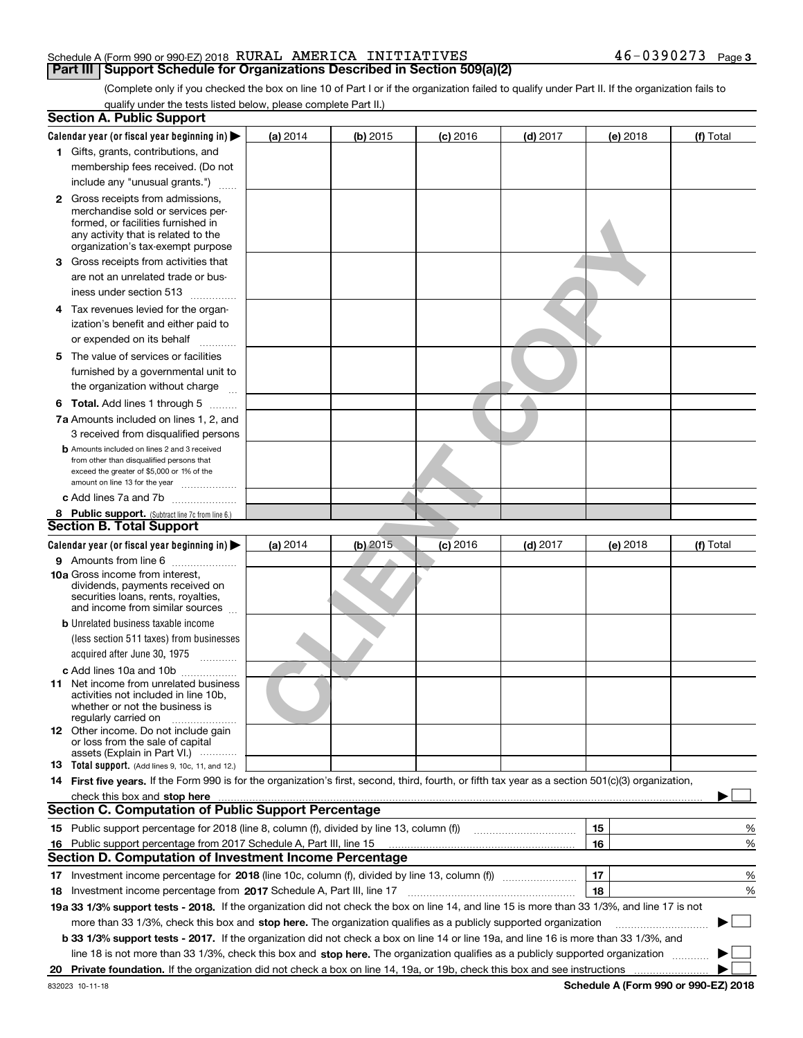| Schedule A (Form 990 or 990-EZ) 2018 |  | RURAL | AMERICA | INITIATIVES |  |  | Page 3 |
|--------------------------------------|--|-------|---------|-------------|--|--|--------|
|                                      |  |       |         |             |  |  |        |

(Complete only if you checked the box on line 10 of Part I or if the organization failed to qualify under Part II. If the organization fails to qualify under the tests listed below, please complete Part II.)

|     | <b>Section A. Public Support</b>                                                                                                                                                                                                                                                             |          |            |            |            |          |             |
|-----|----------------------------------------------------------------------------------------------------------------------------------------------------------------------------------------------------------------------------------------------------------------------------------------------|----------|------------|------------|------------|----------|-------------|
|     | Calendar year (or fiscal year beginning in) $\blacktriangleright$                                                                                                                                                                                                                            | (a) 2014 | (b) 2015   | $(c)$ 2016 | $(d)$ 2017 | (e) 2018 | (f) Total   |
|     | 1 Gifts, grants, contributions, and                                                                                                                                                                                                                                                          |          |            |            |            |          |             |
|     | membership fees received. (Do not                                                                                                                                                                                                                                                            |          |            |            |            |          |             |
|     | include any "unusual grants.")                                                                                                                                                                                                                                                               |          |            |            |            |          |             |
|     | <b>2</b> Gross receipts from admissions,<br>merchandise sold or services per-<br>formed, or facilities furnished in<br>any activity that is related to the<br>organization's tax-exempt purpose                                                                                              |          |            |            |            |          |             |
|     | 3 Gross receipts from activities that<br>are not an unrelated trade or bus-                                                                                                                                                                                                                  |          |            |            |            |          |             |
|     | iness under section 513<br>4 Tax revenues levied for the organ-                                                                                                                                                                                                                              |          |            |            |            |          |             |
|     | ization's benefit and either paid to<br>or expended on its behalf                                                                                                                                                                                                                            |          |            |            |            |          |             |
|     |                                                                                                                                                                                                                                                                                              |          |            |            |            |          |             |
|     | 5 The value of services or facilities<br>furnished by a governmental unit to<br>the organization without charge                                                                                                                                                                              |          |            |            |            |          |             |
|     | <b>6 Total.</b> Add lines 1 through 5                                                                                                                                                                                                                                                        |          |            |            |            |          |             |
|     | 7a Amounts included on lines 1, 2, and                                                                                                                                                                                                                                                       |          |            |            |            |          |             |
|     | 3 received from disqualified persons                                                                                                                                                                                                                                                         |          |            |            |            |          |             |
|     | <b>b</b> Amounts included on lines 2 and 3 received<br>from other than disqualified persons that<br>exceed the greater of \$5,000 or 1% of the                                                                                                                                               |          |            |            |            |          |             |
|     | amount on line 13 for the year<br>c Add lines 7a and 7b                                                                                                                                                                                                                                      |          |            |            |            |          |             |
|     |                                                                                                                                                                                                                                                                                              |          |            |            |            |          |             |
|     | 8 Public support. (Subtract line 7c from line 6.)<br><b>Section B. Total Support</b>                                                                                                                                                                                                         |          |            |            |            |          |             |
|     | Calendar year (or fiscal year beginning in)                                                                                                                                                                                                                                                  | (a) 2014 | $(b)$ 2015 | $(c)$ 2016 | $(d)$ 2017 | (e) 2018 | (f) Total   |
|     | 9 Amounts from line 6                                                                                                                                                                                                                                                                        |          |            |            |            |          |             |
|     | <b>10a</b> Gross income from interest,<br>dividends, payments received on<br>securities loans, rents, royalties,<br>and income from similar sources                                                                                                                                          |          |            |            |            |          |             |
|     | <b>b</b> Unrelated business taxable income<br>(less section 511 taxes) from businesses<br>acquired after June 30, 1975                                                                                                                                                                       |          |            |            |            |          |             |
|     | c Add lines 10a and 10b                                                                                                                                                                                                                                                                      |          |            |            |            |          |             |
|     | 11 Net income from unrelated business<br>activities not included in line 10b,<br>whether or not the business is<br>regularly carried on                                                                                                                                                      |          |            |            |            |          |             |
|     | 12 Other income. Do not include gain<br>or loss from the sale of capital<br>assets (Explain in Part VI.)                                                                                                                                                                                     |          |            |            |            |          |             |
|     | 13 Total support. (Add lines 9, 10c, 11, and 12.)                                                                                                                                                                                                                                            |          |            |            |            |          |             |
|     | 14 First five years. If the Form 990 is for the organization's first, second, third, fourth, or fifth tax year as a section 501(c)(3) organization,                                                                                                                                          |          |            |            |            |          |             |
|     | check this box and stop here manufactured and content to the state of the state of the state of the state of the state of the state of the state of the state of the state of the state of the state of the state of the state<br><b>Section C. Computation of Public Support Percentage</b> |          |            |            |            |          |             |
|     | 15 Public support percentage for 2018 (line 8, column (f), divided by line 13, column (f))                                                                                                                                                                                                   |          |            |            |            | 15       | %           |
|     |                                                                                                                                                                                                                                                                                              |          |            |            |            | 16       | %           |
| 16. | Public support percentage from 2017 Schedule A, Part III, line 15<br><b>Section D. Computation of Investment Income Percentage</b>                                                                                                                                                           |          |            |            |            |          |             |
|     |                                                                                                                                                                                                                                                                                              |          |            |            |            | 17       |             |
|     | 17 Investment income percentage for 2018 (line 10c, column (f), divided by line 13, column (f))                                                                                                                                                                                              |          |            |            |            |          | %           |
|     | 18 Investment income percentage from 2017 Schedule A, Part III, line 17                                                                                                                                                                                                                      |          |            |            |            | 18       | %           |
|     | 19a 33 1/3% support tests - 2018. If the organization did not check the box on line 14, and line 15 is more than 33 1/3%, and line 17 is not                                                                                                                                                 |          |            |            |            |          |             |
|     | more than 33 1/3%, check this box and stop here. The organization qualifies as a publicly supported organization<br>b 33 1/3% support tests - 2017. If the organization did not check a box on line 14 or line 19a, and line 16 is more than 33 1/3%, and                                    |          |            |            |            |          | $\sim$<br>▶ |
|     | line 18 is not more than 33 1/3%, check this box and stop here. The organization qualifies as a publicly supported organization                                                                                                                                                              |          |            |            |            |          |             |
| 20  |                                                                                                                                                                                                                                                                                              |          |            |            |            |          |             |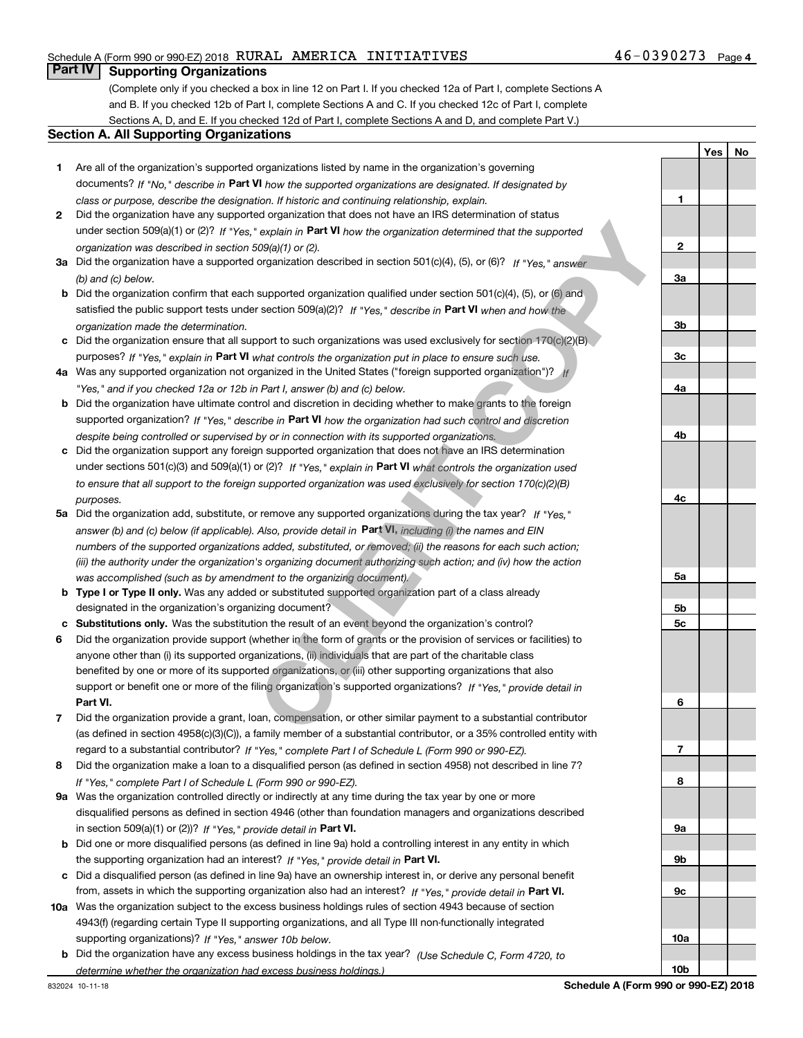## Schedule A (Form 990 or 990-EZ) 2018 Page RURAL AMERICA INITIATIVES 46-0390273

(Complete only if you checked a box in line 12 on Part I. If you checked 12a of Part I, complete Sections A and B. If you checked 12b of Part I, complete Sections A and C. If you checked 12c of Part I, complete Sections A, D, and E. If you checked 12d of Part I, complete Sections A and D, and complete Part V.)

#### **Section A. All Supporting Organizations**

- **1** Are all of the organization's supported organizations listed by name in the organization's governing documents? If "No," describe in **Part VI** how the supported organizations are designated. If designated by *class or purpose, describe the designation. If historic and continuing relationship, explain.*
- **2** Did the organization have any supported organization that does not have an IRS determination of status under section 509(a)(1) or (2)? If "Yes," explain in Part VI how the organization determined that the supported *organization was described in section 509(a)(1) or (2).*
- **3a** Did the organization have a supported organization described in section 501(c)(4), (5), or (6)? If "Yes," answer *(b) and (c) below.*
- **b** Did the organization confirm that each supported organization qualified under section 501(c)(4), (5), or (6) and satisfied the public support tests under section 509(a)(2)? If "Yes," describe in **Part VI** when and how the *organization made the determination.*
- **c** Did the organization ensure that all support to such organizations was used exclusively for section 170(c)(2)(B) purposes? If "Yes," explain in **Part VI** what controls the organization put in place to ensure such use.
- **4a**Was any supported organization not organized in the United States ("foreign supported organization")? *If "Yes," and if you checked 12a or 12b in Part I, answer (b) and (c) below.*
- **b** Did the organization have ultimate control and discretion in deciding whether to make grants to the foreign supported organization? If "Yes," describe in **Part VI** how the organization had such control and discretion *despite being controlled or supervised by or in connection with its supported organizations.*
- **c** Did the organization support any foreign supported organization that does not have an IRS determination under sections 501(c)(3) and 509(a)(1) or (2)? If "Yes," explain in **Part VI** what controls the organization used *to ensure that all support to the foreign supported organization was used exclusively for section 170(c)(2)(B) purposes.*
- **5a***If "Yes,"* Did the organization add, substitute, or remove any supported organizations during the tax year? answer (b) and (c) below (if applicable). Also, provide detail in **Part VI**, <sub>including (i) the names and EIN</sub> *numbers of the supported organizations added, substituted, or removed; (ii) the reasons for each such action; (iii) the authority under the organization's organizing document authorizing such action; and (iv) how the action was accomplished (such as by amendment to the organizing document).*
- **b** Type I or Type II only. Was any added or substituted supported organization part of a class already designated in the organization's organizing document?
- **cSubstitutions only.**  Was the substitution the result of an event beyond the organization's control?
- **6** Did the organization provide support (whether in the form of grants or the provision of services or facilities) to **Part VI.** *If "Yes," provide detail in* support or benefit one or more of the filing organization's supported organizations? anyone other than (i) its supported organizations, (ii) individuals that are part of the charitable class benefited by one or more of its supported organizations, or (iii) other supporting organizations that also **C** explain in **Part VI** how the organization determined that the supported<br>
Copy(d) or (2).<br>
Copy(d) or (2).<br>
Copy(d) or (2).<br>
Supported organization qualified under section 501(c)(4), (5), or (6)? If "Yes," answer<br>
suppo
- **7**Did the organization provide a grant, loan, compensation, or other similar payment to a substantial contributor *If "Yes," complete Part I of Schedule L (Form 990 or 990-EZ).* regard to a substantial contributor? (as defined in section 4958(c)(3)(C)), a family member of a substantial contributor, or a 35% controlled entity with
- **8** Did the organization make a loan to a disqualified person (as defined in section 4958) not described in line 7? *If "Yes," complete Part I of Schedule L (Form 990 or 990-EZ).*
- **9a** Was the organization controlled directly or indirectly at any time during the tax year by one or more in section 509(a)(1) or (2))? If "Yes," *provide detail in* <code>Part VI.</code> disqualified persons as defined in section 4946 (other than foundation managers and organizations described
- **b** Did one or more disqualified persons (as defined in line 9a) hold a controlling interest in any entity in which the supporting organization had an interest? If "Yes," provide detail in P**art VI**.
- **c**Did a disqualified person (as defined in line 9a) have an ownership interest in, or derive any personal benefit from, assets in which the supporting organization also had an interest? If "Yes," provide detail in P**art VI.**
- **10a** Was the organization subject to the excess business holdings rules of section 4943 because of section supporting organizations)? If "Yes," answer 10b below. 4943(f) (regarding certain Type II supporting organizations, and all Type III non-functionally integrated
	- **b** Did the organization have any excess business holdings in the tax year? (Use Schedule C, Form 4720, to *determine whether the organization had excess business holdings.)*

**1**

**YesNo**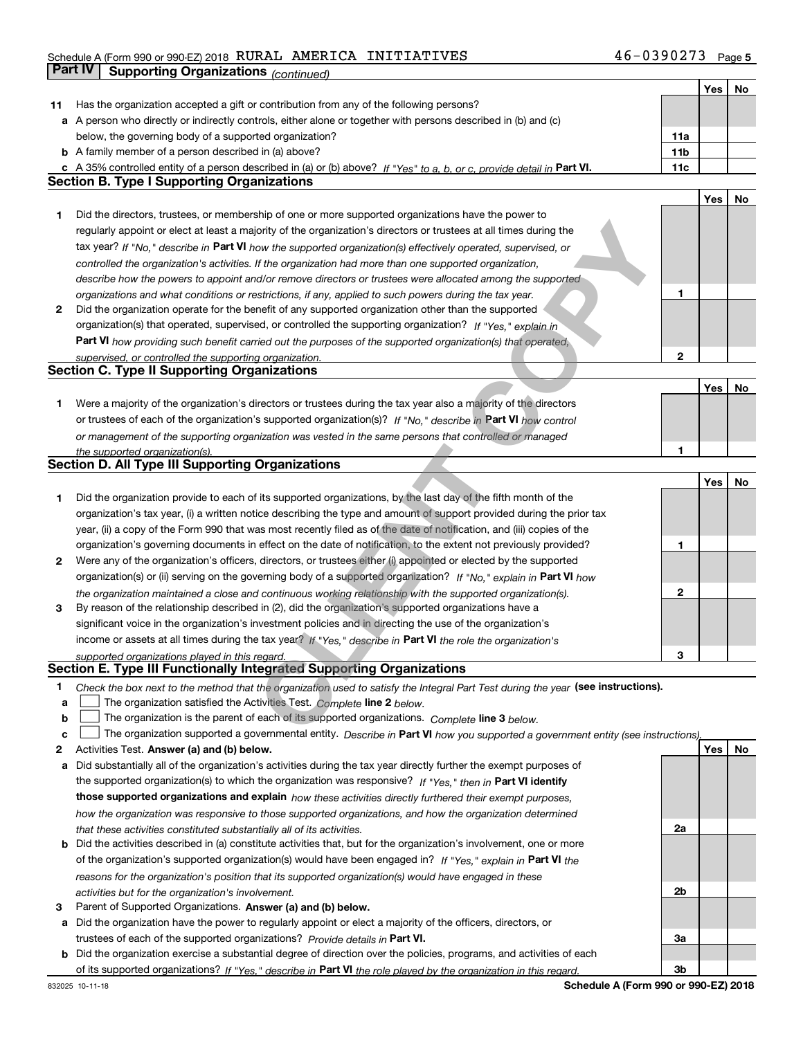## Schedule A (Form 990 or 990-EZ) 2018 Page RURAL AMERICA INITIATIVES 46-0390273**Part IV | Supporting Organizations** *(continued)*

|    |                                                                                                                                                                                                             |     |            | Yes   No |
|----|-------------------------------------------------------------------------------------------------------------------------------------------------------------------------------------------------------------|-----|------------|----------|
| 11 | Has the organization accepted a gift or contribution from any of the following persons?                                                                                                                     |     |            |          |
|    | a A person who directly or indirectly controls, either alone or together with persons described in (b) and (c)                                                                                              |     |            |          |
|    | below, the governing body of a supported organization?                                                                                                                                                      | 11a |            |          |
|    | <b>b</b> A family member of a person described in (a) above?                                                                                                                                                | 11b |            |          |
|    | c A 35% controlled entity of a person described in (a) or (b) above? If "Yes" to a, b, or c, provide detail in Part VI.                                                                                     | 11c |            |          |
|    | Section B. Type I Supporting Organizations                                                                                                                                                                  |     |            |          |
|    |                                                                                                                                                                                                             |     | <b>Yes</b> | No       |
| 1  | Did the directors, trustees, or membership of one or more supported organizations have the power to                                                                                                         |     |            |          |
|    | regularly appoint or elect at least a majority of the organization's directors or trustees at all times during the                                                                                          |     |            |          |
|    | tax year? If "No," describe in Part VI how the supported organization(s) effectively operated, supervised, or                                                                                               |     |            |          |
|    | controlled the organization's activities. If the organization had more than one supported organization,                                                                                                     |     |            |          |
|    | describe how the powers to appoint and/or remove directors or trustees were allocated among the supported                                                                                                   |     |            |          |
|    | organizations and what conditions or restrictions, if any, applied to such powers during the tax year.                                                                                                      | 1   |            |          |
| 2  | Did the organization operate for the benefit of any supported organization other than the supported                                                                                                         |     |            |          |
|    | organization(s) that operated, supervised, or controlled the supporting organization? If "Yes," explain in                                                                                                  |     |            |          |
|    | Part VI how providing such benefit carried out the purposes of the supported organization(s) that operated,                                                                                                 |     |            |          |
|    | supervised, or controlled the supporting organization.                                                                                                                                                      | 2   |            |          |
|    | <b>Section C. Type II Supporting Organizations</b>                                                                                                                                                          |     |            |          |
|    |                                                                                                                                                                                                             |     | Yes        | No       |
| 1  | Were a majority of the organization's directors or trustees during the tax year also a majority of the directors                                                                                            |     |            |          |
|    | or trustees of each of the organization's supported organization(s)? If "No," describe in Part VI how control                                                                                               |     |            |          |
|    | or management of the supporting organization was vested in the same persons that controlled or managed                                                                                                      |     |            |          |
|    | the supported organization(s).                                                                                                                                                                              | 1   |            |          |
|    | <b>Section D. All Type III Supporting Organizations</b>                                                                                                                                                     |     |            |          |
|    |                                                                                                                                                                                                             |     | Yes        | No       |
| 1  | Did the organization provide to each of its supported organizations, by the last day of the fifth month of the                                                                                              |     |            |          |
|    | organization's tax year, (i) a written notice describing the type and amount of support provided during the prior tax                                                                                       |     |            |          |
|    | year, (ii) a copy of the Form 990 that was most recently filed as of the date of notification, and (iii) copies of the                                                                                      |     |            |          |
|    | organization's governing documents in effect on the date of notification, to the extent not previously provided?                                                                                            | 1   |            |          |
| 2  | Were any of the organization's officers, directors, or trustees either (i) appointed or elected by the supported                                                                                            |     |            |          |
|    | organization(s) or (ii) serving on the governing body of a supported organization? If "No," explain in Part VI how                                                                                          |     |            |          |
|    | the organization maintained a close and continuous working relationship with the supported organization(s).                                                                                                 | 2   |            |          |
| 3  | By reason of the relationship described in (2), did the organization's supported organizations have a                                                                                                       |     |            |          |
|    | significant voice in the organization's investment policies and in directing the use of the organization's                                                                                                  |     |            |          |
|    | income or assets at all times during the tax year? If "Yes," describe in Part VI the role the organization's                                                                                                |     |            |          |
|    | supported organizations played in this regard.                                                                                                                                                              | 3   |            |          |
|    | Section E. Type III Functionally Integrated Supporting Organizations                                                                                                                                        |     |            |          |
| 1  |                                                                                                                                                                                                             |     |            |          |
| a  | Check the box next to the method that the organization used to satisfy the Integral Part Test during the year (see instructions).<br>The organization satisfied the Activities Test. Complete line 2 below. |     |            |          |
| b  | The organization is the parent of each of its supported organizations. Complete line 3 below.                                                                                                               |     |            |          |
| C  | The organization supported a governmental entity. Describe in Part VI how you supported a government entity (see instructions)                                                                              |     |            |          |
| 2  | Activities Test. Answer (a) and (b) below.                                                                                                                                                                  |     | <b>Yes</b> | No       |
| а  | Did substantially all of the organization's activities during the tax year directly further the exempt purposes of                                                                                          |     |            |          |
|    | the supported organization(s) to which the organization was responsive? If "Yes," then in Part VI identify                                                                                                  |     |            |          |
|    | those supported organizations and explain how these activities directly furthered their exempt purposes,                                                                                                    |     |            |          |
|    | how the organization was responsive to those supported organizations, and how the organization determined                                                                                                   |     |            |          |
|    |                                                                                                                                                                                                             | 2a  |            |          |
| b  | that these activities constituted substantially all of its activities.<br>Did the activities described in (a) constitute activities that, but for the organization's involvement, one or more               |     |            |          |
|    | of the organization's supported organization(s) would have been engaged in? If "Yes," explain in Part VI the                                                                                                |     |            |          |
|    |                                                                                                                                                                                                             |     |            |          |
|    | reasons for the organization's position that its supported organization(s) would have engaged in these                                                                                                      | 2b  |            |          |
| з  | activities but for the organization's involvement.<br>Parent of Supported Organizations. Answer (a) and (b) below.                                                                                          |     |            |          |
|    | Did the organization have the power to regularly appoint or elect a majority of the officers, directors, or                                                                                                 |     |            |          |
| а  |                                                                                                                                                                                                             |     |            |          |
|    | trustees of each of the supported organizations? Provide details in Part VI.                                                                                                                                | За  |            |          |
| b  | Did the organization exercise a substantial degree of direction over the policies, programs, and activities of each                                                                                         | 3b  |            |          |
|    | of its supported organizations? If "Yes," describe in Part VI the role played by the organization in this regard.                                                                                           |     |            |          |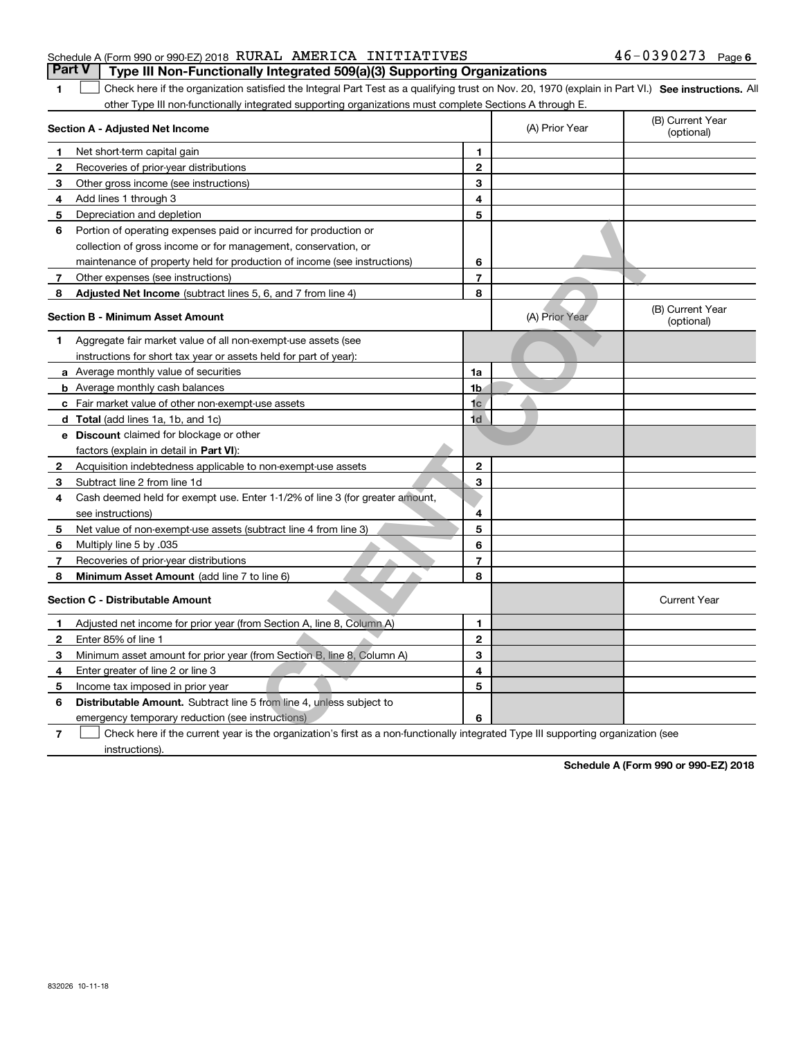## Schedule A (Form 990 or 990-EZ) 2018 Page RURAL AMERICA INITIATIVES 46-0390273**Part V Type III Non-Functionally Integrated 509(a)(3) Supporting Organizations**

1 Check here if the organization satisfied the Integral Part Test as a qualifying trust on Nov. 20, 1970 (explain in Part VI.) See instructions. All other Type III non-functionally integrated supporting organizations must complete Sections A through E.

|                | Section A - Adjusted Net Income                                                                                                   |                         | (A) Prior Year | (B) Current Year<br>(optional) |
|----------------|-----------------------------------------------------------------------------------------------------------------------------------|-------------------------|----------------|--------------------------------|
| 1.             | Net short-term capital gain                                                                                                       | 1.                      |                |                                |
| 2              | Recoveries of prior-year distributions                                                                                            | $\overline{2}$          |                |                                |
| 3              | Other gross income (see instructions)                                                                                             | 3                       |                |                                |
| 4              | Add lines 1 through 3                                                                                                             | 4                       |                |                                |
| 5              | Depreciation and depletion                                                                                                        | 5                       |                |                                |
| 6              | Portion of operating expenses paid or incurred for production or                                                                  |                         |                |                                |
|                | collection of gross income or for management, conservation, or                                                                    |                         |                |                                |
|                | maintenance of property held for production of income (see instructions)                                                          | 6                       |                |                                |
| 7              | Other expenses (see instructions)                                                                                                 | $\overline{\mathbf{r}}$ |                |                                |
| 8              | Adjusted Net Income (subtract lines 5, 6, and 7 from line 4)                                                                      | 8                       |                |                                |
|                | <b>Section B - Minimum Asset Amount</b>                                                                                           |                         | (A) Prior Year | (B) Current Year<br>(optional) |
| 1              | Aggregate fair market value of all non-exempt-use assets (see                                                                     |                         |                |                                |
|                | instructions for short tax year or assets held for part of year):                                                                 |                         |                |                                |
|                | <b>a</b> Average monthly value of securities                                                                                      | 1a                      |                |                                |
|                | <b>b</b> Average monthly cash balances                                                                                            | 1 <sub>b</sub>          |                |                                |
|                | c Fair market value of other non-exempt-use assets                                                                                | 1 <sub>c</sub>          |                |                                |
|                | d Total (add lines 1a, 1b, and 1c)                                                                                                | 1d                      |                |                                |
|                | e Discount claimed for blockage or other                                                                                          |                         |                |                                |
|                | factors (explain in detail in Part VI):                                                                                           |                         |                |                                |
| $\mathbf{2}$   | Acquisition indebtedness applicable to non-exempt-use assets                                                                      | $\overline{2}$          |                |                                |
| 3              | Subtract line 2 from line 1d                                                                                                      | 3                       |                |                                |
| 4              | Cash deemed held for exempt use. Enter 1-1/2% of line 3 (for greater amount,                                                      |                         |                |                                |
|                | see instructions)                                                                                                                 | 4                       |                |                                |
| 5              | Net value of non-exempt-use assets (subtract line 4 from line 3)                                                                  | 5                       |                |                                |
| 6              | Multiply line 5 by .035                                                                                                           | 6                       |                |                                |
| 7              | Recoveries of prior-year distributions                                                                                            | $\overline{7}$          |                |                                |
| 8              | Minimum Asset Amount (add line 7 to line 6)                                                                                       | 8                       |                |                                |
|                | <b>Section C - Distributable Amount</b>                                                                                           |                         |                | <b>Current Year</b>            |
| 1.             | Adjusted net income for prior year (from Section A, line 8, Column A)                                                             | 1                       |                |                                |
| $\mathbf{2}$   | Enter 85% of line 1                                                                                                               | $\overline{2}$          |                |                                |
| 3              | Minimum asset amount for prior year (from Section B, line 8, Column A)                                                            | 3                       |                |                                |
| 4              | Enter greater of line 2 or line 3                                                                                                 | 4                       |                |                                |
| 5              | Income tax imposed in prior year                                                                                                  | 5                       |                |                                |
| 6              | <b>Distributable Amount.</b> Subtract line 5 from line 4, unless subject to                                                       |                         |                |                                |
|                | emergency temporary reduction (see instructions)                                                                                  | 6                       |                |                                |
| $\overline{7}$ | Check here if the current year is the organization's first as a non-functionally integrated Type III supporting organization (see |                         |                |                                |

instructions).

**1**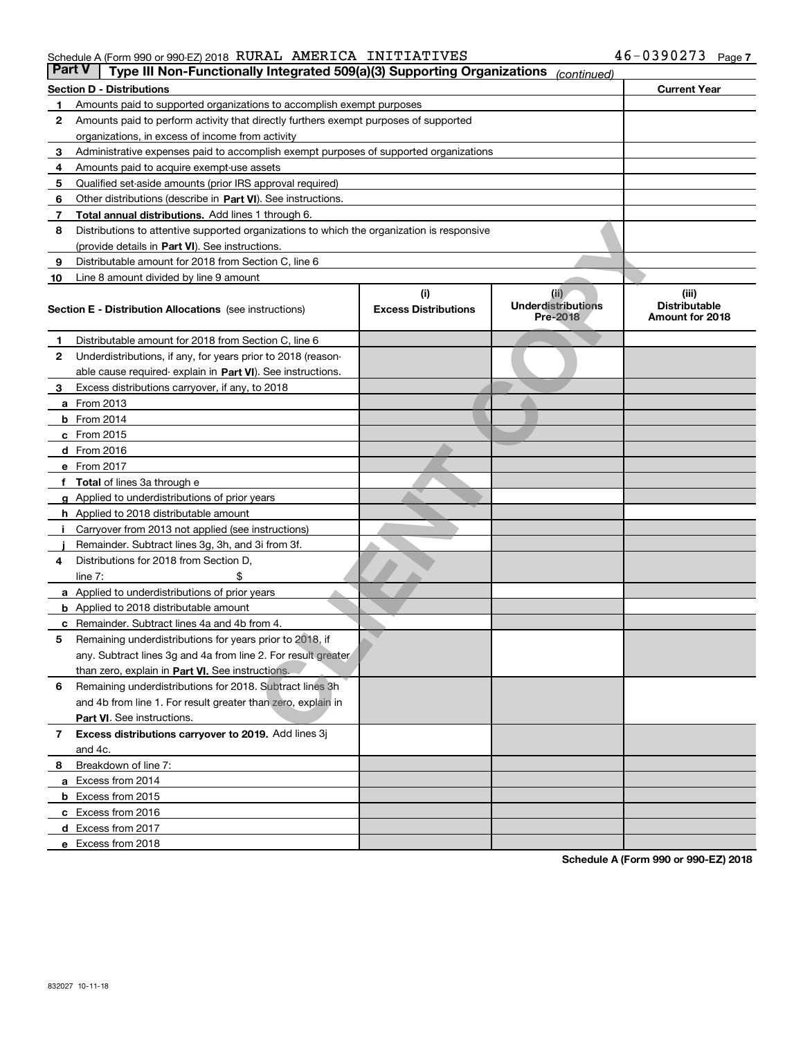#### Schedule A (Form 990 or 990-EZ) 2018 Page RURAL AMERICA INITIATIVES 46-0390273

| <b>Part V</b> | Type III Non-Functionally Integrated 509(a)(3) Supporting Organizations                    |                             | (continued)                                  |                                         |  |  |  |  |
|---------------|--------------------------------------------------------------------------------------------|-----------------------------|----------------------------------------------|-----------------------------------------|--|--|--|--|
|               | Section D - Distributions                                                                  |                             |                                              | <b>Current Year</b>                     |  |  |  |  |
| 1             | Amounts paid to supported organizations to accomplish exempt purposes                      |                             |                                              |                                         |  |  |  |  |
| 2             | Amounts paid to perform activity that directly furthers exempt purposes of supported       |                             |                                              |                                         |  |  |  |  |
|               | organizations, in excess of income from activity                                           |                             |                                              |                                         |  |  |  |  |
| з             | Administrative expenses paid to accomplish exempt purposes of supported organizations      |                             |                                              |                                         |  |  |  |  |
| 4             | Amounts paid to acquire exempt-use assets                                                  |                             |                                              |                                         |  |  |  |  |
| 5             | Qualified set-aside amounts (prior IRS approval required)                                  |                             |                                              |                                         |  |  |  |  |
| 6             | Other distributions (describe in Part VI). See instructions.                               |                             |                                              |                                         |  |  |  |  |
| 7             | <b>Total annual distributions.</b> Add lines 1 through 6.                                  |                             |                                              |                                         |  |  |  |  |
| 8             | Distributions to attentive supported organizations to which the organization is responsive |                             |                                              |                                         |  |  |  |  |
|               | (provide details in Part VI). See instructions.                                            |                             |                                              |                                         |  |  |  |  |
| 9             | Distributable amount for 2018 from Section C, line 6                                       |                             |                                              |                                         |  |  |  |  |
| 10            | Line 8 amount divided by line 9 amount                                                     |                             |                                              |                                         |  |  |  |  |
|               |                                                                                            | (i)                         | (ii)                                         | (iii)                                   |  |  |  |  |
|               | <b>Section E - Distribution Allocations</b> (see instructions)                             | <b>Excess Distributions</b> | <b>Underdistributions</b><br><b>Pre-2018</b> | <b>Distributable</b><br>Amount for 2018 |  |  |  |  |
| 1             | Distributable amount for 2018 from Section C, line 6                                       |                             |                                              |                                         |  |  |  |  |
| 2             | Underdistributions, if any, for years prior to 2018 (reason-                               |                             |                                              |                                         |  |  |  |  |
|               | able cause required- explain in Part VI). See instructions.                                |                             |                                              |                                         |  |  |  |  |
| з             | Excess distributions carryover, if any, to 2018                                            |                             |                                              |                                         |  |  |  |  |
|               | <b>a</b> From 2013                                                                         |                             |                                              |                                         |  |  |  |  |
|               | <b>b</b> From 2014                                                                         |                             |                                              |                                         |  |  |  |  |
|               | $c$ From 2015                                                                              |                             |                                              |                                         |  |  |  |  |
|               | d From 2016                                                                                |                             |                                              |                                         |  |  |  |  |
|               | e From 2017                                                                                |                             |                                              |                                         |  |  |  |  |
|               | Total of lines 3a through e                                                                |                             |                                              |                                         |  |  |  |  |
| a             | Applied to underdistributions of prior years                                               |                             |                                              |                                         |  |  |  |  |
|               | <b>h</b> Applied to 2018 distributable amount                                              |                             |                                              |                                         |  |  |  |  |
|               | Carryover from 2013 not applied (see instructions)                                         |                             |                                              |                                         |  |  |  |  |
|               | Remainder. Subtract lines 3g, 3h, and 3i from 3f.                                          |                             |                                              |                                         |  |  |  |  |
| 4             | Distributions for 2018 from Section D,                                                     |                             |                                              |                                         |  |  |  |  |
|               | line $7:$                                                                                  |                             |                                              |                                         |  |  |  |  |
|               | a Applied to underdistributions of prior years                                             |                             |                                              |                                         |  |  |  |  |
|               | <b>b</b> Applied to 2018 distributable amount                                              |                             |                                              |                                         |  |  |  |  |
| с             | Remainder. Subtract lines 4a and 4b from 4.                                                |                             |                                              |                                         |  |  |  |  |
| 5             | Remaining underdistributions for years prior to 2018, if                                   |                             |                                              |                                         |  |  |  |  |
|               | any. Subtract lines 3g and 4a from line 2. For result greater                              |                             |                                              |                                         |  |  |  |  |
|               | than zero, explain in Part VI. See instructions.                                           |                             |                                              |                                         |  |  |  |  |
| 6             | Remaining underdistributions for 2018. Subtract lines 3h                                   |                             |                                              |                                         |  |  |  |  |
|               | and 4b from line 1. For result greater than zero, explain in                               |                             |                                              |                                         |  |  |  |  |
|               | Part VI. See instructions.                                                                 |                             |                                              |                                         |  |  |  |  |
| 7             | Excess distributions carryover to 2019. Add lines 3j                                       |                             |                                              |                                         |  |  |  |  |
|               | and 4c.                                                                                    |                             |                                              |                                         |  |  |  |  |
| 8             | Breakdown of line 7:                                                                       |                             |                                              |                                         |  |  |  |  |
|               | a Excess from 2014                                                                         |                             |                                              |                                         |  |  |  |  |
|               | <b>b</b> Excess from 2015                                                                  |                             |                                              |                                         |  |  |  |  |
|               | c Excess from 2016                                                                         |                             |                                              |                                         |  |  |  |  |
|               | d Excess from 2017                                                                         |                             |                                              |                                         |  |  |  |  |
|               | e Excess from 2018                                                                         |                             |                                              |                                         |  |  |  |  |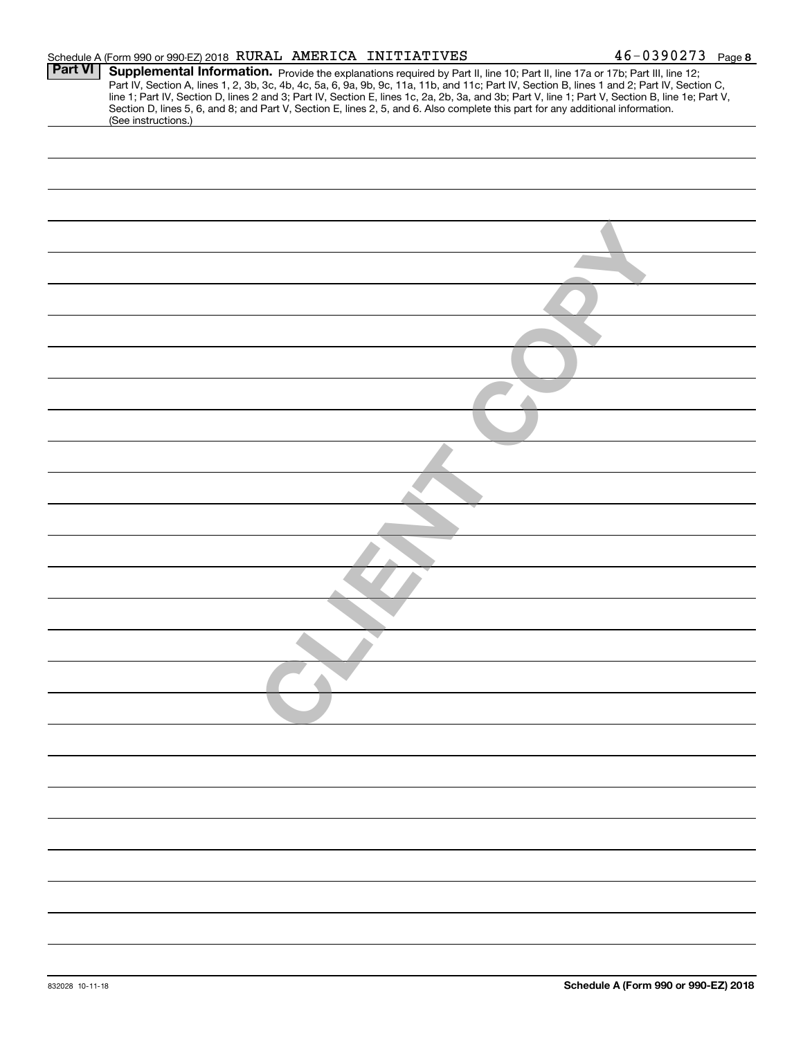|                | Schedule A (Form 990 or 990-EZ) 2018 RURAL AMERICA INITIATIVES |  | $46 - 0390273$ Page 8                                                                                                                                                                                                                                                                                                                                                                                                                                                                                                                                                |
|----------------|----------------------------------------------------------------|--|----------------------------------------------------------------------------------------------------------------------------------------------------------------------------------------------------------------------------------------------------------------------------------------------------------------------------------------------------------------------------------------------------------------------------------------------------------------------------------------------------------------------------------------------------------------------|
| <b>Part VI</b> |                                                                |  | Supplemental Information. Provide the explanations required by Part II, line 10; Part II, line 17a or 17b; Part III, line 12;<br>Part IV, Section A, lines 1, 2, 3b, 3c, 4b, 4c, 5a, 6, 9a, 9b, 9c, 11a, 11b, and 11c; Part IV, Section B, lines 1 and 2; Part IV, Section C,<br>line 1; Part IV, Section D, lines 2 and 3; Part IV, Section E, lines 1c, 2a, 2b, 3a, and 3b; Part V, line 1; Part V, Section B, line 1e; Part V,<br>Section D, lines 5, 6, and 8; and Part V, Section E, lines 2, 5, and 6. Also complete this part for any additional information. |
|                | (See instructions.)                                            |  |                                                                                                                                                                                                                                                                                                                                                                                                                                                                                                                                                                      |
|                |                                                                |  |                                                                                                                                                                                                                                                                                                                                                                                                                                                                                                                                                                      |
|                |                                                                |  |                                                                                                                                                                                                                                                                                                                                                                                                                                                                                                                                                                      |
|                |                                                                |  |                                                                                                                                                                                                                                                                                                                                                                                                                                                                                                                                                                      |
|                |                                                                |  |                                                                                                                                                                                                                                                                                                                                                                                                                                                                                                                                                                      |
|                |                                                                |  |                                                                                                                                                                                                                                                                                                                                                                                                                                                                                                                                                                      |
|                |                                                                |  |                                                                                                                                                                                                                                                                                                                                                                                                                                                                                                                                                                      |
|                |                                                                |  |                                                                                                                                                                                                                                                                                                                                                                                                                                                                                                                                                                      |
|                |                                                                |  |                                                                                                                                                                                                                                                                                                                                                                                                                                                                                                                                                                      |
|                |                                                                |  |                                                                                                                                                                                                                                                                                                                                                                                                                                                                                                                                                                      |
|                |                                                                |  |                                                                                                                                                                                                                                                                                                                                                                                                                                                                                                                                                                      |
|                |                                                                |  |                                                                                                                                                                                                                                                                                                                                                                                                                                                                                                                                                                      |
|                |                                                                |  |                                                                                                                                                                                                                                                                                                                                                                                                                                                                                                                                                                      |
|                |                                                                |  |                                                                                                                                                                                                                                                                                                                                                                                                                                                                                                                                                                      |
|                |                                                                |  |                                                                                                                                                                                                                                                                                                                                                                                                                                                                                                                                                                      |
|                |                                                                |  |                                                                                                                                                                                                                                                                                                                                                                                                                                                                                                                                                                      |
|                |                                                                |  |                                                                                                                                                                                                                                                                                                                                                                                                                                                                                                                                                                      |
|                |                                                                |  |                                                                                                                                                                                                                                                                                                                                                                                                                                                                                                                                                                      |
|                |                                                                |  |                                                                                                                                                                                                                                                                                                                                                                                                                                                                                                                                                                      |
|                |                                                                |  |                                                                                                                                                                                                                                                                                                                                                                                                                                                                                                                                                                      |
|                |                                                                |  |                                                                                                                                                                                                                                                                                                                                                                                                                                                                                                                                                                      |
|                |                                                                |  |                                                                                                                                                                                                                                                                                                                                                                                                                                                                                                                                                                      |
|                |                                                                |  |                                                                                                                                                                                                                                                                                                                                                                                                                                                                                                                                                                      |
|                |                                                                |  |                                                                                                                                                                                                                                                                                                                                                                                                                                                                                                                                                                      |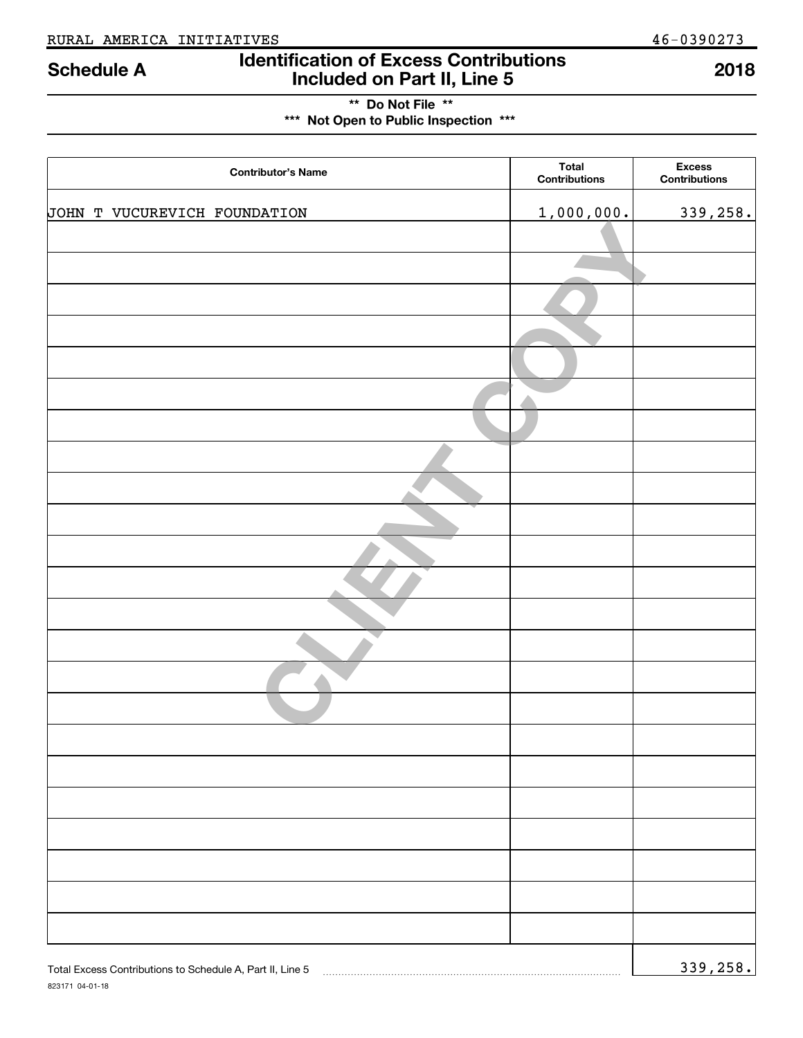823171 04-01-18

## **Identification of Excess Contributions Included on Part II, Line 5 Schedule A 2018**

**\*\* Do Not File \*\* \*\*\* Not Open to Public Inspection \*\*\***

| <b>Contributor's Name</b>                                 | <b>Total</b><br><b>Contributions</b> | <b>Excess</b><br><b>Contributions</b> |
|-----------------------------------------------------------|--------------------------------------|---------------------------------------|
| JOHN T VUCUREVICH FOUNDATION                              | 1,000,000.                           | 339,258.                              |
|                                                           |                                      |                                       |
|                                                           |                                      |                                       |
|                                                           |                                      |                                       |
|                                                           |                                      |                                       |
|                                                           |                                      |                                       |
|                                                           |                                      |                                       |
|                                                           |                                      |                                       |
|                                                           |                                      |                                       |
|                                                           |                                      |                                       |
|                                                           |                                      |                                       |
|                                                           |                                      |                                       |
|                                                           |                                      |                                       |
|                                                           |                                      |                                       |
|                                                           |                                      |                                       |
|                                                           |                                      |                                       |
|                                                           |                                      |                                       |
|                                                           |                                      |                                       |
|                                                           |                                      |                                       |
|                                                           |                                      |                                       |
|                                                           |                                      |                                       |
|                                                           |                                      |                                       |
|                                                           |                                      |                                       |
|                                                           |                                      |                                       |
| Total Excess Contributions to Schedule A, Part II, Line 5 |                                      | 339,258.                              |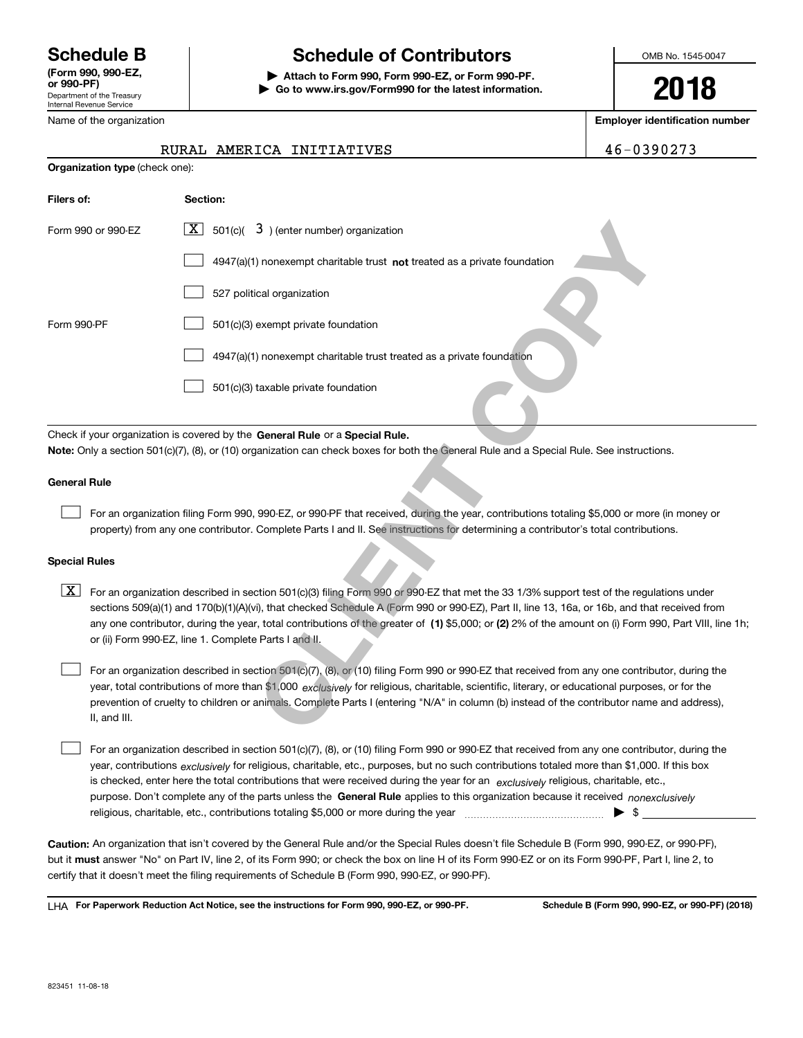Department of the Treasury Internal Revenue Service **(Form 990, 990-EZ, or 990-PF)** Name of the organization

## **Schedule B Schedule of Contributors**

**| Attach to Form 990, Form 990-EZ, or Form 990-PF. | Go to www.irs.gov/Form990 for the latest information.** OMB No. 1545-0047

**2018**

**Employer identification number**

| $6 - 0390273$ |  |
|---------------|--|
|---------------|--|

|  | RURAL AMERICA INITIATIVES | 46-0390273 |
|--|---------------------------|------------|
|  |                           |            |

| <b>Organization type (check one):</b> |                                                                                                                                                                                                                                                                                                                                                                                                                                                                                                           |
|---------------------------------------|-----------------------------------------------------------------------------------------------------------------------------------------------------------------------------------------------------------------------------------------------------------------------------------------------------------------------------------------------------------------------------------------------------------------------------------------------------------------------------------------------------------|
| Filers of:                            | Section:                                                                                                                                                                                                                                                                                                                                                                                                                                                                                                  |
| Form 990 or 990-EZ                    | $\boxed{\mathbf{X}}$ 501(c)( 3) (enter number) organization                                                                                                                                                                                                                                                                                                                                                                                                                                               |
|                                       | 4947(a)(1) nonexempt charitable trust not treated as a private foundation                                                                                                                                                                                                                                                                                                                                                                                                                                 |
|                                       | 527 political organization                                                                                                                                                                                                                                                                                                                                                                                                                                                                                |
| Form 990-PF                           | 501(c)(3) exempt private foundation                                                                                                                                                                                                                                                                                                                                                                                                                                                                       |
|                                       | 4947(a)(1) nonexempt charitable trust treated as a private foundation                                                                                                                                                                                                                                                                                                                                                                                                                                     |
|                                       | 501(c)(3) taxable private foundation                                                                                                                                                                                                                                                                                                                                                                                                                                                                      |
|                                       | Check if your organization is covered by the General Rule or a Special Rule.<br>Note: Only a section 501(c)(7), (8), or (10) organization can check boxes for both the General Rule and a Special Rule. See instructions.                                                                                                                                                                                                                                                                                 |
| <b>General Rule</b>                   |                                                                                                                                                                                                                                                                                                                                                                                                                                                                                                           |
|                                       | For an organization filing Form 990, 990-EZ, or 990-PF that received, during the year, contributions totaling \$5,000 or more (in money or<br>property) from any one contributor. Complete Parts I and II. See instructions for determining a contributor's total contributions.                                                                                                                                                                                                                          |
| <b>Special Rules</b>                  |                                                                                                                                                                                                                                                                                                                                                                                                                                                                                                           |
| X                                     | For an organization described in section 501(c)(3) filing Form 990 or 990-EZ that met the 33 1/3% support test of the regulations under<br>sections 509(a)(1) and 170(b)(1)(A)(vi), that checked Schedule A (Form 990 or 990-EZ), Part II, line 13, 16a, or 16b, and that received from<br>any one contributor, during the year, total contributions of the greater of (1) \$5,000; or (2) 2% of the amount on (i) Form 990, Part VIII, line 1h;<br>or (ii) Form 990-EZ, line 1. Complete Parts I and II. |
| II, and III.                          | For an organization described in section 501(c)(7), (8), or (10) filing Form 990 or 990-EZ that received from any one contributor, during the<br>year, total contributions of more than \$1,000 exclusively for religious, charitable, scientific, literary, or educational purposes, or for the<br>prevention of cruelty to children or animals. Complete Parts I (entering "N/A" in column (b) instead of the contributor name and address),                                                            |
|                                       | For an organization described in section 501(c)(7), (8), or (10) filing Form 990 or 990-EZ that received from any one contributor, during the                                                                                                                                                                                                                                                                                                                                                             |

#### **General Rule**

#### **Special Rules**

purpose. Don't complete any of the parts unless the **General Rule** applies to this organization because it received *nonexclusively* year, contributions <sub>exclusively</sub> for religious, charitable, etc., purposes, but no such contributions totaled more than \$1,000. If this box is checked, enter here the total contributions that were received during the year for an  $\;$ exclusively religious, charitable, etc., For an organization described in section 501(c)(7), (8), or (10) filing Form 990 or 990-EZ that received from any one contributor, during the religious, charitable, etc., contributions totaling \$5,000 or more during the year  $\Box$ — $\Box$   $\Box$  $\mathcal{L}^{\text{max}}$ 

**Caution:**  An organization that isn't covered by the General Rule and/or the Special Rules doesn't file Schedule B (Form 990, 990-EZ, or 990-PF),  **must** but it answer "No" on Part IV, line 2, of its Form 990; or check the box on line H of its Form 990-EZ or on its Form 990-PF, Part I, line 2, to certify that it doesn't meet the filing requirements of Schedule B (Form 990, 990-EZ, or 990-PF).

**For Paperwork Reduction Act Notice, see the instructions for Form 990, 990-EZ, or 990-PF. Schedule B (Form 990, 990-EZ, or 990-PF) (2018)** LHA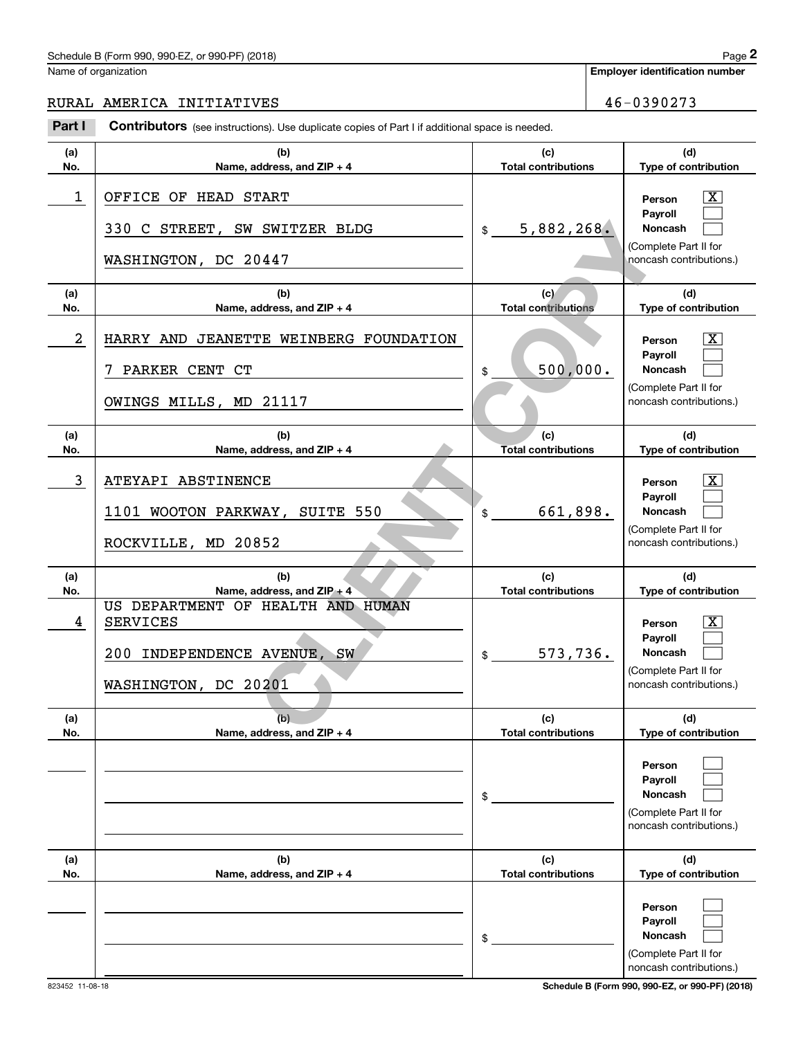#### Schedule B (Form 990, 990-EZ, or 990-PF) (2018)  $P_0 = 2$

Name of organization

**Employer identification number**

RURAL AMERICA INITIATIVES  $\begin{array}{|c|c|c|c|c|c|}\n\hline\n&46-0390273\end{array}$ 

**(a)No.(b)Name, address, and ZIP + 4 (c)Total contributions (d)Type of contribution PersonPayrollNoncash (a)No.(b)Name, address, and ZIP + 4 (c)Total contributions (d)Type of contribution PersonPayrollNoncash (a)No.(b)Name, address, and ZIP + 4 (c)Total contributions (d)Type of contribution PersonPayrollNoncash (a)No.(b)Name, address, and ZIP + 4 (c) Total contributions (d)Type of contribution PersonPayrollNoncash (a)No.(b)Name, address, and ZIP + 4 (c)Total contributions (d)Type of contribution PersonPayrollNoncash (a)No.(b)Name, address, and ZIP + 4 (c)Total contributions (d)Type of contribution PersonPayrollNoncash Contributors** (see instructions). Use duplicate copies of Part I if additional space is needed. \$(Complete Part II for noncash contributions.) \$(Complete Part II for noncash contributions.) \$(Complete Part II for noncash contributions.) \$(Complete Part II for noncash contributions.) \$(Complete Part II for noncash contributions.) \$(Complete Part II for noncash contributions.) Chedule B (Form 990, 990-EZ, or 990-PF) (2018)<br>
Iame of organization<br> **2Part I 2Part I Contributors** (see instructions). Use duplicate copies of Part I if additional space is needed.<br> **2Part I Contributors** (see ins  $\lceil \text{X} \rceil$  $\mathcal{L}^{\text{max}}$  $\mathcal{L}^{\text{max}}$  $\boxed{\text{X}}$  $\mathcal{L}^{\text{max}}$  $\mathcal{L}^{\text{max}}$  $\lceil \text{X} \rceil$  $\mathcal{L}^{\text{max}}$  $\mathcal{L}^{\text{max}}$  $|X|$  $\mathcal{L}^{\text{max}}$  $\mathcal{L}^{\text{max}}$  $\mathcal{L}^{\text{max}}$  $\mathcal{L}^{\text{max}}$  $\mathcal{L}^{\text{max}}$  $\mathcal{L}^{\text{max}}$  $\mathcal{L}^{\text{max}}$  $\mathcal{L}^{\text{max}}$ **COMPUTER BLDG**<br> **CLARE CONTROLLER SEARCH CONTROLLER SEARCH CONTROLLER SEARCH COPY<br>
THE WEINBERG FOUNDATION<br>
TOtal contributions<br>
TOTAL COPY<br>
TOTAL COPY<br>
COPY<br>
COPY<br>
COPY<br>
COPY<br>
COPY<br>
COPY<br>
COPY<br>
COPY<br>
COPY<br>
COPY<br>
COPY<br>
CO** 1 OFFICE OF HEAD START THE SERVICE OF THE START SERVICE OF THE START SERVICE OF THE START SERVICE OF THE START 5,882,268. 330 C STREET, SW SWITZER BLDG WASHINGTON, DC 20447 2 | HARRY AND JEANETTE WEINBERG FOUNDATION | The Sound of the Person TX 500,000. 7 PARKER CENT CT OWINGS MILLS, MD 21117 3 X ATEYAPI ABSTINENCE 661,898. 1101 WOOTON PARKWAY, SUITE 550 ROCKVILLE, MD 20852 4 SERVICES Person X 573,736. US DEPARTMENT OF HEALTH AND HUMAN 200 INDEPENDENCE AVENUE, SW WASHINGTON, DC 20201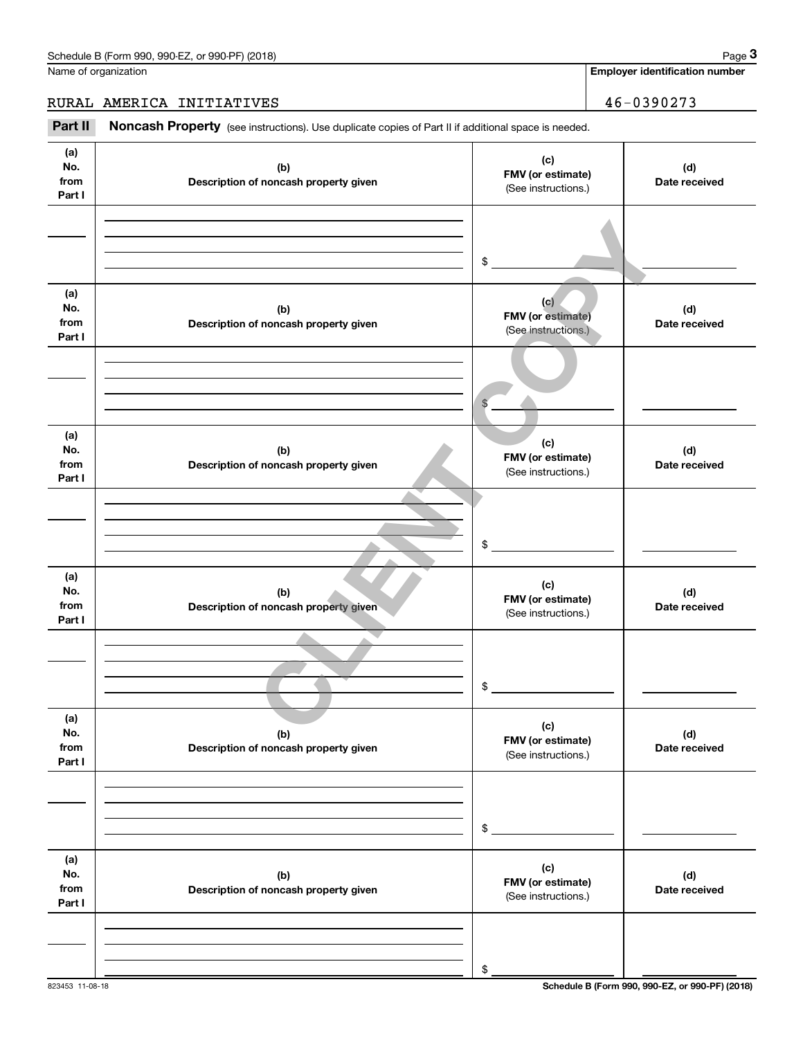**Employer identification number**

RURAL AMERICA INITIATIVES 46-0390273

Chedule B (Form 990, 990-EZ, or 990-PF) (2018)<br>
lame of organization<br> **3Part II AMERICA INITIATIVES**<br> **2Part II Noncash Property** (see instructions). Use duplicate copies of Part II if additional space is needed.

| (a)<br>No.<br>from<br>Part I | (b)<br>Description of noncash property given | (c)<br>FMV (or estimate)<br>(See instructions.)        | (d)<br>Date received |
|------------------------------|----------------------------------------------|--------------------------------------------------------|----------------------|
|                              |                                              | \$                                                     |                      |
| (a)<br>No.<br>from<br>Part I | (b)<br>Description of noncash property given | (c)<br><b>FMV</b> (or estimate)<br>(See instructions.) | (d)<br>Date received |
|                              |                                              | $\mathbb{S}$                                           |                      |
| (a)<br>No.<br>from<br>Part I | (b)<br>Description of noncash property given | (c)<br>FMV (or estimate)<br>(See instructions.)        | (d)<br>Date received |
|                              |                                              | \$                                                     |                      |
| (a)<br>No.<br>from<br>Part I | (b)<br>Description of noncash property given | (c)<br>FMV (or estimate)<br>(See instructions.)        | (d)<br>Date received |
|                              |                                              | \$                                                     |                      |
| (a)<br>No.<br>from<br>Part I | (b)<br>Description of noncash property given | (c)<br>FMV (or estimate)<br>(See instructions.)        | (d)<br>Date received |
|                              |                                              | $$\mathbb{S}$$                                         |                      |
| (a)<br>No.<br>from<br>Part I | (b)<br>Description of noncash property given | (c)<br>FMV (or estimate)<br>(See instructions.)        | (d)<br>Date received |
|                              |                                              | \$                                                     |                      |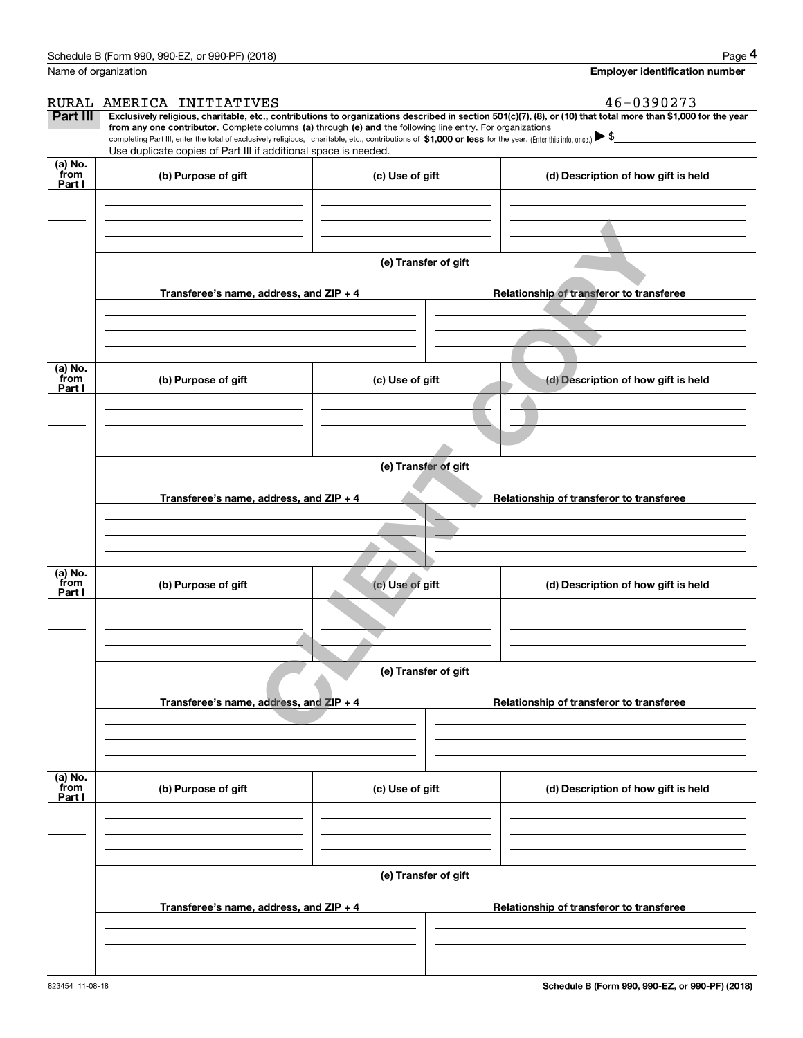|                           | Schedule B (Form 990, 990-EZ, or 990-PF) (2018)                                                                                                                                                                                                                            |                      | Page 4                                                                                                                                                         |
|---------------------------|----------------------------------------------------------------------------------------------------------------------------------------------------------------------------------------------------------------------------------------------------------------------------|----------------------|----------------------------------------------------------------------------------------------------------------------------------------------------------------|
|                           | Name of organization                                                                                                                                                                                                                                                       |                      | <b>Employer identification number</b>                                                                                                                          |
|                           | RURAL AMERICA INITIATIVES                                                                                                                                                                                                                                                  |                      | 46-0390273                                                                                                                                                     |
| Part III                  | from any one contributor. Complete columns (a) through (e) and the following line entry. For organizations<br>completing Part III, enter the total of exclusively religious, charitable, etc., contributions of \$1,000 or less for the year. (Enter this info. once.) \\$ |                      | Exclusively religious, charitable, etc., contributions to organizations described in section 501(c)(7), (8), or (10) that total more than \$1,000 for the year |
|                           | Use duplicate copies of Part III if additional space is needed.                                                                                                                                                                                                            |                      |                                                                                                                                                                |
| (a) No.<br>from<br>Part I | (b) Purpose of gift                                                                                                                                                                                                                                                        | (c) Use of gift      | (d) Description of how gift is held                                                                                                                            |
|                           |                                                                                                                                                                                                                                                                            |                      |                                                                                                                                                                |
|                           |                                                                                                                                                                                                                                                                            |                      |                                                                                                                                                                |
|                           |                                                                                                                                                                                                                                                                            |                      |                                                                                                                                                                |
|                           |                                                                                                                                                                                                                                                                            | (e) Transfer of gift |                                                                                                                                                                |
|                           | Transferee's name, address, and ZIP + 4                                                                                                                                                                                                                                    |                      | Relationship of transferor to transferee                                                                                                                       |
|                           |                                                                                                                                                                                                                                                                            |                      |                                                                                                                                                                |
|                           |                                                                                                                                                                                                                                                                            |                      |                                                                                                                                                                |
| (a) No.<br>from           | (b) Purpose of gift                                                                                                                                                                                                                                                        | (c) Use of gift      | (d) Description of how gift is held                                                                                                                            |
| Part I                    |                                                                                                                                                                                                                                                                            |                      |                                                                                                                                                                |
|                           |                                                                                                                                                                                                                                                                            |                      |                                                                                                                                                                |
|                           |                                                                                                                                                                                                                                                                            |                      |                                                                                                                                                                |
|                           |                                                                                                                                                                                                                                                                            | (e) Transfer of gift |                                                                                                                                                                |
|                           | Transferee's name, address, and ZIP + 4                                                                                                                                                                                                                                    |                      | Relationship of transferor to transferee                                                                                                                       |
|                           |                                                                                                                                                                                                                                                                            |                      |                                                                                                                                                                |
|                           |                                                                                                                                                                                                                                                                            |                      |                                                                                                                                                                |
|                           |                                                                                                                                                                                                                                                                            |                      |                                                                                                                                                                |
| (a) No.<br>from<br>Part I | (b) Purpose of gift                                                                                                                                                                                                                                                        | (c) Use of gift      | (d) Description of how gift is held                                                                                                                            |
|                           |                                                                                                                                                                                                                                                                            |                      |                                                                                                                                                                |
|                           |                                                                                                                                                                                                                                                                            |                      |                                                                                                                                                                |
|                           |                                                                                                                                                                                                                                                                            |                      |                                                                                                                                                                |
|                           |                                                                                                                                                                                                                                                                            | (e) Transfer of gift |                                                                                                                                                                |
|                           | Transferee's name, address, and ZIP + 4                                                                                                                                                                                                                                    |                      | Relationship of transferor to transferee                                                                                                                       |
|                           |                                                                                                                                                                                                                                                                            |                      |                                                                                                                                                                |
|                           |                                                                                                                                                                                                                                                                            |                      |                                                                                                                                                                |
| (a) No.<br>from           |                                                                                                                                                                                                                                                                            |                      |                                                                                                                                                                |
| Part I                    | (b) Purpose of gift                                                                                                                                                                                                                                                        | (c) Use of gift      | (d) Description of how gift is held                                                                                                                            |
|                           |                                                                                                                                                                                                                                                                            |                      |                                                                                                                                                                |
|                           |                                                                                                                                                                                                                                                                            |                      |                                                                                                                                                                |
|                           |                                                                                                                                                                                                                                                                            | (e) Transfer of gift |                                                                                                                                                                |
|                           |                                                                                                                                                                                                                                                                            |                      |                                                                                                                                                                |
|                           | Transferee's name, address, and ZIP + 4                                                                                                                                                                                                                                    |                      | Relationship of transferor to transferee                                                                                                                       |
|                           |                                                                                                                                                                                                                                                                            |                      |                                                                                                                                                                |
|                           |                                                                                                                                                                                                                                                                            |                      |                                                                                                                                                                |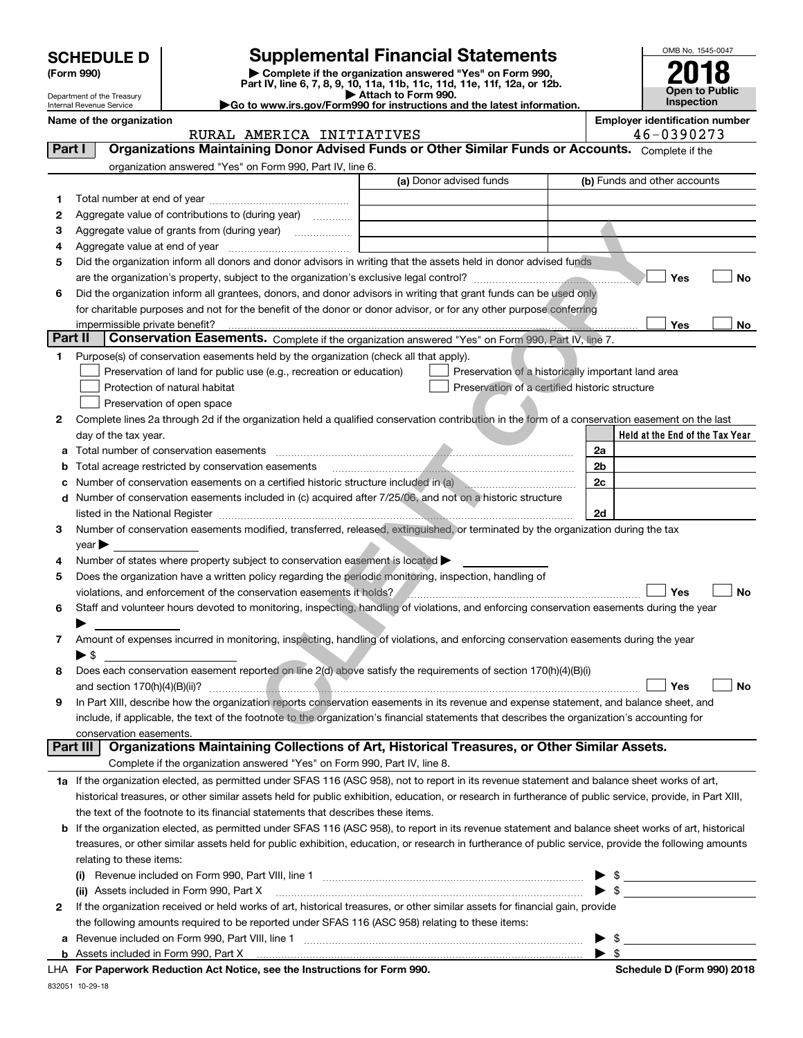| <b>SCHEDULE D</b> |  |
|-------------------|--|
|-------------------|--|

| (Form 990) |  |
|------------|--|
|------------|--|

## **SCHEDULE D Supplemental Financial Statements**

(Form 990)<br>
Pepartment of the Treasury<br>
Department of the Treasury<br>
Department of the Treasury<br>
Department of the Treasury<br> **Co to www.irs.gov/Form990 for instructions and the latest information.**<br> **Co to www.irs.gov/Form9** 



Internal Revenue Service

Department of the Treasury

**Name of the organization**<br>**RIIRAI.** AMERICA INITIATIVES **Employer identification number** RURAL AMERICA INITIATIVES

| Part I          | Organizations Maintaining Donor Advised Funds or Other Similar Funds or Accounts. Complete if the                                                                          |                                                    |      |                                 |
|-----------------|----------------------------------------------------------------------------------------------------------------------------------------------------------------------------|----------------------------------------------------|------|---------------------------------|
|                 | organization answered "Yes" on Form 990, Part IV, line 6.                                                                                                                  |                                                    |      |                                 |
|                 |                                                                                                                                                                            | (a) Donor advised funds                            |      | (b) Funds and other accounts    |
| 1.              |                                                                                                                                                                            |                                                    |      |                                 |
| 2               | Aggregate value of contributions to (during year)                                                                                                                          |                                                    |      |                                 |
| з               | Aggregate value of grants from (during year)                                                                                                                               |                                                    |      |                                 |
| 4               | Aggregate value at end of year                                                                                                                                             |                                                    |      |                                 |
| 5               | Did the organization inform all donors and donor advisors in writing that the assets held in donor advised funds                                                           |                                                    |      |                                 |
|                 |                                                                                                                                                                            |                                                    |      | Yes<br>No                       |
| 6               | Did the organization inform all grantees, donors, and donor advisors in writing that grant funds can be used only                                                          |                                                    |      |                                 |
|                 | for charitable purposes and not for the benefit of the donor or donor advisor, or for any other purpose conferring                                                         |                                                    |      |                                 |
|                 | impermissible private benefit?                                                                                                                                             |                                                    |      | Yes<br>No                       |
| <b>Part II</b>  | Conservation Easements. Complete if the organization answered "Yes" on Form 990, Part IV, line 7.                                                                          |                                                    |      |                                 |
| 1               | Purpose(s) of conservation easements held by the organization (check all that apply).                                                                                      |                                                    |      |                                 |
|                 | Preservation of land for public use (e.g., recreation or education)                                                                                                        | Preservation of a historically important land area |      |                                 |
|                 | Protection of natural habitat                                                                                                                                              | Preservation of a certified historic structure     |      |                                 |
|                 | Preservation of open space                                                                                                                                                 |                                                    |      |                                 |
| 2               | Complete lines 2a through 2d if the organization held a qualified conservation contribution in the form of a conservation easement on the last                             |                                                    |      |                                 |
|                 | day of the tax year.                                                                                                                                                       |                                                    |      | Held at the End of the Tax Year |
|                 | Total number of conservation easements                                                                                                                                     |                                                    | 2a   |                                 |
| b               | Total acreage restricted by conservation easements                                                                                                                         |                                                    | 2b   |                                 |
| c               | Number of conservation easements on a certified historic structure included in (a)                                                                                         |                                                    | 2c   |                                 |
| d               | Number of conservation easements included in (c) acquired after 7/25/06, and not on a historic structure                                                                   |                                                    |      |                                 |
|                 | listed in the National Register <b>construction and construction of the National Register</b> construction and the National Register                                       |                                                    | 2d   |                                 |
| 3.              | Number of conservation easements modified, transferred, released, extinguished, or terminated by the organization during the tax                                           |                                                    |      |                                 |
|                 | $year \triangleright$                                                                                                                                                      |                                                    |      |                                 |
| 4               | Number of states where property subject to conservation easement is located                                                                                                |                                                    |      |                                 |
| 5               | Does the organization have a written policy regarding the periodic monitoring, inspection, handling of                                                                     |                                                    |      |                                 |
|                 | violations, and enforcement of the conservation easements it holds?                                                                                                        |                                                    |      | Yes<br>No                       |
| 6               | Staff and volunteer hours devoted to monitoring, inspecting, handling of violations, and enforcing conservation easements during the year                                  |                                                    |      |                                 |
|                 |                                                                                                                                                                            |                                                    |      |                                 |
| 7               | Amount of expenses incurred in monitoring, inspecting, handling of violations, and enforcing conservation easements during the year                                        |                                                    |      |                                 |
|                 | $\blacktriangleright$ \$<br>Does each conservation easement reported on line 2(d) above satisfy the requirements of section 170(h)(4)(B)(i)                                |                                                    |      |                                 |
| 8               |                                                                                                                                                                            |                                                    |      | Yes<br>No                       |
| 9               | and section $170(h)(4)(B)(ii)?$<br>In Part XIII, describe how the organization reports conservation easements in its revenue and expense statement, and balance sheet, and |                                                    |      |                                 |
|                 | include, if applicable, the text of the footnote to the organization's financial statements that describes the organization's accounting for                               |                                                    |      |                                 |
|                 | conservation easements.                                                                                                                                                    |                                                    |      |                                 |
| <b>Part III</b> | Organizations Maintaining Collections of Art, Historical Treasures, or Other Similar Assets.                                                                               |                                                    |      |                                 |
|                 | Complete if the organization answered "Yes" on Form 990, Part IV, line 8.                                                                                                  |                                                    |      |                                 |
|                 | 1a If the organization elected, as permitted under SFAS 116 (ASC 958), not to report in its revenue statement and balance sheet works of art,                              |                                                    |      |                                 |
|                 | historical treasures, or other similar assets held for public exhibition, education, or research in furtherance of public service, provide, in Part XIII,                  |                                                    |      |                                 |
|                 | the text of the footnote to its financial statements that describes these items.                                                                                           |                                                    |      |                                 |
| b               | If the organization elected, as permitted under SFAS 116 (ASC 958), to report in its revenue statement and balance sheet works of art, historical                          |                                                    |      |                                 |
|                 | treasures, or other similar assets held for public exhibition, education, or research in furtherance of public service, provide the following amounts                      |                                                    |      |                                 |
|                 | relating to these items:                                                                                                                                                   |                                                    |      |                                 |
|                 |                                                                                                                                                                            |                                                    |      | $\blacktriangleright$ \$        |
|                 | (ii) Assets included in Form 990, Part X                                                                                                                                   |                                                    |      | $\triangleright$ \$             |
| 2               | If the organization received or held works of art, historical treasures, or other similar assets for financial gain, provide                                               |                                                    |      |                                 |
|                 | the following amounts required to be reported under SFAS 116 (ASC 958) relating to these items:                                                                            |                                                    |      |                                 |
|                 | a Revenue included on Form 990, Part VIII, line 1                                                                                                                          |                                                    | ▶ \$ |                                 |

**For Paperwork Reduction Act Notice, see the Instructions for Form 990. Schedule D (Form 990) 2018** LHA

 $\blacktriangleright$  \$

832051 10-29-18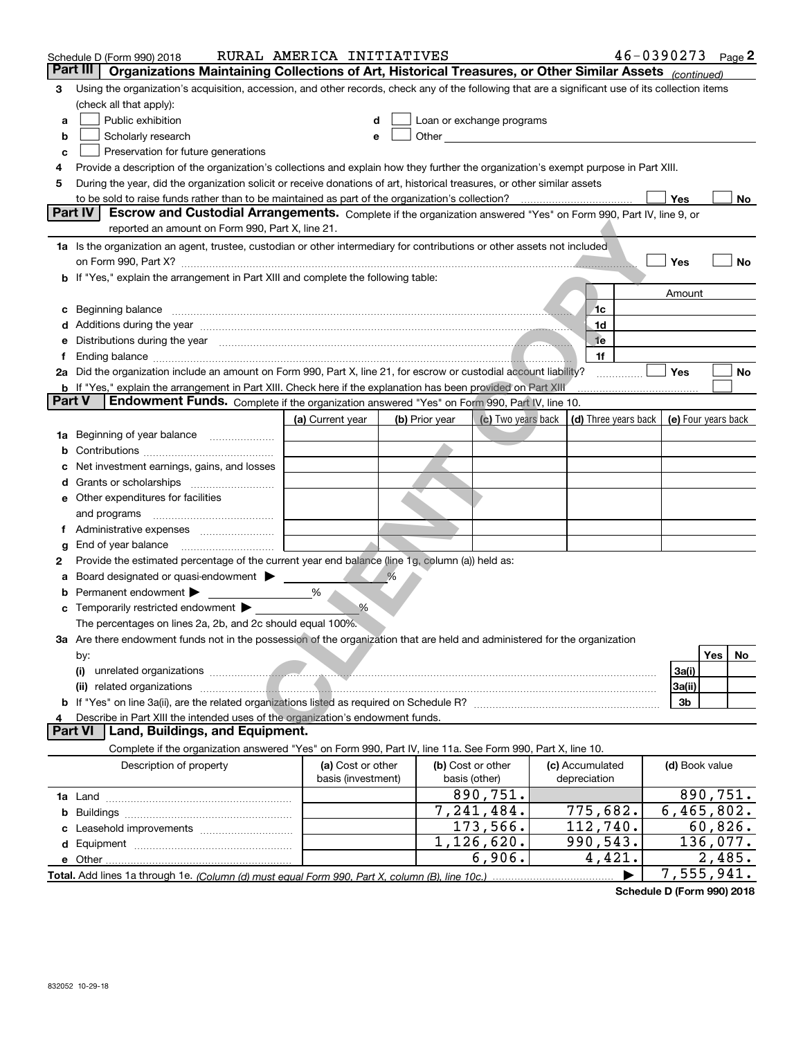|               | Schedule D (Form 990) 2018                                                                                                                                                                                                                  | RURAL AMERICA INITIATIVES |                |                                                                                                                                                                                                                               |                                                         | $46 - 0390273$ Page 2 |                  |
|---------------|---------------------------------------------------------------------------------------------------------------------------------------------------------------------------------------------------------------------------------------------|---------------------------|----------------|-------------------------------------------------------------------------------------------------------------------------------------------------------------------------------------------------------------------------------|---------------------------------------------------------|-----------------------|------------------|
| Part III      | Organizations Maintaining Collections of Art, Historical Treasures, or Other Similar Assets (continued)                                                                                                                                     |                           |                |                                                                                                                                                                                                                               |                                                         |                       |                  |
| 3             | Using the organization's acquisition, accession, and other records, check any of the following that are a significant use of its collection items                                                                                           |                           |                |                                                                                                                                                                                                                               |                                                         |                       |                  |
|               | (check all that apply):                                                                                                                                                                                                                     |                           |                |                                                                                                                                                                                                                               |                                                         |                       |                  |
| a             | Public exhibition                                                                                                                                                                                                                           | d                         |                | Loan or exchange programs                                                                                                                                                                                                     |                                                         |                       |                  |
| b             | Scholarly research                                                                                                                                                                                                                          | e                         |                | Other and the contract of the contract of the contract of the contract of the contract of the contract of the contract of the contract of the contract of the contract of the contract of the contract of the contract of the |                                                         |                       |                  |
| с             | Preservation for future generations                                                                                                                                                                                                         |                           |                |                                                                                                                                                                                                                               |                                                         |                       |                  |
| 4             | Provide a description of the organization's collections and explain how they further the organization's exempt purpose in Part XIII.                                                                                                        |                           |                |                                                                                                                                                                                                                               |                                                         |                       |                  |
| 5             | During the year, did the organization solicit or receive donations of art, historical treasures, or other similar assets                                                                                                                    |                           |                |                                                                                                                                                                                                                               |                                                         |                       |                  |
|               |                                                                                                                                                                                                                                             |                           |                |                                                                                                                                                                                                                               |                                                         | Yes                   | No               |
|               | <b>Part IV</b><br>Escrow and Custodial Arrangements. Complete if the organization answered "Yes" on Form 990, Part IV, line 9, or                                                                                                           |                           |                |                                                                                                                                                                                                                               |                                                         |                       |                  |
|               | reported an amount on Form 990, Part X, line 21.                                                                                                                                                                                            |                           |                |                                                                                                                                                                                                                               |                                                         |                       |                  |
|               | 1a Is the organization an agent, trustee, custodian or other intermediary for contributions or other assets not included                                                                                                                    |                           |                |                                                                                                                                                                                                                               |                                                         |                       |                  |
|               |                                                                                                                                                                                                                                             |                           |                |                                                                                                                                                                                                                               |                                                         | Yes                   | No               |
| b             | If "Yes," explain the arrangement in Part XIII and complete the following table:                                                                                                                                                            |                           |                |                                                                                                                                                                                                                               |                                                         |                       |                  |
|               |                                                                                                                                                                                                                                             |                           |                |                                                                                                                                                                                                                               |                                                         | Amount                |                  |
| с             | Beginning balance <b>contract the contract of the contract of the contract of the contract of the contract of the contract of the contract of the contract of the contract of the contract of the contract of the contract of th</b>        |                           |                |                                                                                                                                                                                                                               | 1с                                                      |                       |                  |
| d             | Additions during the year manufactured and an account of the year manufactured and account of the year manufactured and account of the year manufactured and account of the year manufactured and account of the year manufact              |                           |                |                                                                                                                                                                                                                               | 1d                                                      |                       |                  |
| е             | Distributions during the year measurements and contain an account of the year of the set of the set of the set of the set of the set of the set of the set of the set of the set of the set of the set of the set of the set o              |                           |                |                                                                                                                                                                                                                               | <sub>1e</sub>                                           |                       |                  |
| f             | Ending balance manufacture contract contract and contract contract and contract contract contract contract contract contract contract contract contract contract contract contract contract contract contract contract contrac              |                           |                |                                                                                                                                                                                                                               | 1f                                                      |                       |                  |
|               | 2a Did the organization include an amount on Form 990, Part X, line 21, for escrow or custodial account liability?                                                                                                                          |                           |                |                                                                                                                                                                                                                               |                                                         | Yes                   | No               |
|               | b If "Yes," explain the arrangement in Part XIII. Check here if the explanation has been provided on Part XIII                                                                                                                              |                           |                |                                                                                                                                                                                                                               |                                                         |                       |                  |
| <b>Part V</b> | <b>Endowment Funds.</b> Complete if the organization answered "Yes" on Form 990, Part IV, line 10.                                                                                                                                          |                           |                |                                                                                                                                                                                                                               |                                                         |                       |                  |
|               |                                                                                                                                                                                                                                             | (a) Current year          | (b) Prior year |                                                                                                                                                                                                                               | (c) Two years back $\vert$ (d) Three years back $\vert$ | (e) Four years back   |                  |
| 1a            | Beginning of year balance                                                                                                                                                                                                                   |                           |                |                                                                                                                                                                                                                               |                                                         |                       |                  |
| b             |                                                                                                                                                                                                                                             |                           |                |                                                                                                                                                                                                                               |                                                         |                       |                  |
|               | Net investment earnings, gains, and losses                                                                                                                                                                                                  |                           |                |                                                                                                                                                                                                                               |                                                         |                       |                  |
| d             |                                                                                                                                                                                                                                             |                           |                |                                                                                                                                                                                                                               |                                                         |                       |                  |
| е             | Other expenditures for facilities                                                                                                                                                                                                           |                           |                |                                                                                                                                                                                                                               |                                                         |                       |                  |
|               | and programs                                                                                                                                                                                                                                |                           |                |                                                                                                                                                                                                                               |                                                         |                       |                  |
| Ť.            |                                                                                                                                                                                                                                             |                           |                |                                                                                                                                                                                                                               |                                                         |                       |                  |
| g             | End of year balance                                                                                                                                                                                                                         |                           |                |                                                                                                                                                                                                                               |                                                         |                       |                  |
| 2             | Provide the estimated percentage of the current year end balance (line 1g, column (a)) held as:                                                                                                                                             |                           |                |                                                                                                                                                                                                                               |                                                         |                       |                  |
| а             | Board designated or quasi-endowment > ____                                                                                                                                                                                                  | %                         |                |                                                                                                                                                                                                                               |                                                         |                       |                  |
| b             | Permanent endowment                                                                                                                                                                                                                         | %                         |                |                                                                                                                                                                                                                               |                                                         |                       |                  |
| c             | Temporarily restricted endowment ><br>The percentages on lines 2a, 2b, and 2c should equal 100%.                                                                                                                                            |                           |                |                                                                                                                                                                                                                               |                                                         |                       |                  |
|               | 3a Are there endowment funds not in the possession of the organization that are held and administered for the organization                                                                                                                  |                           |                |                                                                                                                                                                                                                               |                                                         |                       |                  |
|               | by:                                                                                                                                                                                                                                         |                           |                |                                                                                                                                                                                                                               |                                                         |                       | <b>Yes</b><br>No |
|               | (i)<br>unrelated organizations <b>continued and the continued of the contract of the contract of the contract of the contract of the contract of the contract of the contract of the contract of the contract of the contract of the co</b> |                           |                |                                                                                                                                                                                                                               |                                                         | 3a(i)                 |                  |
|               | (ii) related organizations <b>contracts</b> and contracts and contracts and contracts and contracts and contracts and contracts and contracts and contracts and contracts and contracts and contracts and contracts and contracts a         |                           |                |                                                                                                                                                                                                                               |                                                         | 3a(ii)                |                  |
|               |                                                                                                                                                                                                                                             |                           |                |                                                                                                                                                                                                                               |                                                         | 3b                    |                  |
|               | Describe in Part XIII the intended uses of the organization's endowment funds.                                                                                                                                                              |                           |                |                                                                                                                                                                                                                               |                                                         |                       |                  |
|               | <b>Part VI</b><br>Land, Buildings, and Equipment.                                                                                                                                                                                           |                           |                |                                                                                                                                                                                                                               |                                                         |                       |                  |
|               | Complete if the organization answered "Yes" on Form 990, Part IV, line 11a. See Form 990, Part X, line 10.                                                                                                                                  |                           |                |                                                                                                                                                                                                                               |                                                         |                       |                  |
|               | Description of property                                                                                                                                                                                                                     | (a) Cost or other         |                | (b) Cost or other                                                                                                                                                                                                             | (c) Accumulated                                         | (d) Book value        |                  |
|               |                                                                                                                                                                                                                                             | basis (investment)        |                | basis (other)                                                                                                                                                                                                                 | depreciation                                            |                       |                  |
|               |                                                                                                                                                                                                                                             |                           |                | 890,751.                                                                                                                                                                                                                      |                                                         |                       | 890, 751.        |
| b             |                                                                                                                                                                                                                                             |                           |                | 7,241,484.                                                                                                                                                                                                                    | 775,682.                                                | 6,465,802.            |                  |
|               |                                                                                                                                                                                                                                             |                           |                | 173,566.                                                                                                                                                                                                                      | 112,740.                                                |                       | 60,826.          |
|               |                                                                                                                                                                                                                                             |                           |                | 1,126,620.                                                                                                                                                                                                                    | 990,543.                                                |                       | 136,077.         |
|               |                                                                                                                                                                                                                                             |                           |                | 6,906.                                                                                                                                                                                                                        | 4,421.                                                  |                       | 2,485.           |
|               |                                                                                                                                                                                                                                             |                           |                |                                                                                                                                                                                                                               |                                                         | 7,555,941.            |                  |

**Schedule D (Form 990) 2018**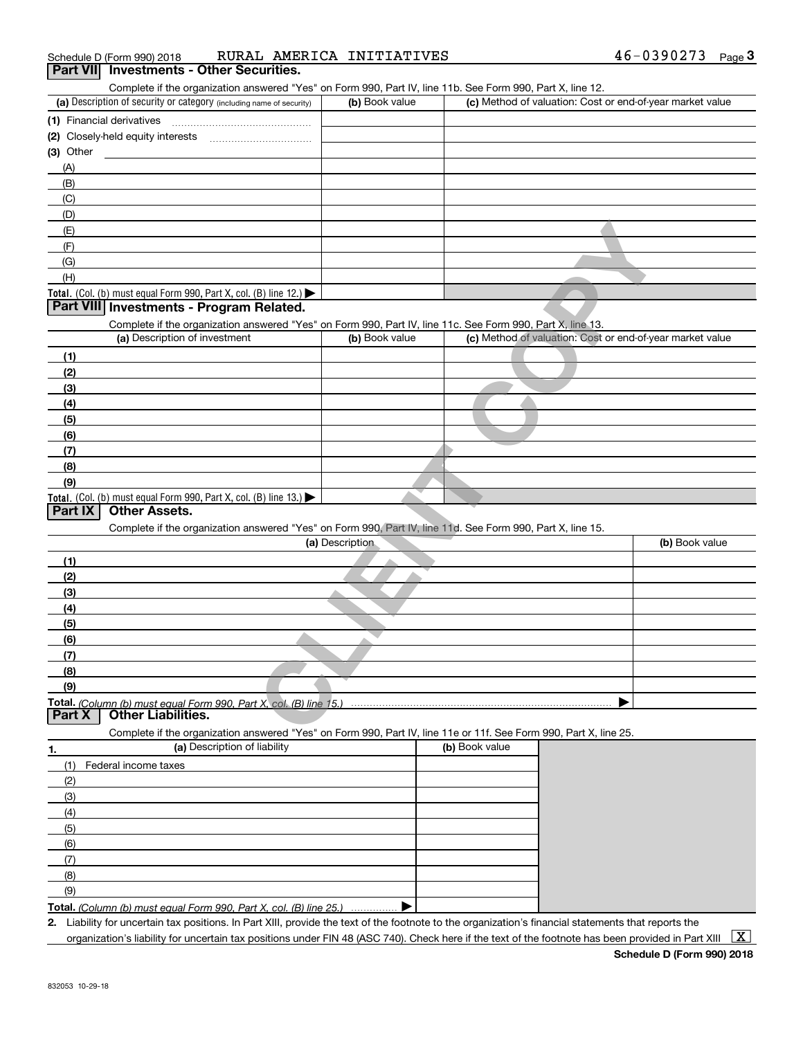| <b>Dart VII</b> Investments - Other Securities |                           |                    |
|------------------------------------------------|---------------------------|--------------------|
| Schedule D (Form 990) 2018                     | RURAL AMERICA INITIATIVES | 46-0390273<br>Page |

| Complete if the organization answered "Yes" on Form 990, Part IV, line 11b. See Form 990, Part X, line 12.<br>(a) Description of security or category (including name of security) | (b) Book value  | (c) Method of valuation: Cost or end-of-year market value |                |
|------------------------------------------------------------------------------------------------------------------------------------------------------------------------------------|-----------------|-----------------------------------------------------------|----------------|
| (1) Financial derivatives                                                                                                                                                          |                 |                                                           |                |
|                                                                                                                                                                                    |                 |                                                           |                |
| (3) Other                                                                                                                                                                          |                 |                                                           |                |
| (A)                                                                                                                                                                                |                 |                                                           |                |
| (B)                                                                                                                                                                                |                 |                                                           |                |
| (C)                                                                                                                                                                                |                 |                                                           |                |
| (D)                                                                                                                                                                                |                 |                                                           |                |
| (E)                                                                                                                                                                                |                 |                                                           |                |
| (F)                                                                                                                                                                                |                 |                                                           |                |
| (G)                                                                                                                                                                                |                 |                                                           |                |
| (H)                                                                                                                                                                                |                 |                                                           |                |
| Total. (Col. (b) must equal Form 990, Part X, col. (B) line 12.) $\blacktriangleright$                                                                                             |                 |                                                           |                |
| Part VIII Investments - Program Related.                                                                                                                                           |                 |                                                           |                |
| Complete if the organization answered "Yes" on Form 990, Part IV, line 11c. See Form 990, Part X, line 13.                                                                         |                 |                                                           |                |
| (a) Description of investment                                                                                                                                                      | (b) Book value  | (c) Method of valuation: Cost or end-of-year market value |                |
|                                                                                                                                                                                    |                 |                                                           |                |
| (1)                                                                                                                                                                                |                 |                                                           |                |
| (2)                                                                                                                                                                                |                 |                                                           |                |
| (3)                                                                                                                                                                                |                 |                                                           |                |
| (4)                                                                                                                                                                                |                 |                                                           |                |
| (5)                                                                                                                                                                                |                 |                                                           |                |
| (6)                                                                                                                                                                                |                 |                                                           |                |
| (7)                                                                                                                                                                                |                 |                                                           |                |
|                                                                                                                                                                                    |                 |                                                           |                |
| (8)                                                                                                                                                                                |                 |                                                           |                |
| (9)                                                                                                                                                                                |                 |                                                           |                |
| Total. (Col. (b) must equal Form 990, Part X, col. (B) line 13.) $\blacktriangleright$                                                                                             |                 |                                                           |                |
| <b>Other Assets.</b><br>Part IX                                                                                                                                                    |                 |                                                           |                |
| Complete if the organization answered "Yes" on Form 990, Part IV, line 11d. See Form 990, Part X, line 15.                                                                         |                 |                                                           |                |
|                                                                                                                                                                                    | (a) Description |                                                           | (b) Book value |
| (1)                                                                                                                                                                                |                 |                                                           |                |
| (2)                                                                                                                                                                                |                 |                                                           |                |
| (3)                                                                                                                                                                                |                 |                                                           |                |
| (4)                                                                                                                                                                                |                 |                                                           |                |
| (5)                                                                                                                                                                                |                 |                                                           |                |
| (6)                                                                                                                                                                                |                 |                                                           |                |
| (7)                                                                                                                                                                                |                 |                                                           |                |
| (8)                                                                                                                                                                                |                 |                                                           |                |
| (9)                                                                                                                                                                                |                 |                                                           |                |
|                                                                                                                                                                                    |                 |                                                           |                |
| <b>Other Liabilities.</b>                                                                                                                                                          |                 |                                                           |                |
| Complete if the organization answered "Yes" on Form 990, Part IV, line 11e or 11f. See Form 990, Part X, line 25.                                                                  |                 |                                                           |                |
| (a) Description of liability                                                                                                                                                       |                 | (b) Book value                                            |                |
| Federal income taxes<br>(1)                                                                                                                                                        |                 |                                                           |                |
| (2)                                                                                                                                                                                |                 |                                                           |                |
| (3)                                                                                                                                                                                |                 |                                                           |                |
| (4)                                                                                                                                                                                |                 |                                                           |                |
| (5)                                                                                                                                                                                |                 |                                                           |                |
| (6)                                                                                                                                                                                |                 |                                                           |                |
| Total. (Column (b) must equal Form 990. Part X, col. (B) line 15.)<br>Part X<br>1.                                                                                                 |                 |                                                           |                |
| (7)<br>(8)                                                                                                                                                                         |                 |                                                           |                |

organization's liability for uncertain tax positions under FIN 48 (ASC 740). Check here if the text of the footnote has been provided in Part XIII  $~\boxed{\rm X}$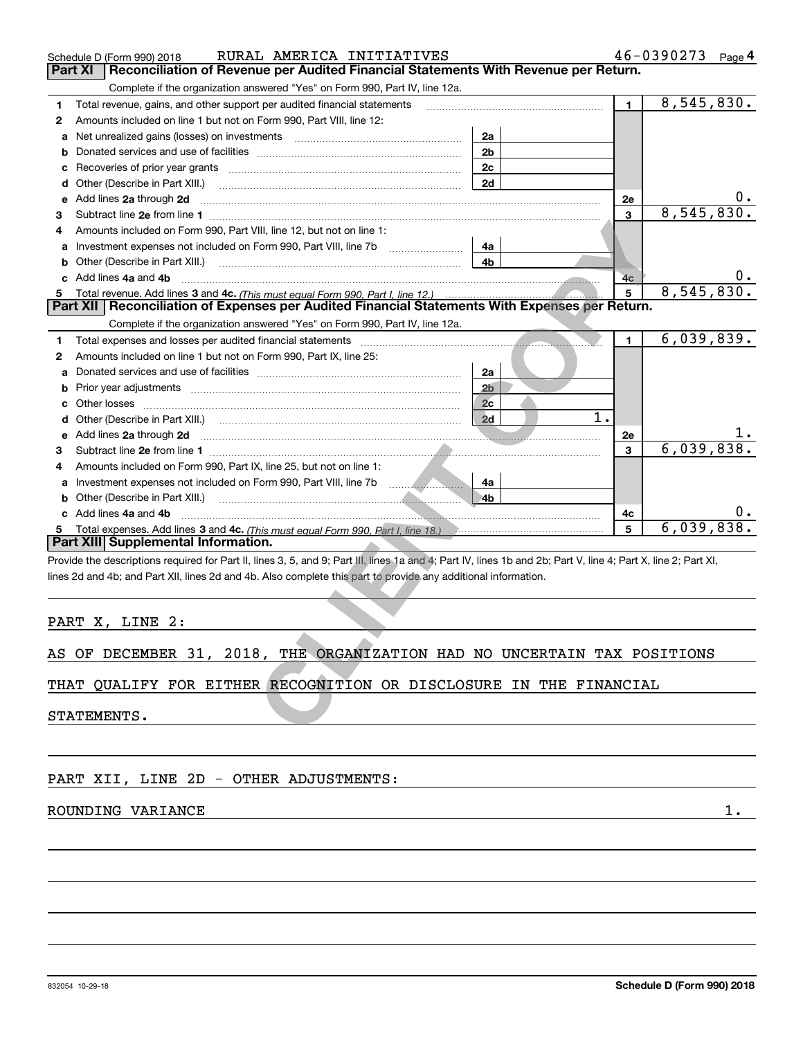|   | RURAL AMERICA INITIATIVES<br>Schedule D (Form 990) 2018                                                                                                        |                | 46-0390273       |            | Page $4$ |  |  |
|---|----------------------------------------------------------------------------------------------------------------------------------------------------------------|----------------|------------------|------------|----------|--|--|
|   | Reconciliation of Revenue per Audited Financial Statements With Revenue per Return.<br>Part XI                                                                 |                |                  |            |          |  |  |
|   | Complete if the organization answered "Yes" on Form 990, Part IV, line 12a.                                                                                    |                |                  |            |          |  |  |
| 1 | Total revenue, gains, and other support per audited financial statements                                                                                       |                | $\blacksquare$   | 8,545,830. |          |  |  |
| 2 | Amounts included on line 1 but not on Form 990, Part VIII, line 12:                                                                                            |                |                  |            |          |  |  |
| a | Net unrealized gains (losses) on investments [11] matter contracts and the unrealized gains (losses) on investments                                            | 2a             |                  |            |          |  |  |
| b |                                                                                                                                                                | 2 <sub>b</sub> |                  |            |          |  |  |
| с |                                                                                                                                                                | 2c             |                  |            |          |  |  |
| d | Other (Describe in Part XIII.)                                                                                                                                 | 2d             |                  |            |          |  |  |
| е | Add lines 2a through 2d                                                                                                                                        |                | 2e               |            |          |  |  |
| 3 |                                                                                                                                                                |                | 3                | 8,545,830. |          |  |  |
| 4 | Amounts included on Form 990, Part VIII, line 12, but not on line 1:                                                                                           |                |                  |            |          |  |  |
|   |                                                                                                                                                                | 4a             |                  |            |          |  |  |
| b | Other (Describe in Part XIII.) <b>Construction Contract Construction</b> Chemistry Chemistry Chemistry Chemistry Chemistry                                     | 4b             |                  |            |          |  |  |
| c | Add lines 4a and 4b                                                                                                                                            |                | 4 <sub>c</sub>   |            | υ.       |  |  |
| 5 |                                                                                                                                                                |                | 5                | 8,545,830  |          |  |  |
|   | Part XII   Reconciliation of Expenses per Audited Financial Statements With Expenses per Return.                                                               |                |                  |            |          |  |  |
|   | Complete if the organization answered "Yes" on Form 990, Part IV, line 12a.                                                                                    |                |                  |            |          |  |  |
| 1 |                                                                                                                                                                |                | $\mathbf{1}$     | 6,039,839. |          |  |  |
| 2 | Amounts included on line 1 but not on Form 990, Part IX, line 25:                                                                                              |                |                  |            |          |  |  |
| a |                                                                                                                                                                | 2a             |                  |            |          |  |  |
| b |                                                                                                                                                                | 2 <sub>b</sub> |                  |            |          |  |  |
| c |                                                                                                                                                                | 2c             |                  |            |          |  |  |
| d |                                                                                                                                                                | 2d             | $\overline{1}$ . |            |          |  |  |
| е | Add lines 2a through 2d                                                                                                                                        |                | 2e               |            |          |  |  |
| 3 |                                                                                                                                                                |                | 3                | 6,039,838. |          |  |  |
| 4 | Amounts included on Form 990, Part IX, line 25, but not on line 1:                                                                                             |                |                  |            |          |  |  |
| a |                                                                                                                                                                | 4a             |                  |            |          |  |  |
| b |                                                                                                                                                                | 4b             |                  |            |          |  |  |
|   | c Add lines 4a and 4b                                                                                                                                          |                | 4c               |            |          |  |  |
|   |                                                                                                                                                                |                | 5                | 6,039,838  |          |  |  |
|   | Part XIII Supplemental Information.                                                                                                                            |                |                  |            |          |  |  |
|   | Provide the descriptions required for Part II, lines 3, 5, and 9; Part III, lines 1a and 4; Part IV, lines 1b and 2b; Part V, line 4; Part X, line 2; Part XI, |                |                  |            |          |  |  |
|   | lines 2d and 4b; and Part XII, lines 2d and 4b. Also complete this part to provide any additional information.                                                 |                |                  |            |          |  |  |
|   |                                                                                                                                                                |                |                  |            |          |  |  |
|   |                                                                                                                                                                |                |                  |            |          |  |  |
|   | PART X, LINE 2:                                                                                                                                                |                |                  |            |          |  |  |
|   |                                                                                                                                                                |                |                  |            |          |  |  |
|   | AS OF DECEMBER 31, 2018, THE ORGANIZATION HAD NO UNCERTAIN TAX POSITIONS                                                                                       |                |                  |            |          |  |  |
|   |                                                                                                                                                                |                |                  |            |          |  |  |
|   | THAT QUALIFY FOR EITHER RECOGNITION OR DISCLOSURE IN THE FINANCIAL                                                                                             |                |                  |            |          |  |  |
|   |                                                                                                                                                                |                |                  |            |          |  |  |
|   | STATEMENTS.                                                                                                                                                    |                |                  |            |          |  |  |
|   |                                                                                                                                                                |                |                  |            |          |  |  |

|  |  |  |  |  |  | AS OF DECEMBER 31, 2018, THE ORGANIZATION HAD NO UNCERTAIN TAX POSITIONS |  |  |  |  |  |
|--|--|--|--|--|--|--------------------------------------------------------------------------|--|--|--|--|--|
|--|--|--|--|--|--|--------------------------------------------------------------------------|--|--|--|--|--|

PART XII, LINE 2D - OTHER ADJUSTMENTS:

## ROUNDING VARIANCE 1.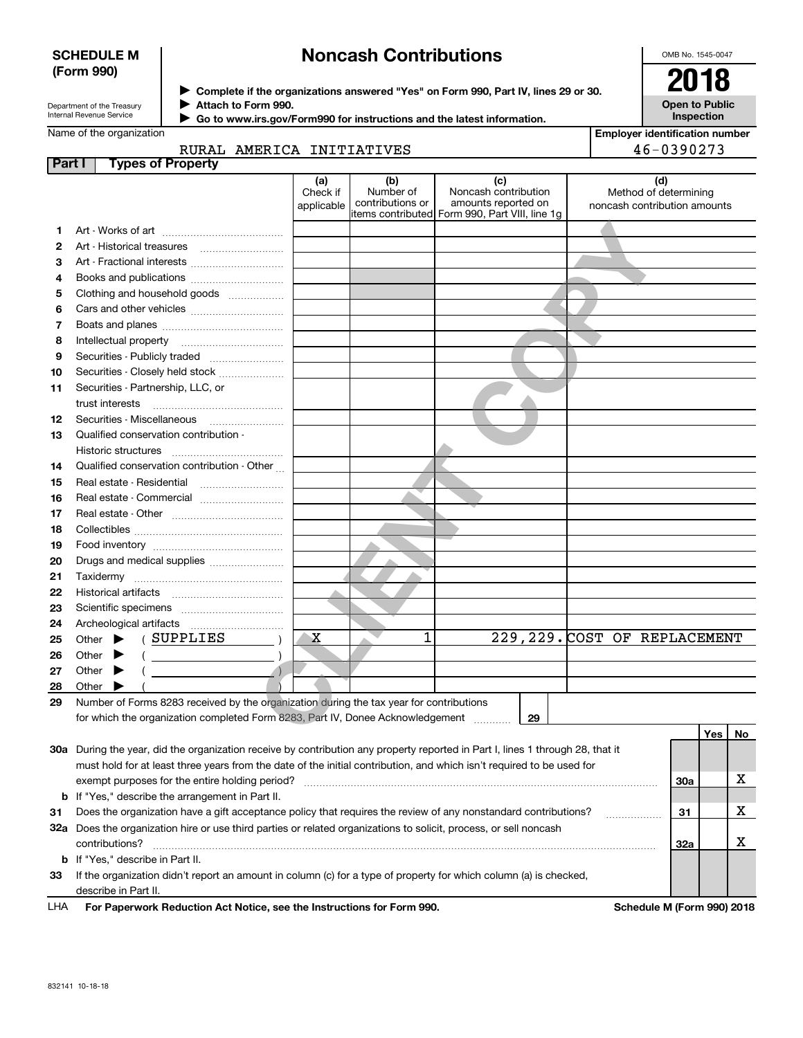## **SCHEDULE M (Form 990)**

## **Noncash Contributions**

OMB No. 1545-0047

| Department of the Treasury      |
|---------------------------------|
| <b>Internal Revenue Service</b> |

**Complete if the organizations answered "Yes" on Form 990, Part IV, lines 29 or 30.** <sup>J</sup>**2018 Attach to Form 990.**  $\blacktriangleright$ 

**Open to Public Inspection**

| Go to www.irs.gov/Form990 for instructions and the latest information. |
|------------------------------------------------------------------------|
|------------------------------------------------------------------------|

| Name of the organization |
|--------------------------|
|--------------------------|

 $\blacktriangleright$ 

| <b>Employer identification number</b> |
|---------------------------------------|
| 46-0390273                            |

|               | RURAL AMERICA INITIATIVES  |                               |                                      |                                                                                                | 46-0390273                                            |
|---------------|----------------------------|-------------------------------|--------------------------------------|------------------------------------------------------------------------------------------------|-------------------------------------------------------|
| <b>Part I</b> | <b>Types of Property</b>   |                               |                                      |                                                                                                |                                                       |
|               |                            | (a)<br>Check if<br>applicable | (b)<br>Number of<br>contributions or | Noncash contribution<br>amounts reported on<br>litems contributed Form 990, Part VIII, line 1q | Method of determining<br>noncash contribution amounts |
|               | Art - Works of art         |                               |                                      |                                                                                                |                                                       |
|               | Art - Historical treasures |                               |                                      |                                                                                                |                                                       |
|               | Art - Fractional interests |                               |                                      |                                                                                                |                                                       |

| 1. |                                                                                         |   |   |    |                               |
|----|-----------------------------------------------------------------------------------------|---|---|----|-------------------------------|
| 2  |                                                                                         |   |   |    |                               |
| 3  |                                                                                         |   |   |    |                               |
| 4  |                                                                                         |   |   |    |                               |
| 5  | Clothing and household goods                                                            |   |   |    |                               |
| 6  |                                                                                         |   |   |    |                               |
| 7  |                                                                                         |   |   |    |                               |
| 8  |                                                                                         |   |   |    |                               |
| 9  |                                                                                         |   |   |    |                               |
| 10 | Securities - Closely held stock                                                         |   |   |    |                               |
| 11 | Securities - Partnership, LLC, or                                                       |   |   |    |                               |
|    | trust interests                                                                         |   |   |    |                               |
| 12 |                                                                                         |   |   |    |                               |
| 13 | Qualified conservation contribution -                                                   |   |   |    |                               |
|    | <b>Historic structures</b>                                                              |   |   |    |                               |
| 14 | Qualified conservation contribution - Other                                             |   |   |    |                               |
| 15 |                                                                                         |   |   |    |                               |
| 16 | Real estate - Commercial                                                                |   |   |    |                               |
| 17 |                                                                                         |   |   |    |                               |
| 18 |                                                                                         |   |   |    |                               |
| 19 |                                                                                         |   |   |    |                               |
| 20 | Drugs and medical supplies                                                              |   |   |    |                               |
| 21 |                                                                                         |   |   |    |                               |
| 22 |                                                                                         |   |   |    |                               |
| 23 |                                                                                         |   |   |    |                               |
| 24 |                                                                                         |   |   |    |                               |
| 25 | Other $\blacktriangleright$ (SUPPLIES                                                   | х | 1 |    | 229, 229. COST OF REPLACEMENT |
| 26 | $($ $)$<br>Other $\blacktriangleright$                                                  |   |   |    |                               |
| 27 | Other<br>▸                                                                              |   |   |    |                               |
| 28 | Other                                                                                   |   |   |    |                               |
| 29 | Number of Forms 8283 received by the organization during the tax year for contributions |   |   |    |                               |
|    | for which the organization completed Form 8283, Part IV, Donee Acknowledgement          |   |   | 29 |                               |
|    |                                                                                         |   |   |    | Yes No                        |

|     |                                                                                                                            |     | Yes l | <b>No</b> |
|-----|----------------------------------------------------------------------------------------------------------------------------|-----|-------|-----------|
| 30a | During the year, did the organization receive by contribution any property reported in Part I, lines 1 through 28, that it |     |       |           |
|     | must hold for at least three years from the date of the initial contribution, and which isn't required to be used for      |     |       |           |
|     | exempt purposes for the entire holding period?                                                                             | 30a |       |           |
|     | <b>b</b> If "Yes," describe the arrangement in Part II.                                                                    |     |       |           |
| 31  | Does the organization have a gift acceptance policy that requires the review of any nonstandard contributions?             | 31  |       |           |
| 32a | Does the organization hire or use third parties or related organizations to solicit, process, or sell noncash              |     |       |           |
|     | contributions?                                                                                                             | 32a |       |           |
|     | <b>b</b> If "Yes," describe in Part II.                                                                                    |     |       |           |
| 33  | If the organization didn't report an amount in column (c) for a type of property for which column (a) is checked,          |     |       |           |
|     | describe in Part II.                                                                                                       |     |       |           |
|     |                                                                                                                            |     |       |           |

**For Paperwork Reduction Act Notice, see the Instructions for Form 990. Schedule M (Form 990) 2018** LHA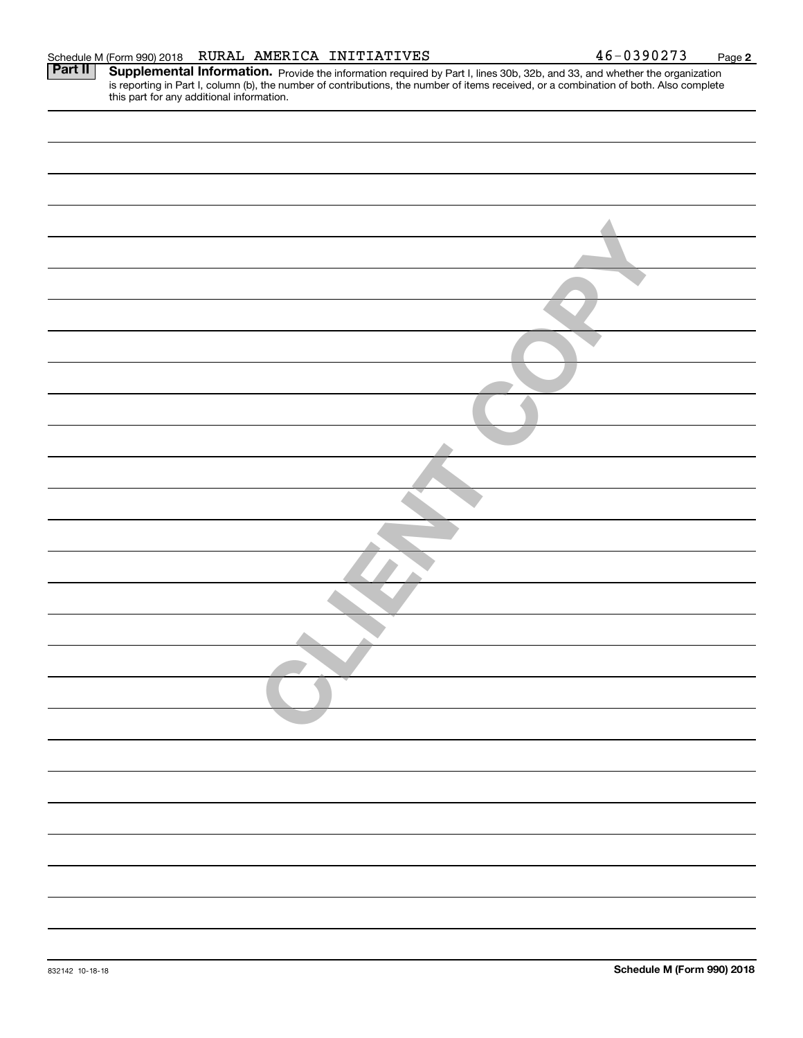| RURAL AMERICA INITIATIVES<br>Schedule M (Form 990) 2018                                                                                                                                                                                                                                                                      | 46-0390273 | Page |
|------------------------------------------------------------------------------------------------------------------------------------------------------------------------------------------------------------------------------------------------------------------------------------------------------------------------------|------------|------|
| Part II<br>Supplemental Information. Provide the information required by Part I, lines 30b, 32b, and 33, and whether the organization<br>is reporting in Part I, column (b), the number of contributions, the number of items received, or a combination of both. Also complete<br>this part for any additional information. |            |      |
|                                                                                                                                                                                                                                                                                                                              |            |      |
|                                                                                                                                                                                                                                                                                                                              |            |      |
|                                                                                                                                                                                                                                                                                                                              |            |      |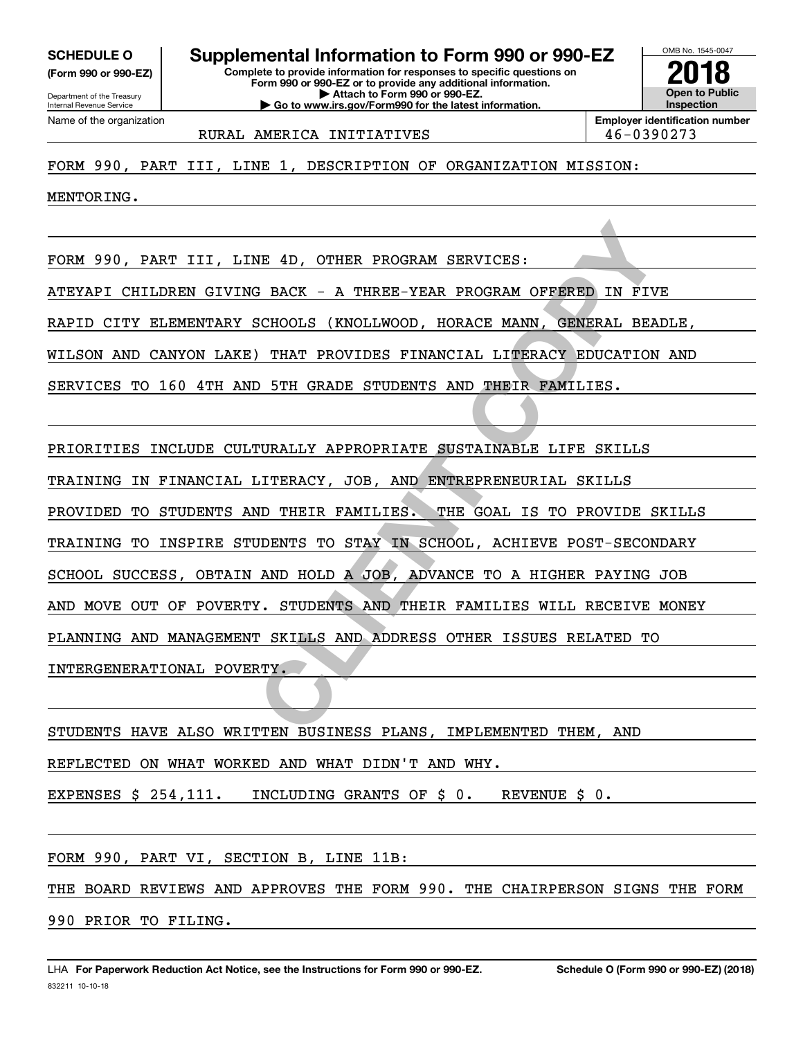**(Form 990 or 990-EZ)**

Department of the Treasury Internal Revenue Service Name of the organization

## **Complete to provide information for responses to specific questions on SCHEDULE O Supplemental Information to Form 990 or 990-EZ**

**Form 990 or 990-EZ or to provide any additional information. | Attach to Form 990 or 990-EZ. | Go to www.irs.gov/Form990 for the latest information.**



RURAL AMERICA INITIATIVES  $\vert$  46-0390273

FORM 990, PART III, LINE 1, DESCRIPTION OF ORGANIZATION MISSION:

MENTORING.

FORM 990, PART III, LINE 4D, OTHER PROGRAM SERVICES:

ATEYAPI CHILDREN GIVING BACK - A THREE-YEAR PROGRAM OFFERED IN FIVE

RAPID CITY ELEMENTARY SCHOOLS (KNOLLWOOD, HORACE MANN, GENERAL BEADLE,

WILSON AND CANYON LAKE) THAT PROVIDES FINANCIAL LITERACY EDUCATION AND

SERVICES TO 160 4TH AND 5TH GRADE STUDENTS AND THEIR FAMILIES.

PRIORITIES INCLUDE CULTURALLY APPROPRIATE SUSTAINABLE LIFE SKILLS

TRAINING IN FINANCIAL LITERACY, JOB, AND ENTREPRENEURIAL SKILLS

NE 4D, OTHER PROGRAM SERVICES:<br>
S BACK - A THREE-YEAR PROGRAM OFFERED IN FIV<br>
SCHOOLS (KNOLLWOOD, HORACE MANN, GENERAL BEA)<br>
) THAT PROVIDES FINANCIAL LITERACY EDUCATION<br>
D 5TH GRADE STUDENTS AND THEIR FAMILIES.<br>
IURALLY A PROVIDED TO STUDENTS AND THEIR FAMILIES. THE GOAL IS TO PROVIDE SKILLS

TRAINING TO INSPIRE STUDENTS TO STAY IN SCHOOL, ACHIEVE POST-SECONDARY

SCHOOL SUCCESS, OBTAIN AND HOLD A JOB, ADVANCE TO A HIGHER PAYING JOB

AND MOVE OUT OF POVERTY. STUDENTS AND THEIR FAMILIES WILL RECEIVE MONEY

PLANNING AND MANAGEMENT SKILLS AND ADDRESS OTHER ISSUES RELATED TO

INTERGENERATIONAL POVERTY.

STUDENTS HAVE ALSO WRITTEN BUSINESS PLANS, IMPLEMENTED THEM, AND

REFLECTED ON WHAT WORKED AND WHAT DIDN'T AND WHY.

EXPENSES \$ 254,111. INCLUDING GRANTS OF \$ 0. REVENUE \$ 0.

FORM 990, PART VI, SECTION B, LINE 11B:

THE BOARD REVIEWS AND APPROVES THE FORM 990. THE CHAIRPERSON SIGNS THE FORM

990 PRIOR TO FILING.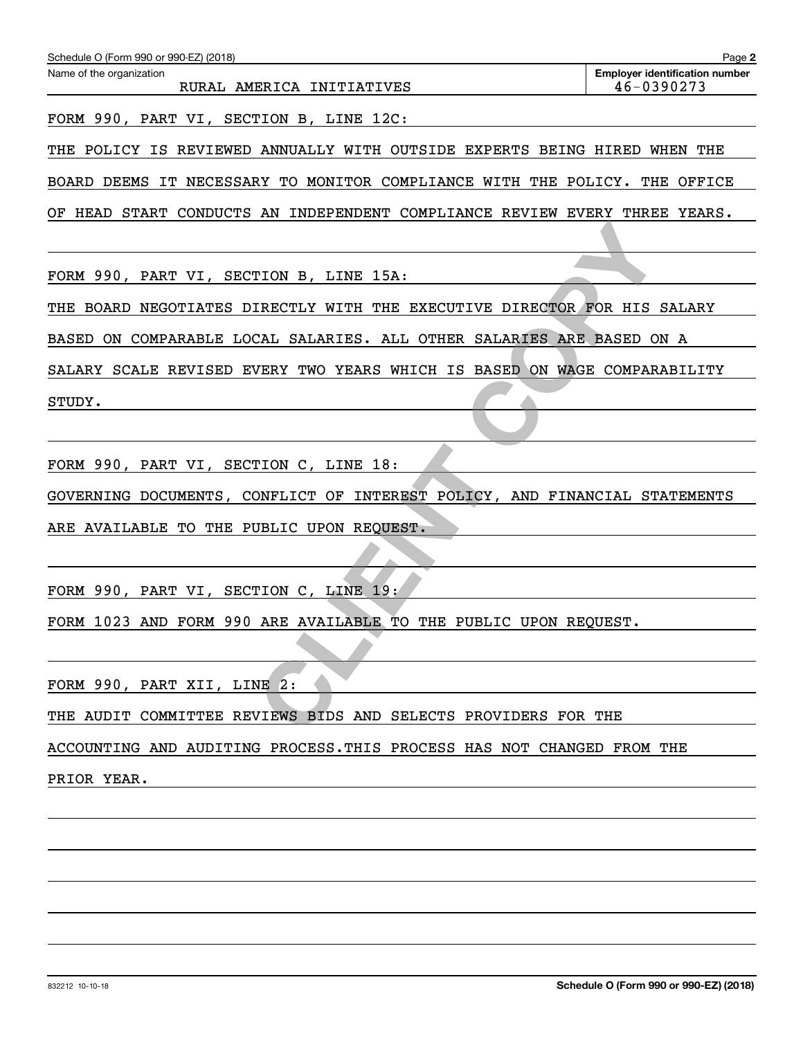| Schedule O (Form 990 or 990-EZ) (2018)                                     | Page 2                                              |
|----------------------------------------------------------------------------|-----------------------------------------------------|
| Name of the organization<br>RURAL AMERICA INITIATIVES                      | <b>Employer identification number</b><br>46-0390273 |
| FORM 990, PART VI, SECTION B, LINE 12C:                                    |                                                     |
| THE POLICY IS REVIEWED ANNUALLY WITH OUTSIDE EXPERTS BEING HIRED WHEN THE  |                                                     |
| BOARD DEEMS IT NECESSARY TO MONITOR COMPLIANCE WITH THE POLICY. THE OFFICE |                                                     |
| OF HEAD START CONDUCTS AN INDEPENDENT COMPLIANCE REVIEW EVERY THREE YEARS. |                                                     |
|                                                                            |                                                     |
| FORM 990, PART VI, SECTION B, LINE 15A:                                    |                                                     |
| THE BOARD NEGOTIATES DIRECTLY WITH THE EXECUTIVE DIRECTOR FOR HIS SALARY   |                                                     |
| BASED ON COMPARABLE LOCAL SALARIES. ALL OTHER SALARIES ARE BASED ON A      |                                                     |
| SALARY SCALE REVISED EVERY TWO YEARS WHICH IS BASED ON WAGE COMPARABILITY  |                                                     |
| STUDY.                                                                     |                                                     |
|                                                                            |                                                     |
| FORM 990, PART VI, SECTION C, LINE 18:                                     |                                                     |
| GOVERNING DOCUMENTS, CONFLICT OF INTEREST POLICY, AND FINANCIAL STATEMENTS |                                                     |
| ARE AVAILABLE TO THE PUBLIC UPON REQUEST.                                  |                                                     |
|                                                                            |                                                     |
| FORM 990, PART VI, SECTION C, LINE 19:                                     |                                                     |
| FORM 1023 AND FORM 990 ARE AVAILABLE TO THE PUBLIC UPON REQUEST.           |                                                     |
|                                                                            |                                                     |
| FORM 990, PART XII, LINE 2:                                                |                                                     |
| THE AUDIT COMMITTEE REVIEWS BIDS AND SELECTS PROVIDERS FOR THE             |                                                     |
| ACCOUNTING AND AUDITING PROCESS. THIS PROCESS HAS NOT CHANGED FROM THE     |                                                     |
| PRIOR YEAR.                                                                |                                                     |
|                                                                            |                                                     |
|                                                                            |                                                     |
|                                                                            |                                                     |
|                                                                            |                                                     |
|                                                                            |                                                     |